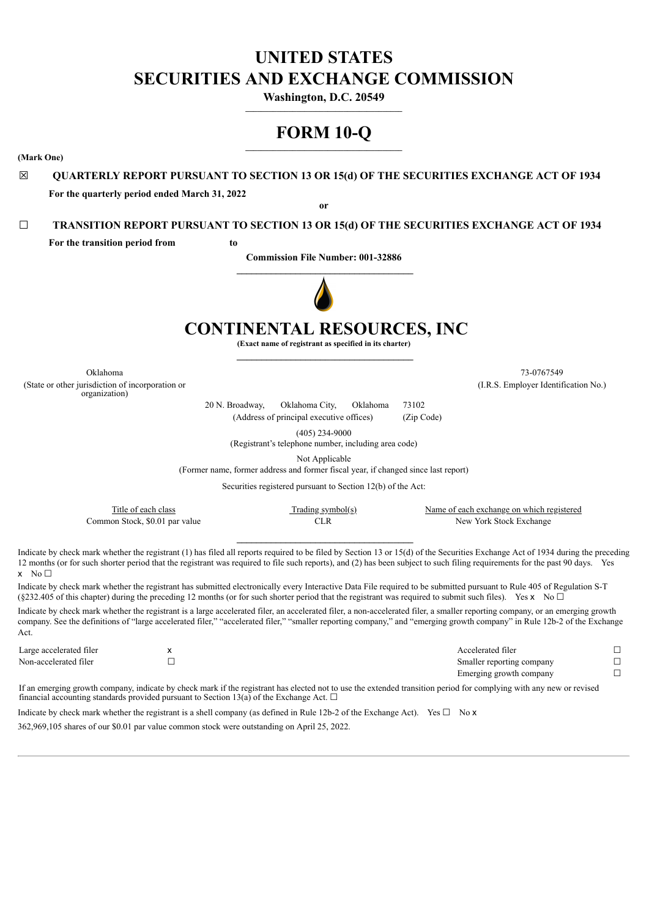# **UNITED STATES SECURITIES AND EXCHANGE COMMISSION**

**Washington, D.C. 20549**  $\mathcal{L}=\{1,2,3,4,5\}$ 

# **FORM 10-Q \_\_\_\_\_\_\_\_\_\_\_\_\_\_\_\_\_\_\_\_\_\_\_\_\_\_\_\_\_\_\_\_\_\_\_\_\_\_\_\_**

**(Mark One)**

# ☒ **QUARTERLY REPORT PURSUANT TO SECTION 13 OR 15(d) OF THE SECURITIES EXCHANGE ACT OF 1934 For the quarterly period ended March 31, 2022**

**or**

# ☐ **TRANSITION REPORT PURSUANT TO SECTION 13 OR 15(d) OF THE SECURITIES EXCHANGE ACT OF 1934**

**For the transition period from to**

**Commission File Number: 001-32886**



# **CONTINENTAL RESOURCES, INC**

**(Exact name of registrant as specified in its charter)**

(State or other jurisdiction of incorporation or organization)

Oklahoma 73-0767549 (I.R.S. Employer Identification No.)

> 20 N. Broadway, Oklahoma City, Oklahoma 73102 (Address of principal executive offices) (Zip Code)

> > (405) 234-9000

(Registrant's telephone number, including area code)

Not Applicable

(Former name, former address and former fiscal year, if changed since last report)

Securities registered pursuant to Section 12(b) of the Act:

| Title of each class            | Trading symbol(s) | Name of each exchange on which registered |
|--------------------------------|-------------------|-------------------------------------------|
| Common Stock, \$0.01 par value |                   | New York Stock Exchange                   |

Indicate by check mark whether the registrant (1) has filed all reports required to be filed by Section 13 or 15(d) of the Securities Exchange Act of 1934 during the preceding 12 months (or for such shorter period that the registrant was required to file such reports), and (2) has been subject to such filing requirements for the past 90 days. Yes  $x \in N_0 \square$ 

Indicate by check mark whether the registrant has submitted electronically every Interactive Data File required to be submitted pursuant to Rule 405 of Regulation S-T (§232.405 of this chapter) during the preceding 12 months (or for such shorter period that the registrant was required to submit such files). Yes x No  $\Box$ 

Indicate by check mark whether the registrant is a large accelerated filer, an accelerated filer, a non-accelerated filer, a smaller reporting company, or an emerging growth company. See the definitions of "large accelerated filer," "accelerated filer," "smaller reporting company," and "emerging growth company" in Rule 12b-2 of the Exchange Act.

| Large accelerated filer | Accelerated filer         |  |
|-------------------------|---------------------------|--|
| Non-accelerated filer   | Smaller reporting company |  |
|                         | Emerging growth company   |  |

If an emerging growth company, indicate by check mark if the registrant has elected not to use the extended transition period for complying with any new or revised financial accounting standards provided pursuant to Section 13(a) of the Exchange Act. □

Indicate by check mark whether the registrant is a shell company (as defined in Rule 12b-2 of the Exchange Act). Yes  $\Box$  No **x** 362,969,105 shares of our \$0.01 par value common stock were outstanding on April 25, 2022.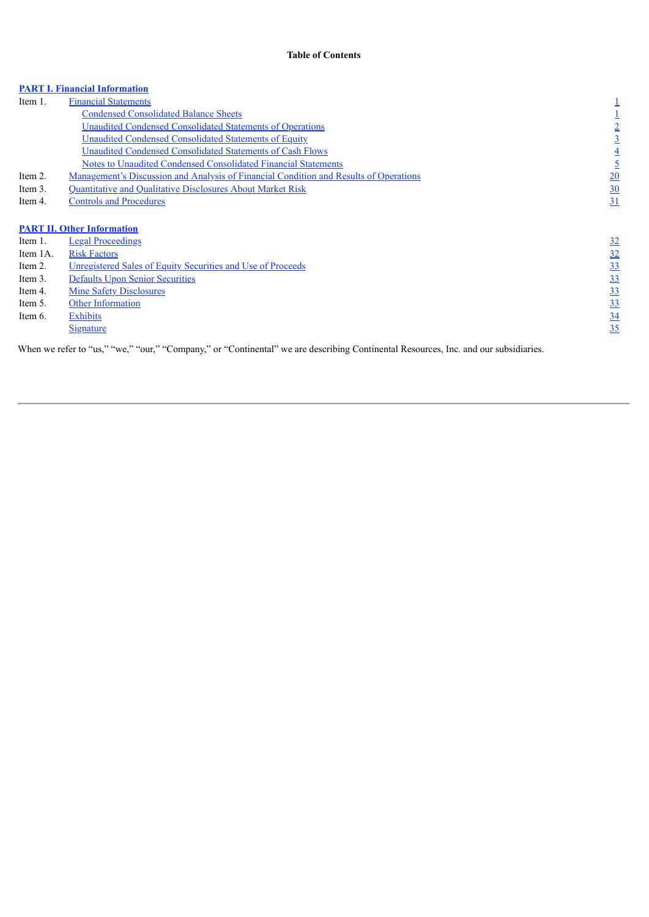# **PART I. Financial Information**

| Item 1.  | <b>Financial Statements</b>                                                                                                         |                |
|----------|-------------------------------------------------------------------------------------------------------------------------------------|----------------|
|          | <b>Condensed Consolidated Balance Sheets</b>                                                                                        |                |
|          | <b>Unaudited Condensed Consolidated Statements of Operations</b>                                                                    | $\overline{2}$ |
|          | <b>Unaudited Condensed Consolidated Statements of Equity</b>                                                                        | $\overline{3}$ |
|          | Unaudited Condensed Consolidated Statements of Cash Flows                                                                           | $\overline{4}$ |
|          | Notes to Unaudited Condensed Consolidated Financial Statements                                                                      |                |
| Item 2.  | Management's Discussion and Analysis of Financial Condition and Results of Operations                                               | 20             |
| Item 3.  | Quantitative and Qualitative Disclosures About Market Risk                                                                          | 30             |
| Item 4.  | <b>Controls and Procedures</b>                                                                                                      | 31             |
|          |                                                                                                                                     |                |
|          | <b>PART II. Other Information</b>                                                                                                   |                |
| Item 1.  | <b>Legal Proceedings</b>                                                                                                            | <u>32</u>      |
| Item 1A. | <b>Risk Factors</b>                                                                                                                 | 32             |
| Item 2.  | <u>Unregistered Sales of Equity Securities and Use of Proceeds</u>                                                                  | 33             |
| Item 3.  | Defaults Upon Senior Securities                                                                                                     | 33             |
| Item 4.  | <b>Mine Safety Disclosures</b>                                                                                                      | <u>33</u>      |
| Item 5.  | <b>Other Information</b>                                                                                                            | 33             |
| Item 6.  | Exhibits                                                                                                                            | $\frac{34}{5}$ |
|          | <u>Signature</u>                                                                                                                    | 35             |
|          | When we refer to "us," "we," "our," "Company," or "Continental" we are describing Continental Resources, Inc. and our subsidiaries. |                |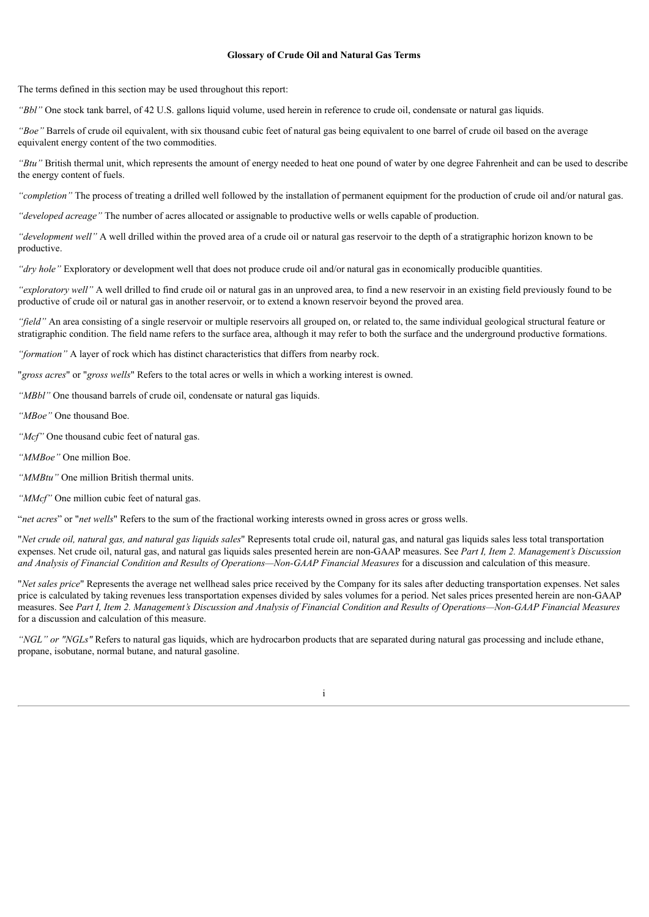#### **Glossary of Crude Oil and Natural Gas Terms**

The terms defined in this section may be used throughout this report:

*"Bbl"* One stock tank barrel, of 42 U.S. gallons liquid volume, used herein in reference to crude oil, condensate or natural gas liquids.

*"Boe"* Barrels of crude oil equivalent, with six thousand cubic feet of natural gas being equivalent to one barrel of crude oil based on the average equivalent energy content of the two commodities.

*"Btu"* British thermal unit, which represents the amount of energy needed to heat one pound of water by one degree Fahrenheit and can be used to describe the energy content of fuels.

*"completion"* The process of treating a drilled well followed by the installation of permanent equipment for the production of crude oil and/or natural gas.

*"developed acreage"* The number of acres allocated or assignable to productive wells or wells capable of production.

*"development well"* A well drilled within the proved area of a crude oil or natural gas reservoir to the depth of a stratigraphic horizon known to be productive.

*"dry hole"* Exploratory or development well that does not produce crude oil and/or natural gas in economically producible quantities.

*"exploratory well"* A well drilled to find crude oil or natural gas in an unproved area, to find a new reservoir in an existing field previously found to be productive of crude oil or natural gas in another reservoir, or to extend a known reservoir beyond the proved area.

*"field"* An area consisting of a single reservoir or multiple reservoirs all grouped on, or related to, the same individual geological structural feature or stratigraphic condition. The field name refers to the surface area, although it may refer to both the surface and the underground productive formations.

*"formation"* A layer of rock which has distinct characteristics that differs from nearby rock.

"*gross acres*" or "*gross wells*" Refers to the total acres or wells in which a working interest is owned.

*"MBbl"* One thousand barrels of crude oil, condensate or natural gas liquids.

*"MBoe"* One thousand Boe.

- *"Mcf"* One thousand cubic feet of natural gas.
- *"MMBoe"* One million Boe.

*"MMBtu"* One million British thermal units.

*"MMcf"* One million cubic feet of natural gas.

"*net acres*" or "*net wells*" Refers to the sum of the fractional working interests owned in gross acres or gross wells.

"Net crude oil, natural gas, and natural gas liquids sales" Represents total crude oil, natural gas, and natural gas liquids sales less total transportation expenses. Net crude oil, natural gas, and natural gas liquids sales presented herein are non-GAAP measures. See *Part I, Item 2. Management's Discussion and Analysis of Financial Condition and Results of Operations—Non-GAAP Financial Measures* for a discussion and calculation of this measure.

"*Net sales price*" Represents the average net wellhead sales price received by the Company for its sales after deducting transportation expenses. Net sales price is calculated by taking revenues less transportation expenses divided by sales volumes for a period. Net sales prices presented herein are non-GAAP measures. See Part I, Item 2. Management's Discussion and Analysis of Financial Condition and Results of Operations-Non-GAAP Financial Measures for a discussion and calculation of this measure.

*"NGL" or "NGLs"* Refers to natural gas liquids, which are hydrocarbon products that are separated during natural gas processing and include ethane, propane, isobutane, normal butane, and natural gasoline.

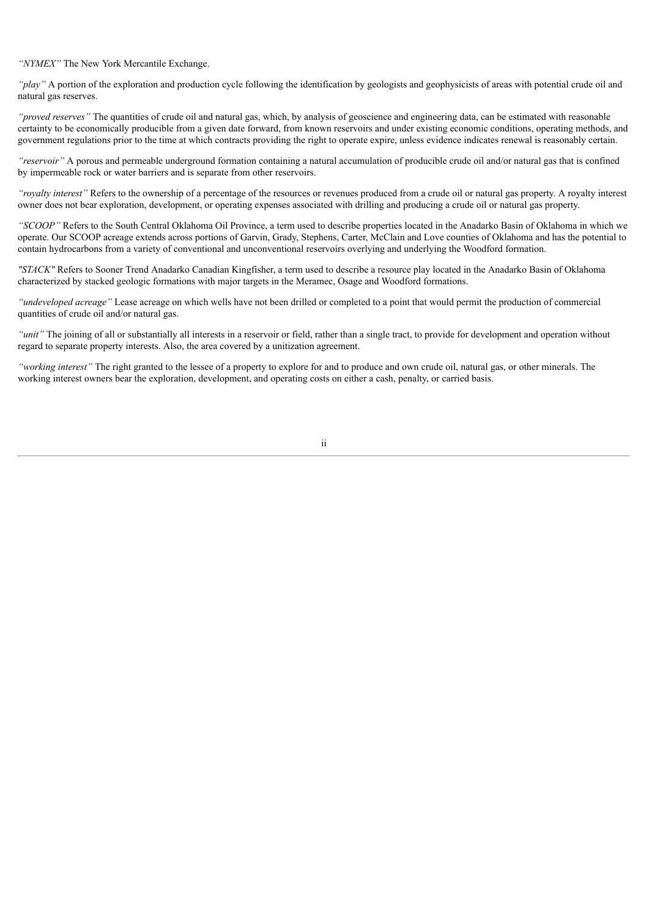*"NYMEX"* The New York Mercantile Exchange.

*"play"* A portion of the exploration and production cycle following the identification by geologists and geophysicists of areas with potential crude oil and natural gas reserves.

*"proved reserves"* The quantities of crude oil and natural gas, which, by analysis of geoscience and engineering data, can be estimated with reasonable certainty to be economically producible from a given date forward, from known reservoirs and under existing economic conditions, operating methods, and government regulations prior to the time at which contracts providing the right to operate expire, unless evidence indicates renewal is reasonably certain.

*"reservoir"* A porous and permeable underground formation containing a natural accumulation of producible crude oil and/or natural gas that is confined by impermeable rock or water barriers and is separate from other reservoirs.

*"royalty interest"* Refers to the ownership of a percentage of the resources or revenues produced from a crude oil or natural gas property. A royalty interest owner does not bear exploration, development, or operating expenses associated with drilling and producing a crude oil or natural gas property.

*"SCOOP"* Refers to the South Central Oklahoma Oil Province, a term used to describe properties located in the Anadarko Basin of Oklahoma in which we operate. Our SCOOP acreage extends across portions of Garvin, Grady, Stephens, Carter, McClain and Love counties of Oklahoma and has the potential to contain hydrocarbons from a variety of conventional and unconventional reservoirs overlying and underlying the Woodford formation.

*"STACK"* Refers to Sooner Trend Anadarko Canadian Kingfisher, a term used to describe a resource play located in the Anadarko Basin of Oklahoma characterized by stacked geologic formations with major targets in the Meramec, Osage and Woodford formations.

*"undeveloped acreage"* Lease acreage on which wells have not been drilled or completed to a point that would permit the production of commercial quantities of crude oil and/or natural gas.

*"unit"* The joining of all or substantially all interests in a reservoir or field, rather than a single tract, to provide for development and operation without regard to separate property interests. Also, the area covered by a unitization agreement.

*"working interest"* The right granted to the lessee of a property to explore for and to produce and own crude oil, natural gas, or other minerals. The working interest owners bear the exploration, development, and operating costs on either a cash, penalty, or carried basis.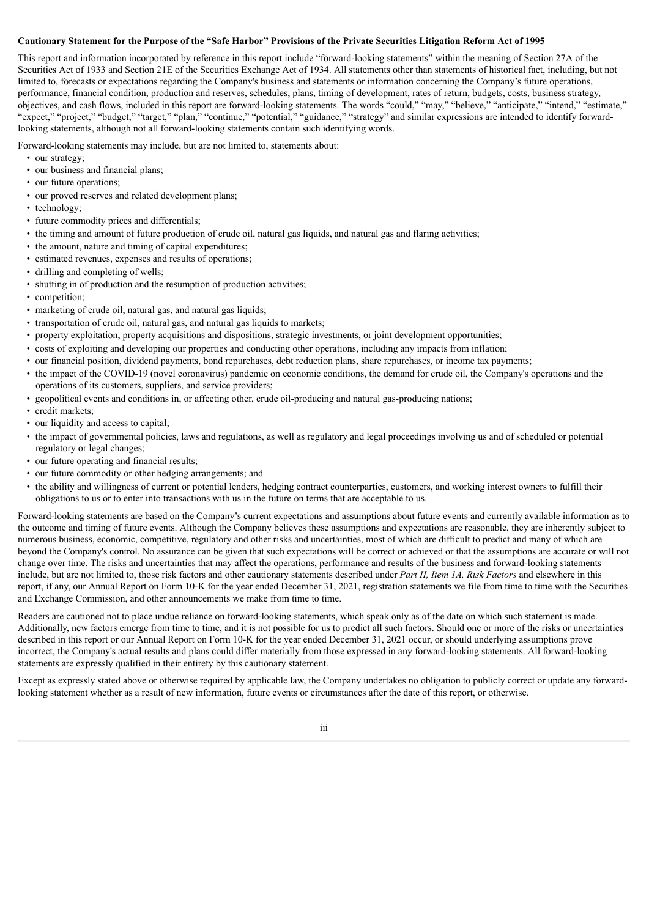## Cautionary Statement for the Purpose of the "Safe Harbor" Provisions of the Private Securities Litigation Reform Act of 1995

This report and information incorporated by reference in this report include "forward-looking statements" within the meaning of Section 27A of the Securities Act of 1933 and Section 21E of the Securities Exchange Act of 1934. All statements other than statements of historical fact, including, but not limited to, forecasts or expectations regarding the Company's business and statements or information concerning the Company's future operations, performance, financial condition, production and reserves, schedules, plans, timing of development, rates of return, budgets, costs, business strategy, objectives, and cash flows, included in this report are forward-looking statements. The words "could," "may," "believe," "anticipate," "intend," "estimate," "expect," "project," "budget," "target," "plan," "continue," "potential," "guidance," "strategy" and similar expressions are intended to identify forwardlooking statements, although not all forward-looking statements contain such identifying words.

Forward-looking statements may include, but are not limited to, statements about:

- our strategy;
- our business and financial plans;
- our future operations;
- our proved reserves and related development plans;
- technology;
- future commodity prices and differentials;
- the timing and amount of future production of crude oil, natural gas liquids, and natural gas and flaring activities;
- the amount, nature and timing of capital expenditures;
- estimated revenues, expenses and results of operations;
- drilling and completing of wells;
- shutting in of production and the resumption of production activities:
- competition;
- marketing of crude oil, natural gas, and natural gas liquids;
- transportation of crude oil, natural gas, and natural gas liquids to markets;
- property exploitation, property acquisitions and dispositions, strategic investments, or joint development opportunities;
- costs of exploiting and developing our properties and conducting other operations, including any impacts from inflation;
- our financial position, dividend payments, bond repurchases, debt reduction plans, share repurchases, or income tax payments;
- the impact of the COVID-19 (novel coronavirus) pandemic on economic conditions, the demand for crude oil, the Company's operations and the operations of its customers, suppliers, and service providers;
- geopolitical events and conditions in, or affecting other, crude oil-producing and natural gas-producing nations;
- credit markets;
- our liquidity and access to capital;
- the impact of governmental policies, laws and regulations, as well as regulatory and legal proceedings involving us and of scheduled or potential regulatory or legal changes;
- our future operating and financial results;
- our future commodity or other hedging arrangements; and
- the ability and willingness of current or potential lenders, hedging contract counterparties, customers, and working interest owners to fulfill their obligations to us or to enter into transactions with us in the future on terms that are acceptable to us.

Forward-looking statements are based on the Company's current expectations and assumptions about future events and currently available information as to the outcome and timing of future events. Although the Company believes these assumptions and expectations are reasonable, they are inherently subject to numerous business, economic, competitive, regulatory and other risks and uncertainties, most of which are difficult to predict and many of which are beyond the Company's control. No assurance can be given that such expectations will be correct or achieved or that the assumptions are accurate or will not change over time. The risks and uncertainties that may affect the operations, performance and results of the business and forward-looking statements include, but are not limited to, those risk factors and other cautionary statements described under *Part II, Item 1A. Risk Factors* and elsewhere in this report, if any, our Annual Report on Form 10-K for the year ended December 31, 2021, registration statements we file from time to time with the Securities and Exchange Commission, and other announcements we make from time to time.

Readers are cautioned not to place undue reliance on forward-looking statements, which speak only as of the date on which such statement is made. Additionally, new factors emerge from time to time, and it is not possible for us to predict all such factors. Should one or more of the risks or uncertainties described in this report or our Annual Report on Form 10-K for the year ended December 31, 2021 occur, or should underlying assumptions prove incorrect, the Company's actual results and plans could differ materially from those expressed in any forward-looking statements. All forward-looking statements are expressly qualified in their entirety by this cautionary statement.

Except as expressly stated above or otherwise required by applicable law, the Company undertakes no obligation to publicly correct or update any forwardlooking statement whether as a result of new information, future events or circumstances after the date of this report, or otherwise.

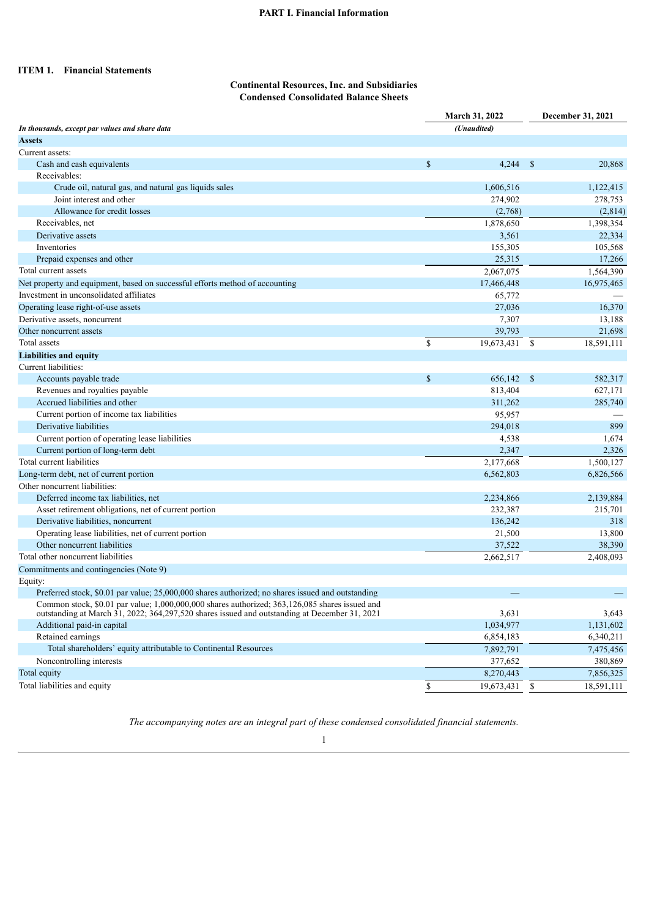# **PART I. Financial Information**

# **ITEM 1. Financial Statements**

## **Continental Resources, Inc. and Subsidiaries Condensed Consolidated Balance Sheets**

|                                                                                                   | <b>March 31, 2022</b> |             | December 31, 2021 |            |  |
|---------------------------------------------------------------------------------------------------|-----------------------|-------------|-------------------|------------|--|
| In thousands, except par values and share data                                                    |                       | (Unaudited) |                   |            |  |
| <b>Assets</b>                                                                                     |                       |             |                   |            |  |
| Current assets:                                                                                   |                       |             |                   |            |  |
| Cash and cash equivalents                                                                         | \$                    | 4,244       | -S                | 20,868     |  |
| Receivables:                                                                                      |                       |             |                   |            |  |
| Crude oil, natural gas, and natural gas liquids sales                                             |                       | 1,606,516   |                   | 1,122,415  |  |
| Joint interest and other                                                                          |                       | 274,902     |                   | 278,753    |  |
| Allowance for credit losses                                                                       |                       | (2,768)     |                   | (2,814)    |  |
| Receivables, net                                                                                  |                       | 1,878,650   |                   | 1,398,354  |  |
| Derivative assets                                                                                 |                       | 3,561       |                   | 22,334     |  |
| Inventories                                                                                       |                       | 155,305     |                   | 105,568    |  |
| Prepaid expenses and other                                                                        |                       | 25,315      |                   | 17,266     |  |
| Total current assets                                                                              |                       | 2,067,075   |                   | 1,564,390  |  |
| Net property and equipment, based on successful efforts method of accounting                      |                       | 17,466,448  |                   | 16,975,465 |  |
| Investment in unconsolidated affiliates                                                           |                       | 65,772      |                   |            |  |
| Operating lease right-of-use assets                                                               |                       | 27,036      |                   | 16,370     |  |
| Derivative assets, noncurrent                                                                     |                       | 7,307       |                   | 13,188     |  |
| Other noncurrent assets                                                                           |                       | 39,793      |                   | 21,698     |  |
| Total assets                                                                                      | \$                    | 19,673,431  | -S                | 18,591,111 |  |
| <b>Liabilities and equity</b>                                                                     |                       |             |                   |            |  |
| Current liabilities:                                                                              |                       |             |                   |            |  |
| Accounts payable trade                                                                            | $\mathbb{S}$          | 656,142     | $\mathcal{S}$     | 582,317    |  |
| Revenues and royalties payable                                                                    |                       | 813,404     |                   | 627,171    |  |
| Accrued liabilities and other                                                                     |                       | 311,262     |                   | 285,740    |  |
| Current portion of income tax liabilities                                                         |                       | 95,957      |                   |            |  |
| Derivative liabilities                                                                            |                       | 294,018     |                   | 899        |  |
| Current portion of operating lease liabilities                                                    |                       | 4,538       |                   | 1,674      |  |
| Current portion of long-term debt                                                                 |                       | 2,347       |                   | 2,326      |  |
| Total current liabilities                                                                         |                       | 2,177,668   |                   | 1,500,127  |  |
| Long-term debt, net of current portion                                                            |                       | 6,562,803   |                   | 6,826,566  |  |
| Other noncurrent liabilities:                                                                     |                       |             |                   |            |  |
| Deferred income tax liabilities, net                                                              |                       | 2,234,866   |                   | 2,139,884  |  |
| Asset retirement obligations, net of current portion                                              |                       | 232,387     |                   | 215,701    |  |
| Derivative liabilities, noncurrent                                                                |                       | 136,242     |                   | 318        |  |
| Operating lease liabilities, net of current portion                                               |                       | 21,500      |                   | 13,800     |  |
| Other noncurrent liabilities                                                                      |                       | 37,522      |                   | 38,390     |  |
| Total other noncurrent liabilities                                                                |                       | 2,662,517   |                   | 2,408,093  |  |
| Commitments and contingencies (Note 9)                                                            |                       |             |                   |            |  |
| Equity:                                                                                           |                       |             |                   |            |  |
| Preferred stock, \$0.01 par value; 25,000,000 shares authorized; no shares issued and outstanding |                       |             |                   |            |  |
| Common stock, \$0.01 par value; 1,000,000,000 shares authorized; 363,126,085 shares issued and    |                       |             |                   |            |  |
| outstanding at March 31, 2022; 364, 297, 520 shares issued and outstanding at December 31, 2021   |                       | 3,631       |                   | 3,643      |  |
| Additional paid-in capital                                                                        |                       | 1,034,977   |                   | 1,131,602  |  |
| Retained earnings                                                                                 |                       | 6,854,183   |                   | 6,340,211  |  |
| Total shareholders' equity attributable to Continental Resources                                  |                       | 7,892,791   |                   | 7,475,456  |  |
| Noncontrolling interests                                                                          |                       | 377,652     |                   | 380,869    |  |
| Total equity                                                                                      |                       | 8,270,443   |                   | 7,856,325  |  |
| Total liabilities and equity                                                                      | \$                    | 19,673,431  | \$                | 18,591,111 |  |
|                                                                                                   |                       |             |                   |            |  |

*The accompanying notes are an integral part of these condensed consolidated financial statements.*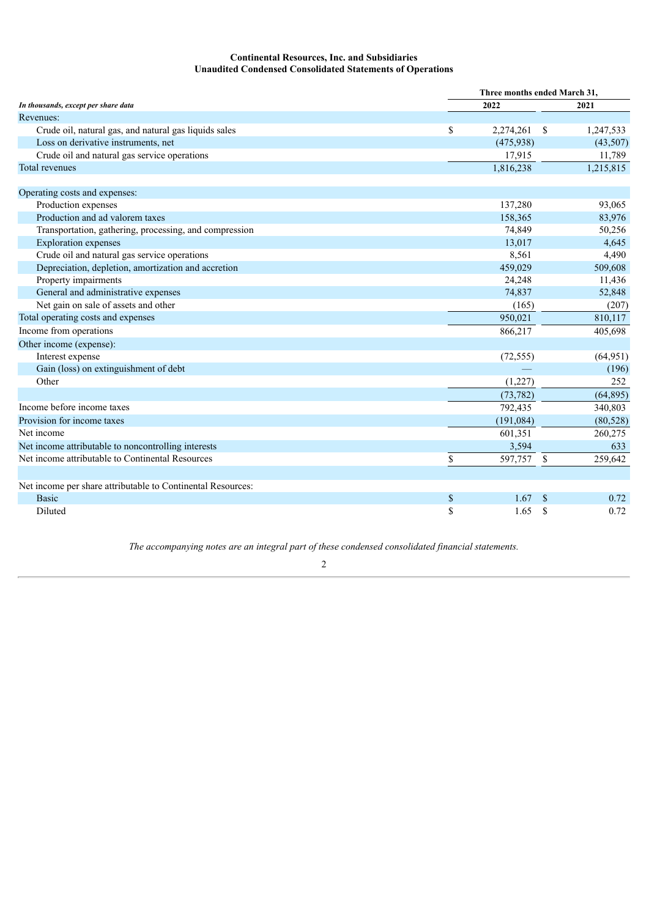# **Continental Resources, Inc. and Subsidiaries Unaudited Condensed Consolidated Statements of Operations**

|                                                             |      | Three months ended March 31, |    |           |  |  |  |  |  |
|-------------------------------------------------------------|------|------------------------------|----|-----------|--|--|--|--|--|
| In thousands, except per share data                         |      | 2022                         |    |           |  |  |  |  |  |
| Revenues:                                                   |      |                              |    |           |  |  |  |  |  |
| Crude oil, natural gas, and natural gas liquids sales       | \$   | 2,274,261                    | -S | 1,247,533 |  |  |  |  |  |
| Loss on derivative instruments, net                         |      | (475,938)                    |    | (43,507)  |  |  |  |  |  |
| Crude oil and natural gas service operations                |      | 17,915                       |    | 11,789    |  |  |  |  |  |
| Total revenues                                              |      | 1,816,238                    |    | 1,215,815 |  |  |  |  |  |
| Operating costs and expenses:                               |      |                              |    |           |  |  |  |  |  |
| Production expenses                                         |      | 137,280                      |    | 93,065    |  |  |  |  |  |
| Production and ad valorem taxes                             |      | 158,365                      |    | 83,976    |  |  |  |  |  |
| Transportation, gathering, processing, and compression      |      | 74,849                       |    | 50,256    |  |  |  |  |  |
| <b>Exploration</b> expenses                                 |      | 13,017                       |    | 4,645     |  |  |  |  |  |
| Crude oil and natural gas service operations                |      | 8,561                        |    | 4,490     |  |  |  |  |  |
| Depreciation, depletion, amortization and accretion         |      | 459,029                      |    | 509,608   |  |  |  |  |  |
| Property impairments                                        |      | 24,248                       |    | 11,436    |  |  |  |  |  |
| General and administrative expenses                         |      | 74,837                       |    | 52,848    |  |  |  |  |  |
| Net gain on sale of assets and other                        |      | (165)                        |    | (207)     |  |  |  |  |  |
| Total operating costs and expenses                          |      | 950,021                      |    | 810,117   |  |  |  |  |  |
| Income from operations                                      |      | 866,217                      |    | 405,698   |  |  |  |  |  |
| Other income (expense):                                     |      |                              |    |           |  |  |  |  |  |
| Interest expense                                            |      | (72, 555)                    |    | (64, 951) |  |  |  |  |  |
| Gain (loss) on extinguishment of debt                       |      |                              |    | (196)     |  |  |  |  |  |
| Other                                                       |      | (1,227)                      |    | 252       |  |  |  |  |  |
|                                                             |      | (73, 782)                    |    | (64, 895) |  |  |  |  |  |
| Income before income taxes                                  |      | 792,435                      |    | 340,803   |  |  |  |  |  |
| Provision for income taxes                                  |      | (191,084)                    |    | (80, 528) |  |  |  |  |  |
| Net income                                                  |      | 601,351                      |    | 260,275   |  |  |  |  |  |
| Net income attributable to noncontrolling interests         |      | 3,594                        |    | 633       |  |  |  |  |  |
| Net income attributable to Continental Resources            | \$   | 597,757                      | \$ | 259,642   |  |  |  |  |  |
| Net income per share attributable to Continental Resources: |      |                              |    |           |  |  |  |  |  |
| <b>Basic</b>                                                | $\$$ | 1.67                         | \$ | 0.72      |  |  |  |  |  |
| Diluted                                                     | \$   | 1.65                         | \$ | 0.72      |  |  |  |  |  |

*The accompanying notes are an integral part of these condensed consolidated financial statements.*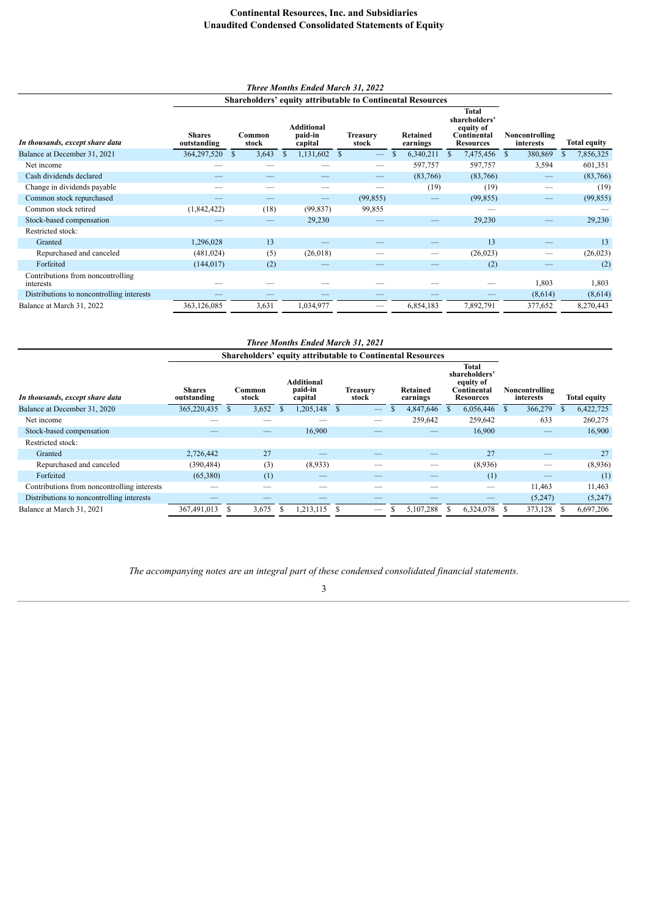# **Continental Resources, Inc. and Subsidiaries Unaudited Condensed Consolidated Statements of Equity**

# *Three Months Ended March 31, 2022*

|  | <b>Shareholders' equity attributable to Continental Resources</b> |  |
|--|-------------------------------------------------------------------|--|
|  |                                                                   |  |

| <b>Shares</b><br>outstanding | Common<br>stock | <b>Additional</b><br>paid-in<br>capital | <b>Treasury</b><br>stock | Retained<br>earnings                | Total<br>shareholders'<br>equity of<br>Continental<br><b>Resources</b> | Noncontrolling<br>interests | <b>Total equity</b>        |
|------------------------------|-----------------|-----------------------------------------|--------------------------|-------------------------------------|------------------------------------------------------------------------|-----------------------------|----------------------------|
| 364,297,520                  | S<br>3,643      | <sup>S</sup>                            | -S                       | 6,340,211                           | 7,475,456                                                              | 380,869<br>-S               | 7,856,325<br><sup>\$</sup> |
|                              |                 |                                         |                          | 597,757                             | 597,757                                                                | 3,594                       | 601,351                    |
|                              |                 |                                         |                          |                                     | (83,766)                                                               |                             | (83,766)                   |
|                              |                 |                                         |                          | (19)                                | (19)                                                                   |                             | (19)                       |
|                              |                 | __                                      |                          |                                     | (99, 855)                                                              |                             | (99, 855)                  |
| (1,842,422)                  | (18)            |                                         | 99,855                   |                                     |                                                                        |                             |                            |
|                              |                 |                                         |                          |                                     | 29,230                                                                 |                             | 29,230                     |
|                              |                 |                                         |                          |                                     |                                                                        |                             |                            |
| 1,296,028                    | 13              |                                         |                          |                                     | 13                                                                     |                             | 13                         |
| (481, 024)                   | (5)             |                                         |                          |                                     | (26, 023)                                                              |                             | (26, 023)                  |
| (144, 017)                   | (2)             |                                         |                          |                                     | (2)                                                                    |                             | (2)                        |
|                              |                 |                                         |                          |                                     |                                                                        | 1,803                       | 1,803                      |
|                              |                 |                                         |                          |                                     |                                                                        | (8,614)                     | (8,614)                    |
| 363,126,085                  | 3,631           | 1,034,977                               |                          | 6,854,183                           | 7,892,791                                                              | 377,652                     | 8,270,443                  |
|                              |                 |                                         | 29,230                   | 1,131,602<br>(99, 837)<br>(26, 018) | (99, 855)                                                              | (83,766)                    |                            |

| <b>Three Months Ended March 31, 2021</b>    |                              |                 |       |                                         |           |                   |  |  |                                                                   |     |                                                                        |   |                             |  |                     |
|---------------------------------------------|------------------------------|-----------------|-------|-----------------------------------------|-----------|-------------------|--|--|-------------------------------------------------------------------|-----|------------------------------------------------------------------------|---|-----------------------------|--|---------------------|
|                                             |                              |                 |       |                                         |           |                   |  |  | <b>Shareholders' equity attributable to Continental Resources</b> |     |                                                                        |   |                             |  |                     |
| In thousands, except share data             | <b>Shares</b><br>outstanding | Common<br>stock |       | <b>Additional</b><br>paid-in<br>capital |           | Treasurv<br>stock |  |  | <b>Retained</b><br>earnings                                       |     | Total<br>shareholders'<br>equity of<br>Continental<br><b>Resources</b> |   | Noncontrolling<br>interests |  | <b>Total equity</b> |
| Balance at December 31, 2020                | 365,220,435                  |                 | 3,652 | <sup>\$</sup>                           | ,205,148  | <sup>\$</sup>     |  |  | 4,847,646                                                         | \$  | 6,056,446                                                              | S | 366,279                     |  | 6,422,725           |
| Net income                                  |                              |                 |       |                                         |           |                   |  |  | 259,642                                                           |     | 259,642                                                                |   | 633                         |  | 260,275             |
| Stock-based compensation                    |                              |                 |       |                                         | 16,900    |                   |  |  |                                                                   |     | 16,900                                                                 |   |                             |  | 16,900              |
| Restricted stock:                           |                              |                 |       |                                         |           |                   |  |  |                                                                   |     |                                                                        |   |                             |  |                     |
| Granted                                     | 2,726,442                    |                 | 27    |                                         |           |                   |  |  |                                                                   |     | 27                                                                     |   |                             |  | 27                  |
| Repurchased and canceled                    | (390, 484)                   |                 | (3)   |                                         | (8,933)   |                   |  |  | --                                                                |     | (8,936)                                                                |   |                             |  | (8,936)             |
| Forfeited                                   | (65,380)                     |                 | (1)   |                                         |           |                   |  |  |                                                                   |     | (1)                                                                    |   |                             |  | (1)                 |
| Contributions from noncontrolling interests |                              |                 |       |                                         |           |                   |  |  |                                                                   |     |                                                                        |   | 11,463                      |  | 11,463              |
| Distributions to noncontrolling interests   |                              |                 |       |                                         |           |                   |  |  |                                                                   |     |                                                                        |   | (5,247)                     |  | (5,247)             |
| Balance at March 31, 2021                   | 367,491,013                  |                 | 3,675 | S                                       | 1,213,115 |                   |  |  | 5,107,288                                                         | \$. | 6,324,078                                                              |   | 373,128                     |  | 6,697,206           |

*The accompanying notes are an integral part of these condensed consolidated financial statements.*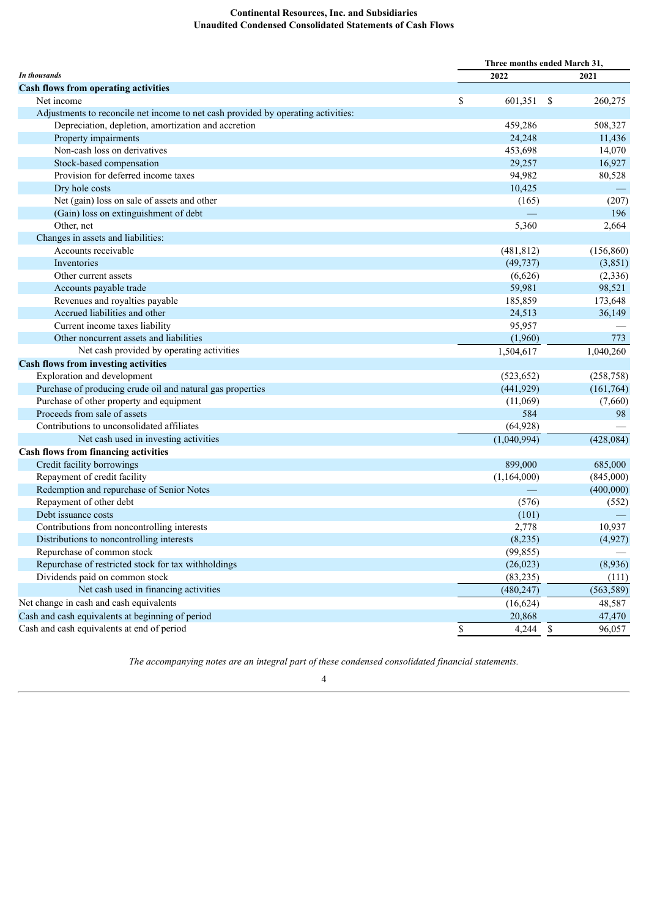# **Continental Resources, Inc. and Subsidiaries Unaudited Condensed Consolidated Statements of Cash Flows**

| In thousands<br>2022<br>2021<br><b>Cash flows from operating activities</b><br>Net income<br>\$<br>601,351<br>\$<br>260,275<br>Adjustments to reconcile net income to net cash provided by operating activities:<br>508,327<br>Depreciation, depletion, amortization and accretion<br>459,286<br>24,248<br>Property impairments<br>11,436<br>Non-cash loss on derivatives<br>453,698<br>14,070<br>Stock-based compensation<br>29,257<br>16,927<br>Provision for deferred income taxes<br>94,982<br>80,528<br>Dry hole costs<br>10,425<br>Net (gain) loss on sale of assets and other<br>(207)<br>(165)<br>196<br>(Gain) loss on extinguishment of debt<br>Other, net<br>5,360<br>2,664<br>Changes in assets and liabilities:<br>Accounts receivable<br>(156, 860)<br>(481, 812)<br>(49, 737)<br>Inventories<br>(3,851)<br>(6,626)<br>Other current assets<br>(2, 336)<br>59,981<br>98,521<br>Accounts payable trade<br>Revenues and royalties payable<br>185,859<br>173,648<br>Accrued liabilities and other<br>24,513<br>36,149<br>Current income taxes liability<br>95,957<br>Other noncurrent assets and liabilities<br>(1,960)<br>773<br>Net cash provided by operating activities<br>1,504,617<br>1,040,260<br><b>Cash flows from investing activities</b><br>Exploration and development<br>(523, 652)<br>(258, 758)<br>Purchase of producing crude oil and natural gas properties<br>(441, 929)<br>(161, 764)<br>Purchase of other property and equipment<br>(7,660)<br>(11,069)<br>Proceeds from sale of assets<br>584<br>98<br>Contributions to unconsolidated affiliates<br>(64, 928)<br>Net cash used in investing activities<br>(1,040,994)<br>(428, 084)<br>Cash flows from financing activities<br>Credit facility borrowings<br>899,000<br>685,000<br>Repayment of credit facility<br>(1,164,000)<br>(845,000)<br>Redemption and repurchase of Senior Notes<br>(400,000)<br>Repayment of other debt<br>(576)<br>(552)<br>Debt issuance costs<br>(101)<br>Contributions from noncontrolling interests<br>10,937<br>2,778<br>(8,235)<br>(4,927)<br>Distributions to noncontrolling interests<br>Repurchase of common stock<br>(99, 855)<br>Repurchase of restricted stock for tax withholdings<br>(26, 023)<br>(8,936)<br>Dividends paid on common stock<br>(83, 235)<br>(111)<br>Net cash used in financing activities<br>(480, 247)<br>(563, 589)<br>Net change in cash and cash equivalents<br>(16, 624)<br>48,587<br>Cash and cash equivalents at beginning of period<br>20,868<br>47,470<br>Cash and cash equivalents at end of period<br>96,057 | Three months ended March 31,      |       |      |  |
|--------------------------------------------------------------------------------------------------------------------------------------------------------------------------------------------------------------------------------------------------------------------------------------------------------------------------------------------------------------------------------------------------------------------------------------------------------------------------------------------------------------------------------------------------------------------------------------------------------------------------------------------------------------------------------------------------------------------------------------------------------------------------------------------------------------------------------------------------------------------------------------------------------------------------------------------------------------------------------------------------------------------------------------------------------------------------------------------------------------------------------------------------------------------------------------------------------------------------------------------------------------------------------------------------------------------------------------------------------------------------------------------------------------------------------------------------------------------------------------------------------------------------------------------------------------------------------------------------------------------------------------------------------------------------------------------------------------------------------------------------------------------------------------------------------------------------------------------------------------------------------------------------------------------------------------------------------------------------------------------------------------------------------------------------------------------------------------------------------------------------------------------------------------------------------------------------------------------------------------------------------------------------------------------------------------------------------------------------------------------------------------------------------------------------------------------------------------------------------------------------------------------------------------------------------------------|-----------------------------------|-------|------|--|
|                                                                                                                                                                                                                                                                                                                                                                                                                                                                                                                                                                                                                                                                                                                                                                                                                                                                                                                                                                                                                                                                                                                                                                                                                                                                                                                                                                                                                                                                                                                                                                                                                                                                                                                                                                                                                                                                                                                                                                                                                                                                                                                                                                                                                                                                                                                                                                                                                                                                                                                                                                    |                                   |       |      |  |
|                                                                                                                                                                                                                                                                                                                                                                                                                                                                                                                                                                                                                                                                                                                                                                                                                                                                                                                                                                                                                                                                                                                                                                                                                                                                                                                                                                                                                                                                                                                                                                                                                                                                                                                                                                                                                                                                                                                                                                                                                                                                                                                                                                                                                                                                                                                                                                                                                                                                                                                                                                    |                                   |       |      |  |
|                                                                                                                                                                                                                                                                                                                                                                                                                                                                                                                                                                                                                                                                                                                                                                                                                                                                                                                                                                                                                                                                                                                                                                                                                                                                                                                                                                                                                                                                                                                                                                                                                                                                                                                                                                                                                                                                                                                                                                                                                                                                                                                                                                                                                                                                                                                                                                                                                                                                                                                                                                    |                                   |       |      |  |
|                                                                                                                                                                                                                                                                                                                                                                                                                                                                                                                                                                                                                                                                                                                                                                                                                                                                                                                                                                                                                                                                                                                                                                                                                                                                                                                                                                                                                                                                                                                                                                                                                                                                                                                                                                                                                                                                                                                                                                                                                                                                                                                                                                                                                                                                                                                                                                                                                                                                                                                                                                    |                                   |       |      |  |
|                                                                                                                                                                                                                                                                                                                                                                                                                                                                                                                                                                                                                                                                                                                                                                                                                                                                                                                                                                                                                                                                                                                                                                                                                                                                                                                                                                                                                                                                                                                                                                                                                                                                                                                                                                                                                                                                                                                                                                                                                                                                                                                                                                                                                                                                                                                                                                                                                                                                                                                                                                    |                                   |       |      |  |
|                                                                                                                                                                                                                                                                                                                                                                                                                                                                                                                                                                                                                                                                                                                                                                                                                                                                                                                                                                                                                                                                                                                                                                                                                                                                                                                                                                                                                                                                                                                                                                                                                                                                                                                                                                                                                                                                                                                                                                                                                                                                                                                                                                                                                                                                                                                                                                                                                                                                                                                                                                    |                                   |       |      |  |
|                                                                                                                                                                                                                                                                                                                                                                                                                                                                                                                                                                                                                                                                                                                                                                                                                                                                                                                                                                                                                                                                                                                                                                                                                                                                                                                                                                                                                                                                                                                                                                                                                                                                                                                                                                                                                                                                                                                                                                                                                                                                                                                                                                                                                                                                                                                                                                                                                                                                                                                                                                    |                                   |       |      |  |
|                                                                                                                                                                                                                                                                                                                                                                                                                                                                                                                                                                                                                                                                                                                                                                                                                                                                                                                                                                                                                                                                                                                                                                                                                                                                                                                                                                                                                                                                                                                                                                                                                                                                                                                                                                                                                                                                                                                                                                                                                                                                                                                                                                                                                                                                                                                                                                                                                                                                                                                                                                    |                                   |       |      |  |
|                                                                                                                                                                                                                                                                                                                                                                                                                                                                                                                                                                                                                                                                                                                                                                                                                                                                                                                                                                                                                                                                                                                                                                                                                                                                                                                                                                                                                                                                                                                                                                                                                                                                                                                                                                                                                                                                                                                                                                                                                                                                                                                                                                                                                                                                                                                                                                                                                                                                                                                                                                    |                                   |       |      |  |
|                                                                                                                                                                                                                                                                                                                                                                                                                                                                                                                                                                                                                                                                                                                                                                                                                                                                                                                                                                                                                                                                                                                                                                                                                                                                                                                                                                                                                                                                                                                                                                                                                                                                                                                                                                                                                                                                                                                                                                                                                                                                                                                                                                                                                                                                                                                                                                                                                                                                                                                                                                    |                                   |       |      |  |
|                                                                                                                                                                                                                                                                                                                                                                                                                                                                                                                                                                                                                                                                                                                                                                                                                                                                                                                                                                                                                                                                                                                                                                                                                                                                                                                                                                                                                                                                                                                                                                                                                                                                                                                                                                                                                                                                                                                                                                                                                                                                                                                                                                                                                                                                                                                                                                                                                                                                                                                                                                    |                                   |       |      |  |
|                                                                                                                                                                                                                                                                                                                                                                                                                                                                                                                                                                                                                                                                                                                                                                                                                                                                                                                                                                                                                                                                                                                                                                                                                                                                                                                                                                                                                                                                                                                                                                                                                                                                                                                                                                                                                                                                                                                                                                                                                                                                                                                                                                                                                                                                                                                                                                                                                                                                                                                                                                    |                                   |       |      |  |
|                                                                                                                                                                                                                                                                                                                                                                                                                                                                                                                                                                                                                                                                                                                                                                                                                                                                                                                                                                                                                                                                                                                                                                                                                                                                                                                                                                                                                                                                                                                                                                                                                                                                                                                                                                                                                                                                                                                                                                                                                                                                                                                                                                                                                                                                                                                                                                                                                                                                                                                                                                    |                                   |       |      |  |
|                                                                                                                                                                                                                                                                                                                                                                                                                                                                                                                                                                                                                                                                                                                                                                                                                                                                                                                                                                                                                                                                                                                                                                                                                                                                                                                                                                                                                                                                                                                                                                                                                                                                                                                                                                                                                                                                                                                                                                                                                                                                                                                                                                                                                                                                                                                                                                                                                                                                                                                                                                    |                                   |       |      |  |
|                                                                                                                                                                                                                                                                                                                                                                                                                                                                                                                                                                                                                                                                                                                                                                                                                                                                                                                                                                                                                                                                                                                                                                                                                                                                                                                                                                                                                                                                                                                                                                                                                                                                                                                                                                                                                                                                                                                                                                                                                                                                                                                                                                                                                                                                                                                                                                                                                                                                                                                                                                    |                                   |       |      |  |
|                                                                                                                                                                                                                                                                                                                                                                                                                                                                                                                                                                                                                                                                                                                                                                                                                                                                                                                                                                                                                                                                                                                                                                                                                                                                                                                                                                                                                                                                                                                                                                                                                                                                                                                                                                                                                                                                                                                                                                                                                                                                                                                                                                                                                                                                                                                                                                                                                                                                                                                                                                    |                                   |       |      |  |
|                                                                                                                                                                                                                                                                                                                                                                                                                                                                                                                                                                                                                                                                                                                                                                                                                                                                                                                                                                                                                                                                                                                                                                                                                                                                                                                                                                                                                                                                                                                                                                                                                                                                                                                                                                                                                                                                                                                                                                                                                                                                                                                                                                                                                                                                                                                                                                                                                                                                                                                                                                    |                                   |       |      |  |
|                                                                                                                                                                                                                                                                                                                                                                                                                                                                                                                                                                                                                                                                                                                                                                                                                                                                                                                                                                                                                                                                                                                                                                                                                                                                                                                                                                                                                                                                                                                                                                                                                                                                                                                                                                                                                                                                                                                                                                                                                                                                                                                                                                                                                                                                                                                                                                                                                                                                                                                                                                    |                                   |       |      |  |
|                                                                                                                                                                                                                                                                                                                                                                                                                                                                                                                                                                                                                                                                                                                                                                                                                                                                                                                                                                                                                                                                                                                                                                                                                                                                                                                                                                                                                                                                                                                                                                                                                                                                                                                                                                                                                                                                                                                                                                                                                                                                                                                                                                                                                                                                                                                                                                                                                                                                                                                                                                    |                                   |       |      |  |
|                                                                                                                                                                                                                                                                                                                                                                                                                                                                                                                                                                                                                                                                                                                                                                                                                                                                                                                                                                                                                                                                                                                                                                                                                                                                                                                                                                                                                                                                                                                                                                                                                                                                                                                                                                                                                                                                                                                                                                                                                                                                                                                                                                                                                                                                                                                                                                                                                                                                                                                                                                    |                                   |       |      |  |
|                                                                                                                                                                                                                                                                                                                                                                                                                                                                                                                                                                                                                                                                                                                                                                                                                                                                                                                                                                                                                                                                                                                                                                                                                                                                                                                                                                                                                                                                                                                                                                                                                                                                                                                                                                                                                                                                                                                                                                                                                                                                                                                                                                                                                                                                                                                                                                                                                                                                                                                                                                    |                                   |       |      |  |
|                                                                                                                                                                                                                                                                                                                                                                                                                                                                                                                                                                                                                                                                                                                                                                                                                                                                                                                                                                                                                                                                                                                                                                                                                                                                                                                                                                                                                                                                                                                                                                                                                                                                                                                                                                                                                                                                                                                                                                                                                                                                                                                                                                                                                                                                                                                                                                                                                                                                                                                                                                    |                                   |       |      |  |
|                                                                                                                                                                                                                                                                                                                                                                                                                                                                                                                                                                                                                                                                                                                                                                                                                                                                                                                                                                                                                                                                                                                                                                                                                                                                                                                                                                                                                                                                                                                                                                                                                                                                                                                                                                                                                                                                                                                                                                                                                                                                                                                                                                                                                                                                                                                                                                                                                                                                                                                                                                    |                                   |       |      |  |
|                                                                                                                                                                                                                                                                                                                                                                                                                                                                                                                                                                                                                                                                                                                                                                                                                                                                                                                                                                                                                                                                                                                                                                                                                                                                                                                                                                                                                                                                                                                                                                                                                                                                                                                                                                                                                                                                                                                                                                                                                                                                                                                                                                                                                                                                                                                                                                                                                                                                                                                                                                    |                                   |       |      |  |
|                                                                                                                                                                                                                                                                                                                                                                                                                                                                                                                                                                                                                                                                                                                                                                                                                                                                                                                                                                                                                                                                                                                                                                                                                                                                                                                                                                                                                                                                                                                                                                                                                                                                                                                                                                                                                                                                                                                                                                                                                                                                                                                                                                                                                                                                                                                                                                                                                                                                                                                                                                    |                                   |       |      |  |
|                                                                                                                                                                                                                                                                                                                                                                                                                                                                                                                                                                                                                                                                                                                                                                                                                                                                                                                                                                                                                                                                                                                                                                                                                                                                                                                                                                                                                                                                                                                                                                                                                                                                                                                                                                                                                                                                                                                                                                                                                                                                                                                                                                                                                                                                                                                                                                                                                                                                                                                                                                    |                                   |       |      |  |
|                                                                                                                                                                                                                                                                                                                                                                                                                                                                                                                                                                                                                                                                                                                                                                                                                                                                                                                                                                                                                                                                                                                                                                                                                                                                                                                                                                                                                                                                                                                                                                                                                                                                                                                                                                                                                                                                                                                                                                                                                                                                                                                                                                                                                                                                                                                                                                                                                                                                                                                                                                    |                                   |       |      |  |
|                                                                                                                                                                                                                                                                                                                                                                                                                                                                                                                                                                                                                                                                                                                                                                                                                                                                                                                                                                                                                                                                                                                                                                                                                                                                                                                                                                                                                                                                                                                                                                                                                                                                                                                                                                                                                                                                                                                                                                                                                                                                                                                                                                                                                                                                                                                                                                                                                                                                                                                                                                    |                                   |       |      |  |
|                                                                                                                                                                                                                                                                                                                                                                                                                                                                                                                                                                                                                                                                                                                                                                                                                                                                                                                                                                                                                                                                                                                                                                                                                                                                                                                                                                                                                                                                                                                                                                                                                                                                                                                                                                                                                                                                                                                                                                                                                                                                                                                                                                                                                                                                                                                                                                                                                                                                                                                                                                    |                                   |       |      |  |
|                                                                                                                                                                                                                                                                                                                                                                                                                                                                                                                                                                                                                                                                                                                                                                                                                                                                                                                                                                                                                                                                                                                                                                                                                                                                                                                                                                                                                                                                                                                                                                                                                                                                                                                                                                                                                                                                                                                                                                                                                                                                                                                                                                                                                                                                                                                                                                                                                                                                                                                                                                    |                                   |       |      |  |
|                                                                                                                                                                                                                                                                                                                                                                                                                                                                                                                                                                                                                                                                                                                                                                                                                                                                                                                                                                                                                                                                                                                                                                                                                                                                                                                                                                                                                                                                                                                                                                                                                                                                                                                                                                                                                                                                                                                                                                                                                                                                                                                                                                                                                                                                                                                                                                                                                                                                                                                                                                    |                                   |       |      |  |
|                                                                                                                                                                                                                                                                                                                                                                                                                                                                                                                                                                                                                                                                                                                                                                                                                                                                                                                                                                                                                                                                                                                                                                                                                                                                                                                                                                                                                                                                                                                                                                                                                                                                                                                                                                                                                                                                                                                                                                                                                                                                                                                                                                                                                                                                                                                                                                                                                                                                                                                                                                    |                                   |       |      |  |
|                                                                                                                                                                                                                                                                                                                                                                                                                                                                                                                                                                                                                                                                                                                                                                                                                                                                                                                                                                                                                                                                                                                                                                                                                                                                                                                                                                                                                                                                                                                                                                                                                                                                                                                                                                                                                                                                                                                                                                                                                                                                                                                                                                                                                                                                                                                                                                                                                                                                                                                                                                    |                                   |       |      |  |
|                                                                                                                                                                                                                                                                                                                                                                                                                                                                                                                                                                                                                                                                                                                                                                                                                                                                                                                                                                                                                                                                                                                                                                                                                                                                                                                                                                                                                                                                                                                                                                                                                                                                                                                                                                                                                                                                                                                                                                                                                                                                                                                                                                                                                                                                                                                                                                                                                                                                                                                                                                    |                                   |       |      |  |
|                                                                                                                                                                                                                                                                                                                                                                                                                                                                                                                                                                                                                                                                                                                                                                                                                                                                                                                                                                                                                                                                                                                                                                                                                                                                                                                                                                                                                                                                                                                                                                                                                                                                                                                                                                                                                                                                                                                                                                                                                                                                                                                                                                                                                                                                                                                                                                                                                                                                                                                                                                    |                                   |       |      |  |
|                                                                                                                                                                                                                                                                                                                                                                                                                                                                                                                                                                                                                                                                                                                                                                                                                                                                                                                                                                                                                                                                                                                                                                                                                                                                                                                                                                                                                                                                                                                                                                                                                                                                                                                                                                                                                                                                                                                                                                                                                                                                                                                                                                                                                                                                                                                                                                                                                                                                                                                                                                    |                                   |       |      |  |
|                                                                                                                                                                                                                                                                                                                                                                                                                                                                                                                                                                                                                                                                                                                                                                                                                                                                                                                                                                                                                                                                                                                                                                                                                                                                                                                                                                                                                                                                                                                                                                                                                                                                                                                                                                                                                                                                                                                                                                                                                                                                                                                                                                                                                                                                                                                                                                                                                                                                                                                                                                    |                                   |       |      |  |
|                                                                                                                                                                                                                                                                                                                                                                                                                                                                                                                                                                                                                                                                                                                                                                                                                                                                                                                                                                                                                                                                                                                                                                                                                                                                                                                                                                                                                                                                                                                                                                                                                                                                                                                                                                                                                                                                                                                                                                                                                                                                                                                                                                                                                                                                                                                                                                                                                                                                                                                                                                    |                                   |       |      |  |
|                                                                                                                                                                                                                                                                                                                                                                                                                                                                                                                                                                                                                                                                                                                                                                                                                                                                                                                                                                                                                                                                                                                                                                                                                                                                                                                                                                                                                                                                                                                                                                                                                                                                                                                                                                                                                                                                                                                                                                                                                                                                                                                                                                                                                                                                                                                                                                                                                                                                                                                                                                    |                                   |       |      |  |
|                                                                                                                                                                                                                                                                                                                                                                                                                                                                                                                                                                                                                                                                                                                                                                                                                                                                                                                                                                                                                                                                                                                                                                                                                                                                                                                                                                                                                                                                                                                                                                                                                                                                                                                                                                                                                                                                                                                                                                                                                                                                                                                                                                                                                                                                                                                                                                                                                                                                                                                                                                    |                                   |       |      |  |
|                                                                                                                                                                                                                                                                                                                                                                                                                                                                                                                                                                                                                                                                                                                                                                                                                                                                                                                                                                                                                                                                                                                                                                                                                                                                                                                                                                                                                                                                                                                                                                                                                                                                                                                                                                                                                                                                                                                                                                                                                                                                                                                                                                                                                                                                                                                                                                                                                                                                                                                                                                    |                                   |       |      |  |
|                                                                                                                                                                                                                                                                                                                                                                                                                                                                                                                                                                                                                                                                                                                                                                                                                                                                                                                                                                                                                                                                                                                                                                                                                                                                                                                                                                                                                                                                                                                                                                                                                                                                                                                                                                                                                                                                                                                                                                                                                                                                                                                                                                                                                                                                                                                                                                                                                                                                                                                                                                    |                                   |       |      |  |
|                                                                                                                                                                                                                                                                                                                                                                                                                                                                                                                                                                                                                                                                                                                                                                                                                                                                                                                                                                                                                                                                                                                                                                                                                                                                                                                                                                                                                                                                                                                                                                                                                                                                                                                                                                                                                                                                                                                                                                                                                                                                                                                                                                                                                                                                                                                                                                                                                                                                                                                                                                    |                                   |       |      |  |
|                                                                                                                                                                                                                                                                                                                                                                                                                                                                                                                                                                                                                                                                                                                                                                                                                                                                                                                                                                                                                                                                                                                                                                                                                                                                                                                                                                                                                                                                                                                                                                                                                                                                                                                                                                                                                                                                                                                                                                                                                                                                                                                                                                                                                                                                                                                                                                                                                                                                                                                                                                    |                                   |       |      |  |
|                                                                                                                                                                                                                                                                                                                                                                                                                                                                                                                                                                                                                                                                                                                                                                                                                                                                                                                                                                                                                                                                                                                                                                                                                                                                                                                                                                                                                                                                                                                                                                                                                                                                                                                                                                                                                                                                                                                                                                                                                                                                                                                                                                                                                                                                                                                                                                                                                                                                                                                                                                    | $\frac{\mathcal{S}}{\mathcal{S}}$ | 4,244 | $\$$ |  |

*The accompanying notes are an integral part of these condensed consolidated financial statements.*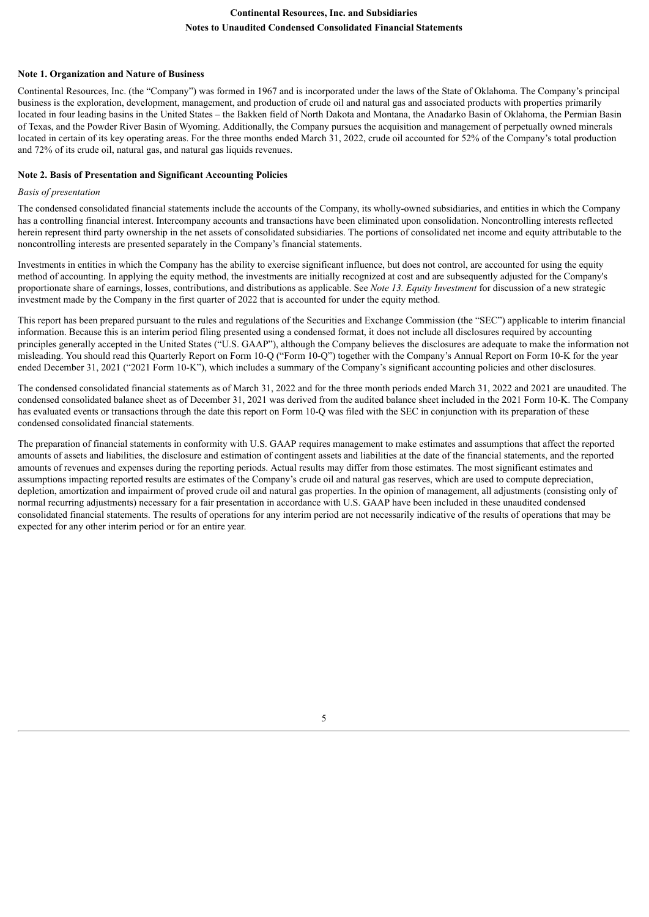## **Note 1. Organization and Nature of Business**

Continental Resources, Inc. (the "Company") was formed in 1967 and is incorporated under the laws of the State of Oklahoma. The Company's principal business is the exploration, development, management, and production of crude oil and natural gas and associated products with properties primarily located in four leading basins in the United States – the Bakken field of North Dakota and Montana, the Anadarko Basin of Oklahoma, the Permian Basin of Texas, and the Powder River Basin of Wyoming. Additionally, the Company pursues the acquisition and management of perpetually owned minerals located in certain of its key operating areas. For the three months ended March 31, 2022, crude oil accounted for 52% of the Company's total production and 72% of its crude oil, natural gas, and natural gas liquids revenues.

#### **Note 2. Basis of Presentation and Significant Accounting Policies**

## *Basis of presentation*

The condensed consolidated financial statements include the accounts of the Company, its wholly-owned subsidiaries, and entities in which the Company has a controlling financial interest. Intercompany accounts and transactions have been eliminated upon consolidation. Noncontrolling interests reflected herein represent third party ownership in the net assets of consolidated subsidiaries. The portions of consolidated net income and equity attributable to the noncontrolling interests are presented separately in the Company's financial statements.

Investments in entities in which the Company has the ability to exercise significant influence, but does not control, are accounted for using the equity method of accounting. In applying the equity method, the investments are initially recognized at cost and are subsequently adjusted for the Company's proportionate share of earnings, losses, contributions, and distributions as applicable. See *Note 13. Equity Investment* for discussion of a new strategic investment made by the Company in the first quarter of 2022 that is accounted for under the equity method.

This report has been prepared pursuant to the rules and regulations of the Securities and Exchange Commission (the "SEC") applicable to interim financial information. Because this is an interim period filing presented using a condensed format, it does not include all disclosures required by accounting principles generally accepted in the United States ("U.S. GAAP"), although the Company believes the disclosures are adequate to make the information not misleading. You should read this Quarterly Report on Form 10-Q ("Form 10-Q") together with the Company's Annual Report on Form 10-K for the year ended December 31, 2021 ("2021 Form 10-K"), which includes a summary of the Company's significant accounting policies and other disclosures.

The condensed consolidated financial statements as of March 31, 2022 and for the three month periods ended March 31, 2022 and 2021 are unaudited. The condensed consolidated balance sheet as of December 31, 2021 was derived from the audited balance sheet included in the 2021 Form 10-K. The Company has evaluated events or transactions through the date this report on Form 10-Q was filed with the SEC in conjunction with its preparation of these condensed consolidated financial statements.

The preparation of financial statements in conformity with U.S. GAAP requires management to make estimates and assumptions that affect the reported amounts of assets and liabilities, the disclosure and estimation of contingent assets and liabilities at the date of the financial statements, and the reported amounts of revenues and expenses during the reporting periods. Actual results may differ from those estimates. The most significant estimates and assumptions impacting reported results are estimates of the Company's crude oil and natural gas reserves, which are used to compute depreciation, depletion, amortization and impairment of proved crude oil and natural gas properties. In the opinion of management, all adjustments (consisting only of normal recurring adjustments) necessary for a fair presentation in accordance with U.S. GAAP have been included in these unaudited condensed consolidated financial statements. The results of operations for any interim period are not necessarily indicative of the results of operations that may be expected for any other interim period or for an entire year.

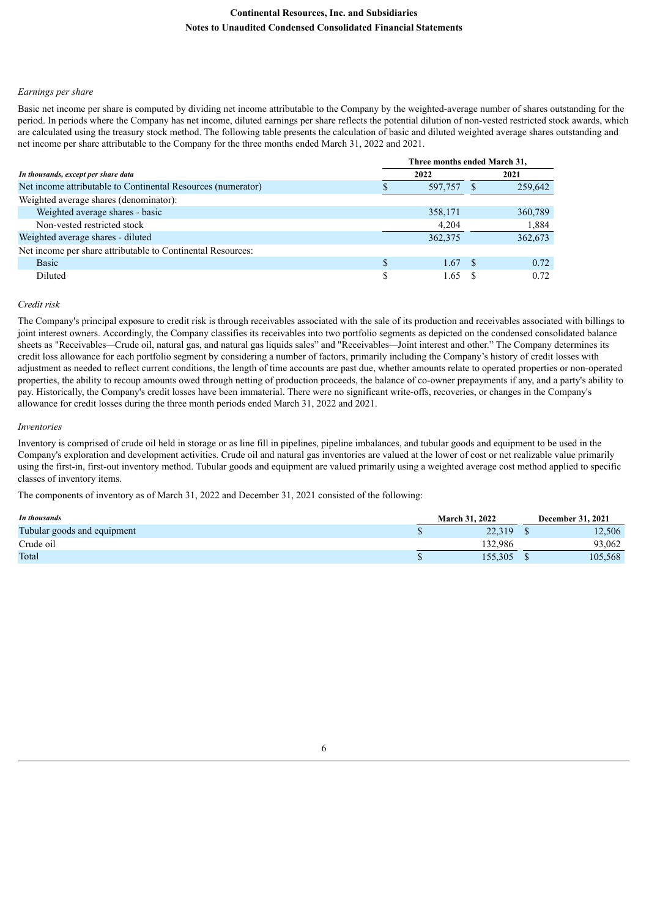#### *Earnings per share*

Basic net income per share is computed by dividing net income attributable to the Company by the weighted-average number of shares outstanding for the period. In periods where the Company has net income, diluted earnings per share reflects the potential dilution of non-vested restricted stock awards, which are calculated using the treasury stock method. The following table presents the calculation of basic and diluted weighted average shares outstanding and net income per share attributable to the Company for the three months ended March 31, 2022 and 2021.

|                                                              | Three months ended March 31, |         |      |         |  |  |  |
|--------------------------------------------------------------|------------------------------|---------|------|---------|--|--|--|
| In thousands, except per share data                          |                              | 2022    | 2021 |         |  |  |  |
| Net income attributable to Continental Resources (numerator) |                              | 597,757 |      | 259,642 |  |  |  |
| Weighted average shares (denominator):                       |                              |         |      |         |  |  |  |
| Weighted average shares - basic                              |                              | 358,171 |      | 360,789 |  |  |  |
| Non-vested restricted stock                                  |                              | 4,204   |      | 1,884   |  |  |  |
| Weighted average shares - diluted                            |                              | 362,375 |      | 362,673 |  |  |  |
| Net income per share attributable to Continental Resources:  |                              |         |      |         |  |  |  |
| <b>Basic</b>                                                 |                              | 1.67    | - \$ | 0.72    |  |  |  |
| Diluted                                                      |                              | 1.65    |      | 0.72    |  |  |  |

## *Credit risk*

The Company's principal exposure to credit risk is through receivables associated with the sale of its production and receivables associated with billings to joint interest owners. Accordingly, the Company classifies its receivables into two portfolio segments as depicted on the condensed consolidated balance sheets as "Receivables*—*Crude oil, natural gas, and natural gas liquids sales" and "Receivables*—*Joint interest and other." The Company determines its credit loss allowance for each portfolio segment by considering a number of factors, primarily including the Company's history of credit losses with adjustment as needed to reflect current conditions, the length of time accounts are past due, whether amounts relate to operated properties or non-operated properties, the ability to recoup amounts owed through netting of production proceeds, the balance of co-owner prepayments if any, and a party's ability to pay. Historically, the Company's credit losses have been immaterial. There were no significant write-offs, recoveries, or changes in the Company's allowance for credit losses during the three month periods ended March 31, 2022 and 2021.

#### *Inventories*

Inventory is comprised of crude oil held in storage or as line fill in pipelines, pipeline imbalances, and tubular goods and equipment to be used in the Company's exploration and development activities. Crude oil and natural gas inventories are valued at the lower of cost or net realizable value primarily using the first-in, first-out inventory method. Tubular goods and equipment are valued primarily using a weighted average cost method applied to specific classes of inventory items.

The components of inventory as of March 31, 2022 and December 31, 2021 consisted of the following:

| In thousands                | <b>March 31, 2022</b> | <b>December 31, 2021</b> |
|-----------------------------|-----------------------|--------------------------|
| Tubular goods and equipment | 22.319                | 12,506                   |
| Crude oil                   | 32.986                | 93.062                   |
| Total                       | 155.305               | 105,568                  |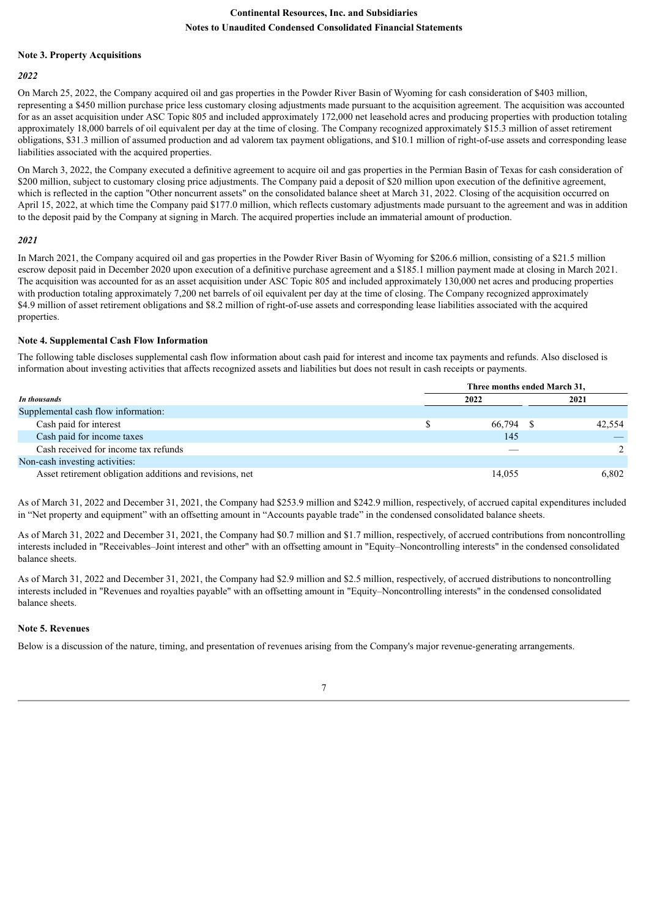## **Note 3. Property Acquisitions**

#### *2022*

On March 25, 2022, the Company acquired oil and gas properties in the Powder River Basin of Wyoming for cash consideration of \$403 million, representing a \$450 million purchase price less customary closing adjustments made pursuant to the acquisition agreement. The acquisition was accounted for as an asset acquisition under ASC Topic 805 and included approximately 172,000 net leasehold acres and producing properties with production totaling approximately 18,000 barrels of oil equivalent per day at the time of closing. The Company recognized approximately \$15.3 million of asset retirement obligations, \$31.3 million of assumed production and ad valorem tax payment obligations, and \$10.1 million of right-of-use assets and corresponding lease liabilities associated with the acquired properties.

On March 3, 2022, the Company executed a definitive agreement to acquire oil and gas properties in the Permian Basin of Texas for cash consideration of \$200 million, subject to customary closing price adjustments. The Company paid a deposit of \$20 million upon execution of the definitive agreement, which is reflected in the caption "Other noncurrent assets" on the consolidated balance sheet at March 31, 2022. Closing of the acquisition occurred on April 15, 2022, at which time the Company paid \$177.0 million, which reflects customary adjustments made pursuant to the agreement and was in addition to the deposit paid by the Company at signing in March. The acquired properties include an immaterial amount of production.

#### *2021*

In March 2021, the Company acquired oil and gas properties in the Powder River Basin of Wyoming for \$206.6 million, consisting of a \$21.5 million escrow deposit paid in December 2020 upon execution of a definitive purchase agreement and a \$185.1 million payment made at closing in March 2021. The acquisition was accounted for as an asset acquisition under ASC Topic 805 and included approximately 130,000 net acres and producing properties with production totaling approximately 7,200 net barrels of oil equivalent per day at the time of closing. The Company recognized approximately \$4.9 million of asset retirement obligations and \$8.2 million of right-of-use assets and corresponding lease liabilities associated with the acquired properties.

#### **Note 4. Supplemental Cash Flow Information**

The following table discloses supplemental cash flow information about cash paid for interest and income tax payments and refunds. Also disclosed is information about investing activities that affects recognized assets and liabilities but does not result in cash receipts or payments.

|                                                          | Three months ended March 31, |        |  |        |  |  |  |
|----------------------------------------------------------|------------------------------|--------|--|--------|--|--|--|
| In thousands                                             |                              | 2022   |  | 2021   |  |  |  |
| Supplemental cash flow information:                      |                              |        |  |        |  |  |  |
| Cash paid for interest                                   |                              | 66,794 |  | 42.554 |  |  |  |
| Cash paid for income taxes                               |                              | 145    |  |        |  |  |  |
| Cash received for income tax refunds                     |                              |        |  |        |  |  |  |
| Non-cash investing activities:                           |                              |        |  |        |  |  |  |
| Asset retirement obligation additions and revisions, net |                              | 14,055 |  | 6.802  |  |  |  |

As of March 31, 2022 and December 31, 2021, the Company had \$253.9 million and \$242.9 million, respectively, of accrued capital expenditures included in "Net property and equipment" with an offsetting amount in "Accounts payable trade" in the condensed consolidated balance sheets.

As of March 31, 2022 and December 31, 2021, the Company had \$0.7 million and \$1.7 million, respectively, of accrued contributions from noncontrolling interests included in "Receivables*–*Joint interest and other" with an offsetting amount in "Equity*–*Noncontrolling interests" in the condensed consolidated balance sheets.

As of March 31, 2022 and December 31, 2021, the Company had \$2.9 million and \$2.5 million, respectively, of accrued distributions to noncontrolling interests included in "Revenues and royalties payable" with an offsetting amount in "Equity*–*Noncontrolling interests" in the condensed consolidated balance sheets.

#### **Note 5. Revenues**

Below is a discussion of the nature, timing, and presentation of revenues arising from the Company's major revenue-generating arrangements.

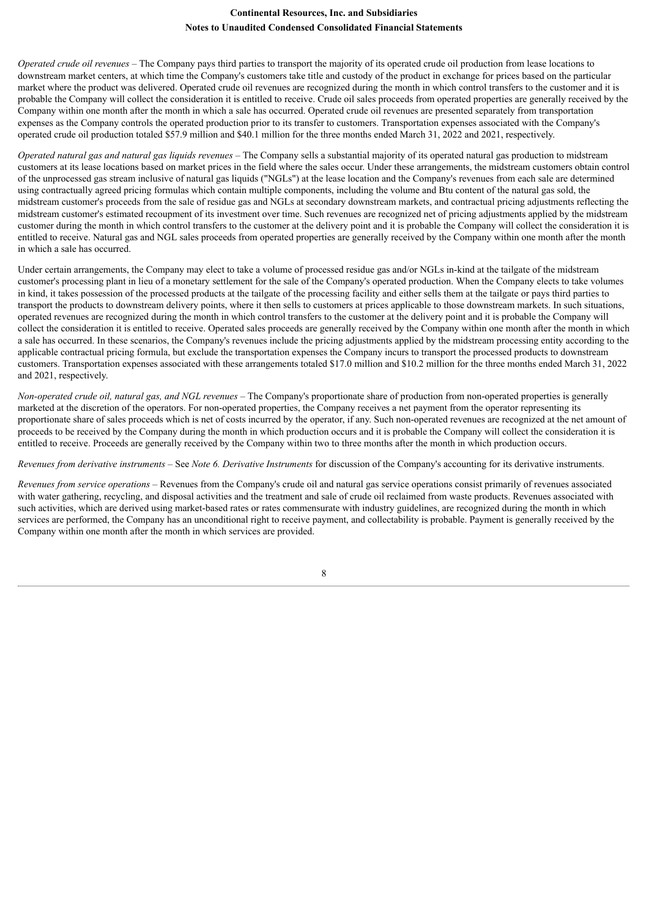*Operated crude oil revenues –* The Company pays third parties to transport the majority of its operated crude oil production from lease locations to downstream market centers, at which time the Company's customers take title and custody of the product in exchange for prices based on the particular market where the product was delivered. Operated crude oil revenues are recognized during the month in which control transfers to the customer and it is probable the Company will collect the consideration it is entitled to receive. Crude oil sales proceeds from operated properties are generally received by the Company within one month after the month in which a sale has occurred. Operated crude oil revenues are presented separately from transportation expenses as the Company controls the operated production prior to its transfer to customers. Transportation expenses associated with the Company's operated crude oil production totaled \$57.9 million and \$40.1 million for the three months ended March 31, 2022 and 2021, respectively.

*Operated natural gas and natural gas liquids revenues –* The Company sells a substantial majority of its operated natural gas production to midstream customers at its lease locations based on market prices in the field where the sales occur. Under these arrangements, the midstream customers obtain control of the unprocessed gas stream inclusive of natural gas liquids ("NGLs") at the lease location and the Company's revenues from each sale are determined using contractually agreed pricing formulas which contain multiple components, including the volume and Btu content of the natural gas sold, the midstream customer's proceeds from the sale of residue gas and NGLs at secondary downstream markets, and contractual pricing adjustments reflecting the midstream customer's estimated recoupment of its investment over time. Such revenues are recognized net of pricing adjustments applied by the midstream customer during the month in which control transfers to the customer at the delivery point and it is probable the Company will collect the consideration it is entitled to receive. Natural gas and NGL sales proceeds from operated properties are generally received by the Company within one month after the month in which a sale has occurred.

Under certain arrangements, the Company may elect to take a volume of processed residue gas and/or NGLs in-kind at the tailgate of the midstream customer's processing plant in lieu of a monetary settlement for the sale of the Company's operated production. When the Company elects to take volumes in kind, it takes possession of the processed products at the tailgate of the processing facility and either sells them at the tailgate or pays third parties to transport the products to downstream delivery points, where it then sells to customers at prices applicable to those downstream markets. In such situations, operated revenues are recognized during the month in which control transfers to the customer at the delivery point and it is probable the Company will collect the consideration it is entitled to receive. Operated sales proceeds are generally received by the Company within one month after the month in which a sale has occurred. In these scenarios, the Company's revenues include the pricing adjustments applied by the midstream processing entity according to the applicable contractual pricing formula, but exclude the transportation expenses the Company incurs to transport the processed products to downstream customers. Transportation expenses associated with these arrangements totaled \$17.0 million and \$10.2 million for the three months ended March 31, 2022 and 2021, respectively.

*Non-operated crude oil, natural gas, and NGL revenues –* The Company's proportionate share of production from non-operated properties is generally marketed at the discretion of the operators. For non-operated properties, the Company receives a net payment from the operator representing its proportionate share of sales proceeds which is net of costs incurred by the operator, if any. Such non-operated revenues are recognized at the net amount of proceeds to be received by the Company during the month in which production occurs and it is probable the Company will collect the consideration it is entitled to receive. Proceeds are generally received by the Company within two to three months after the month in which production occurs.

*Revenues from derivative instruments –* See *Note 6. Derivative Instruments* for discussion of the Company's accounting for its derivative instruments.

*Revenues from service operations –* Revenues from the Company's crude oil and natural gas service operations consist primarily of revenues associated with water gathering, recycling, and disposal activities and the treatment and sale of crude oil reclaimed from waste products. Revenues associated with such activities, which are derived using market-based rates or rates commensurate with industry guidelines, are recognized during the month in which services are performed, the Company has an unconditional right to receive payment, and collectability is probable. Payment is generally received by the Company within one month after the month in which services are provided.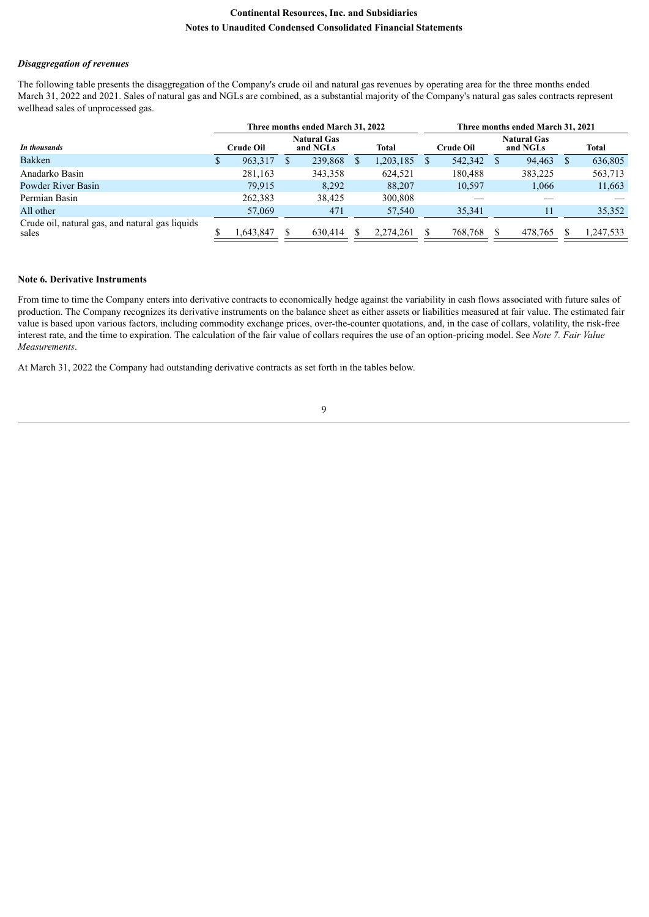#### *Disaggregation of revenues*

The following table presents the disaggregation of the Company's crude oil and natural gas revenues by operating area for the three months ended March 31, 2022 and 2021. Sales of natural gas and NGLs are combined, as a substantial majority of the Company's natural gas sales contracts represent wellhead sales of unprocessed gas.

|                                                          | Three months ended March 31, 2022 |           |  |                                         |  | Three months ended March 31, 2021 |               |         |  |                                |   |              |
|----------------------------------------------------------|-----------------------------------|-----------|--|-----------------------------------------|--|-----------------------------------|---------------|---------|--|--------------------------------|---|--------------|
| In thousands                                             | Crude Oil                         |           |  | <b>Natural Gas</b><br>Total<br>and NGLs |  |                                   | Crude Oil     |         |  | <b>Natural Gas</b><br>and NGLs |   | <b>Total</b> |
| Bakken                                                   | \$                                | 963,317   |  | 239,868                                 |  | 1,203,185                         | <sup>\$</sup> | 542,342 |  | 94,463                         | S | 636,805      |
| Anadarko Basin                                           |                                   | 281,163   |  | 343,358                                 |  | 624.521                           |               | 180,488 |  | 383,225                        |   | 563,713      |
| Powder River Basin                                       |                                   | 79,915    |  | 8,292                                   |  | 88,207                            |               | 10,597  |  | 1,066                          |   | 11,663       |
| Permian Basin                                            |                                   | 262,383   |  | 38,425                                  |  | 300,808                           |               |         |  |                                |   |              |
| All other                                                |                                   | 57,069    |  | 471                                     |  | 57,540                            |               | 35,341  |  | ۱۱                             |   | 35,352       |
| Crude oil, natural gas, and natural gas liquids<br>sales |                                   | 847.643 ل |  | 630.414                                 |  | 2.274.261                         |               | 768,768 |  | 478.765                        |   | 1,247,533    |

# **Note 6. Derivative Instruments**

From time to time the Company enters into derivative contracts to economically hedge against the variability in cash flows associated with future sales of production. The Company recognizes its derivative instruments on the balance sheet as either assets or liabilities measured at fair value. The estimated fair value is based upon various factors, including commodity exchange prices, over-the-counter quotations, and, in the case of collars, volatility, the risk-free interest rate, and the time to expiration. The calculation of the fair value of collars requires the use of an option-pricing model. See *Note 7. Fair Value Measurements*.

At March 31, 2022 the Company had outstanding derivative contracts as set forth in the tables below.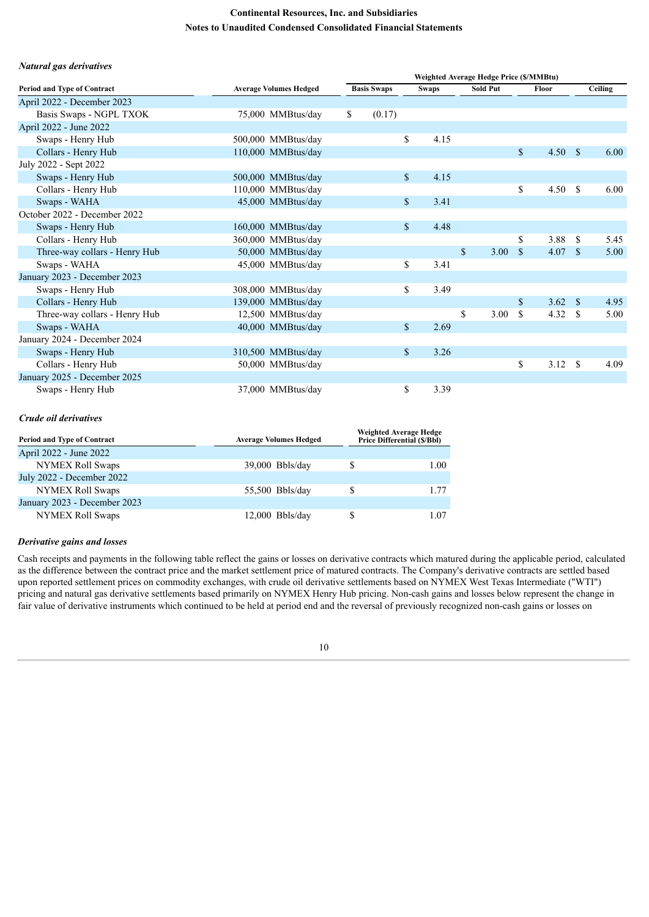#### *Natural gas derivatives*

|                                    |                               | Weighted Average Hedge Price (\$/MMBtu) |                    |                      |  |                      |               |      |               |         |
|------------------------------------|-------------------------------|-----------------------------------------|--------------------|----------------------|--|----------------------|---------------|------|---------------|---------|
| <b>Period and Type of Contract</b> | <b>Average Volumes Hedged</b> |                                         | <b>Basis Swaps</b> |                      |  | <b>Sold Put</b>      | Floor         |      |               | Ceiling |
| April 2022 - December 2023         |                               |                                         |                    |                      |  |                      |               |      |               |         |
| Basis Swaps - NGPL TXOK            | 75,000 MMBtus/day             | \$                                      | (0.17)             |                      |  |                      |               |      |               |         |
| April 2022 - June 2022             |                               |                                         |                    |                      |  |                      |               |      |               |         |
| Swaps - Henry Hub                  | 500,000 MMBtus/day            |                                         |                    | \$<br>4.15           |  |                      |               |      |               |         |
| Collars - Henry Hub                | 110,000 MMBtus/day            |                                         |                    |                      |  |                      | <sup>\$</sup> | 4.50 | - \$          | 6.00    |
| July 2022 - Sept 2022              |                               |                                         |                    |                      |  |                      |               |      |               |         |
| Swaps - Henry Hub                  | 500,000 MMBtus/day            |                                         |                    | $\mathbf S$<br>4.15  |  |                      |               |      |               |         |
| Collars - Henry Hub                | 110,000 MMBtus/day            |                                         |                    |                      |  |                      | \$            | 4.50 | $\mathcal{S}$ | 6.00    |
| Swaps - WAHA                       | 45,000 MMBtus/day             |                                         |                    | \$<br>3.41           |  |                      |               |      |               |         |
| October 2022 - December 2022       |                               |                                         |                    |                      |  |                      |               |      |               |         |
| Swaps - Henry Hub                  | 160,000 MMBtus/day            |                                         |                    | $\mathbb{S}$<br>4.48 |  |                      |               |      |               |         |
| Collars - Henry Hub                | 360,000 MMBtus/day            |                                         |                    |                      |  |                      | \$            | 3.88 | <sup>\$</sup> | 5.45    |
| Three-way collars - Henry Hub      | 50,000 MMBtus/day             |                                         |                    |                      |  | $\mathbb{S}$<br>3.00 | <sup>S</sup>  | 4.07 | <sup>\$</sup> | 5.00    |
| Swaps - WAHA                       | 45,000 MMBtus/day             |                                         |                    | 3.41<br>\$           |  |                      |               |      |               |         |
| January 2023 - December 2023       |                               |                                         |                    |                      |  |                      |               |      |               |         |
| Swaps - Henry Hub                  | 308,000 MMBtus/day            |                                         |                    | \$<br>3.49           |  |                      |               |      |               |         |
| Collars - Henry Hub                | 139,000 MMBtus/day            |                                         |                    |                      |  |                      | $\mathbf S$   | 3.62 | -S            | 4.95    |
| Three-way collars - Henry Hub      | 12,500 MMBtus/day             |                                         |                    |                      |  | \$<br>3.00           | <sup>\$</sup> | 4.32 | -S            | 5.00    |
| Swaps - WAHA                       | 40,000 MMBtus/day             |                                         |                    | $\mathbf S$<br>2.69  |  |                      |               |      |               |         |
| January 2024 - December 2024       |                               |                                         |                    |                      |  |                      |               |      |               |         |
| Swaps - Henry Hub                  | 310,500 MMBtus/day            |                                         |                    | $\mathbf{s}$<br>3.26 |  |                      |               |      |               |         |
| Collars - Henry Hub                | 50,000 MMBtus/day             |                                         |                    |                      |  |                      | \$            | 3.12 | S             | 4.09    |
| January 2025 - December 2025       |                               |                                         |                    |                      |  |                      |               |      |               |         |
| Swaps - Henry Hub                  | 37,000 MMBtus/day             |                                         |                    | \$<br>3.39           |  |                      |               |      |               |         |

#### *Crude oil derivatives*

| <b>Period and Type of Contract</b> | <b>Average Volumes Hedged</b> | Weighted Average Hedge<br><b>Price Differential (\$/Bbl)</b> |      |  |  |  |
|------------------------------------|-------------------------------|--------------------------------------------------------------|------|--|--|--|
| April 2022 - June 2022             |                               |                                                              |      |  |  |  |
| <b>NYMEX Roll Swaps</b>            | $39,000$ Bbls/day             | S                                                            | 1.00 |  |  |  |
| July 2022 - December 2022          |                               |                                                              |      |  |  |  |
| <b>NYMEX Roll Swaps</b>            | $55,500$ Bbls/day             |                                                              | 1 77 |  |  |  |
| January 2023 - December 2023       |                               |                                                              |      |  |  |  |
| <b>NYMEX Roll Swaps</b>            | $12,000$ Bbls/day             |                                                              | -07  |  |  |  |

# *Derivative gains and losses*

Cash receipts and payments in the following table reflect the gains or losses on derivative contracts which matured during the applicable period, calculated as the difference between the contract price and the market settlement price of matured contracts. The Company's derivative contracts are settled based upon reported settlement prices on commodity exchanges, with crude oil derivative settlements based on NYMEX West Texas Intermediate ("WTI") pricing and natural gas derivative settlements based primarily on NYMEX Henry Hub pricing. Non-cash gains and losses below represent the change in fair value of derivative instruments which continued to be held at period end and the reversal of previously recognized non-cash gains or losses on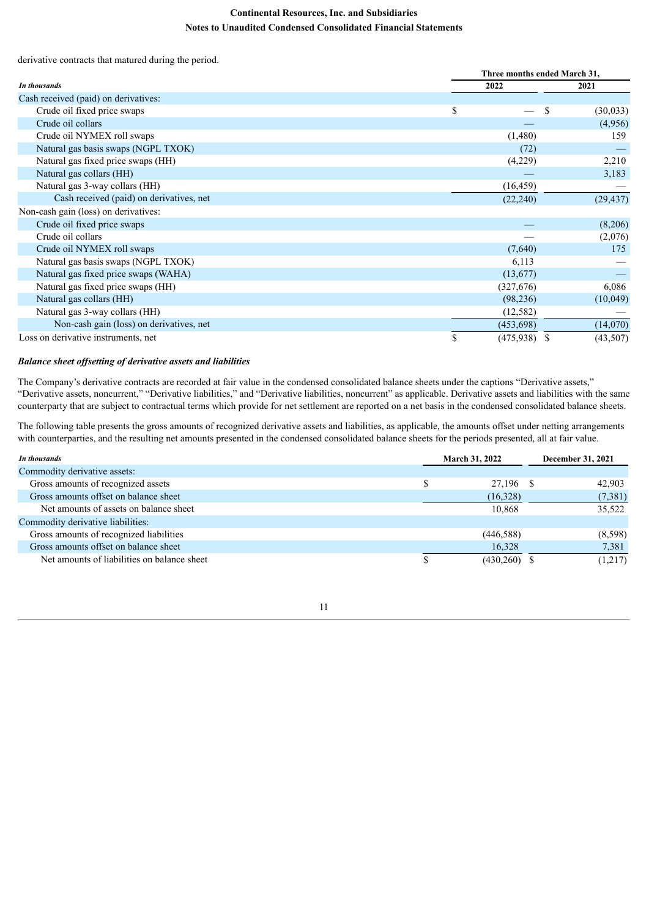derivative contracts that matured during the period.

|                                          |      | Three months ended March 31, |           |  |  |  |  |  |  |
|------------------------------------------|------|------------------------------|-----------|--|--|--|--|--|--|
| In thousands                             | 2022 |                              | 2021      |  |  |  |  |  |  |
| Cash received (paid) on derivatives:     |      |                              |           |  |  |  |  |  |  |
| Crude oil fixed price swaps              | \$   |                              | (30,033)  |  |  |  |  |  |  |
| Crude oil collars                        |      |                              | (4,956)   |  |  |  |  |  |  |
| Crude oil NYMEX roll swaps               |      | (1,480)                      | 159       |  |  |  |  |  |  |
| Natural gas basis swaps (NGPL TXOK)      |      | (72)                         |           |  |  |  |  |  |  |
| Natural gas fixed price swaps (HH)       |      | (4,229)                      | 2,210     |  |  |  |  |  |  |
| Natural gas collars (HH)                 |      |                              | 3,183     |  |  |  |  |  |  |
| Natural gas 3-way collars (HH)           |      | (16, 459)                    |           |  |  |  |  |  |  |
| Cash received (paid) on derivatives, net |      | (22, 240)                    | (29, 437) |  |  |  |  |  |  |
| Non-cash gain (loss) on derivatives:     |      |                              |           |  |  |  |  |  |  |
| Crude oil fixed price swaps              |      |                              | (8,206)   |  |  |  |  |  |  |
| Crude oil collars                        |      |                              | (2,076)   |  |  |  |  |  |  |
| Crude oil NYMEX roll swaps               |      | (7,640)                      | 175       |  |  |  |  |  |  |
| Natural gas basis swaps (NGPL TXOK)      |      | 6,113                        |           |  |  |  |  |  |  |
| Natural gas fixed price swaps (WAHA)     |      | (13,677)                     |           |  |  |  |  |  |  |
| Natural gas fixed price swaps (HH)       |      | (327,676)                    | 6,086     |  |  |  |  |  |  |
| Natural gas collars (HH)                 |      | (98, 236)                    | (10,049)  |  |  |  |  |  |  |
| Natural gas 3-way collars (HH)           |      | (12, 582)                    |           |  |  |  |  |  |  |
| Non-cash gain (loss) on derivatives, net |      | (453,698)                    | (14,070)  |  |  |  |  |  |  |
| Loss on derivative instruments, net      | S    | $(475,938)$ \$               | (43, 507) |  |  |  |  |  |  |

#### *Balance sheet of setting of derivative assets and liabilities*

The Company's derivative contracts are recorded at fair value in the condensed consolidated balance sheets under the captions "Derivative assets," "Derivative assets, noncurrent," "Derivative liabilities," and "Derivative liabilities, noncurrent" as applicable. Derivative assets and liabilities with the same counterparty that are subject to contractual terms which provide for net settlement are reported on a net basis in the condensed consolidated balance sheets.

The following table presents the gross amounts of recognized derivative assets and liabilities, as applicable, the amounts offset under netting arrangements with counterparties, and the resulting net amounts presented in the condensed consolidated balance sheets for the periods presented, all at fair value.

| In thousands                                | <b>March 31, 2022</b> |                |  | December 31, 2021 |  |  |
|---------------------------------------------|-----------------------|----------------|--|-------------------|--|--|
| Commodity derivative assets:                |                       |                |  |                   |  |  |
| Gross amounts of recognized assets          |                       | 27,196 \$      |  | 42,903            |  |  |
| Gross amounts offset on balance sheet       |                       | (16,328)       |  | (7,381)           |  |  |
| Net amounts of assets on balance sheet      |                       | 10.868         |  | 35,522            |  |  |
| Commodity derivative liabilities:           |                       |                |  |                   |  |  |
| Gross amounts of recognized liabilities     |                       | (446,588)      |  | (8,598)           |  |  |
| Gross amounts offset on balance sheet       |                       | 16,328         |  | 7,381             |  |  |
| Net amounts of liabilities on balance sheet |                       | $(430,260)$ \$ |  | (1,217)           |  |  |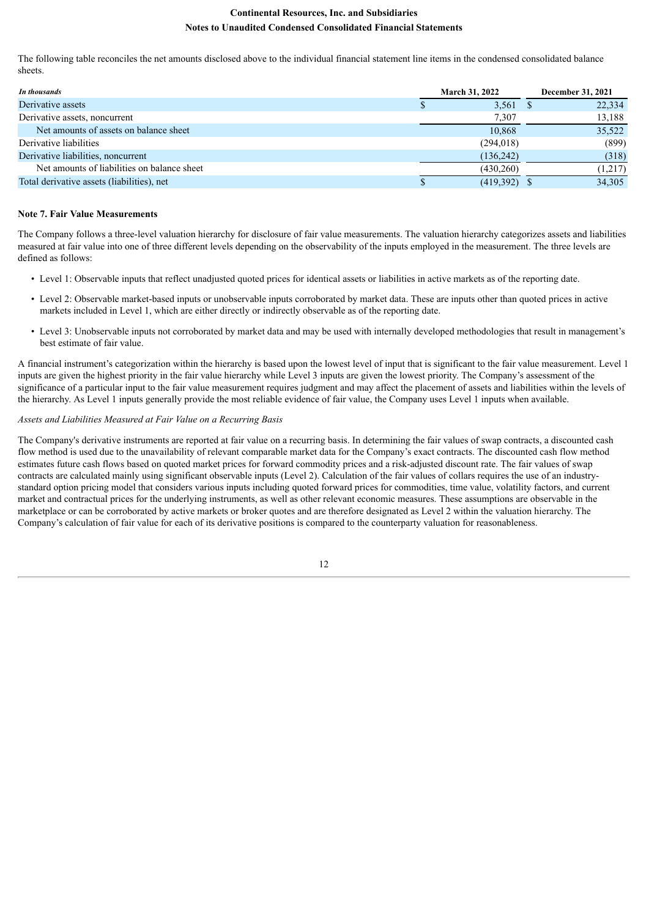The following table reconciles the net amounts disclosed above to the individual financial statement line items in the condensed consolidated balance sheets.

| In thousands                                | <b>March 31, 2022</b> | <b>December 31, 2021</b> |         |  |
|---------------------------------------------|-----------------------|--------------------------|---------|--|
| Derivative assets                           | $3,561$ \$            |                          | 22,334  |  |
| Derivative assets, noncurrent               | 7,307                 |                          | 13,188  |  |
| Net amounts of assets on balance sheet      | 10,868                |                          | 35,522  |  |
| Derivative liabilities                      | (294, 018)            |                          | (899)   |  |
| Derivative liabilities, noncurrent          | (136, 242)            |                          | (318)   |  |
| Net amounts of liabilities on balance sheet | (430, 260)            |                          | (1,217) |  |
| Total derivative assets (liabilities), net  | $(419,392)$ \$        |                          | 34.305  |  |

#### **Note 7. Fair Value Measurements**

The Company follows a three-level valuation hierarchy for disclosure of fair value measurements. The valuation hierarchy categorizes assets and liabilities measured at fair value into one of three different levels depending on the observability of the inputs employed in the measurement. The three levels are defined as follows:

- Level 1: Observable inputs that reflect unadjusted quoted prices for identical assets or liabilities in active markets as of the reporting date.
- Level 2: Observable market-based inputs or unobservable inputs corroborated by market data. These are inputs other than quoted prices in active markets included in Level 1, which are either directly or indirectly observable as of the reporting date.
- Level 3: Unobservable inputs not corroborated by market data and may be used with internally developed methodologies that result in management's best estimate of fair value.

A financial instrument's categorization within the hierarchy is based upon the lowest level of input that is significant to the fair value measurement. Level 1 inputs are given the highest priority in the fair value hierarchy while Level 3 inputs are given the lowest priority. The Company's assessment of the significance of a particular input to the fair value measurement requires judgment and may affect the placement of assets and liabilities within the levels of the hierarchy. As Level 1 inputs generally provide the most reliable evidence of fair value, the Company uses Level 1 inputs when available.

#### *Assets and Liabilities Measured at Fair Value on a Recurring Basis*

The Company's derivative instruments are reported at fair value on a recurring basis. In determining the fair values of swap contracts, a discounted cash flow method is used due to the unavailability of relevant comparable market data for the Company's exact contracts. The discounted cash flow method estimates future cash flows based on quoted market prices for forward commodity prices and a risk-adjusted discount rate. The fair values of swap contracts are calculated mainly using significant observable inputs (Level 2). Calculation of the fair values of collars requires the use of an industrystandard option pricing model that considers various inputs including quoted forward prices for commodities, time value, volatility factors, and current market and contractual prices for the underlying instruments, as well as other relevant economic measures. These assumptions are observable in the marketplace or can be corroborated by active markets or broker quotes and are therefore designated as Level 2 within the valuation hierarchy. The Company's calculation of fair value for each of its derivative positions is compared to the counterparty valuation for reasonableness.

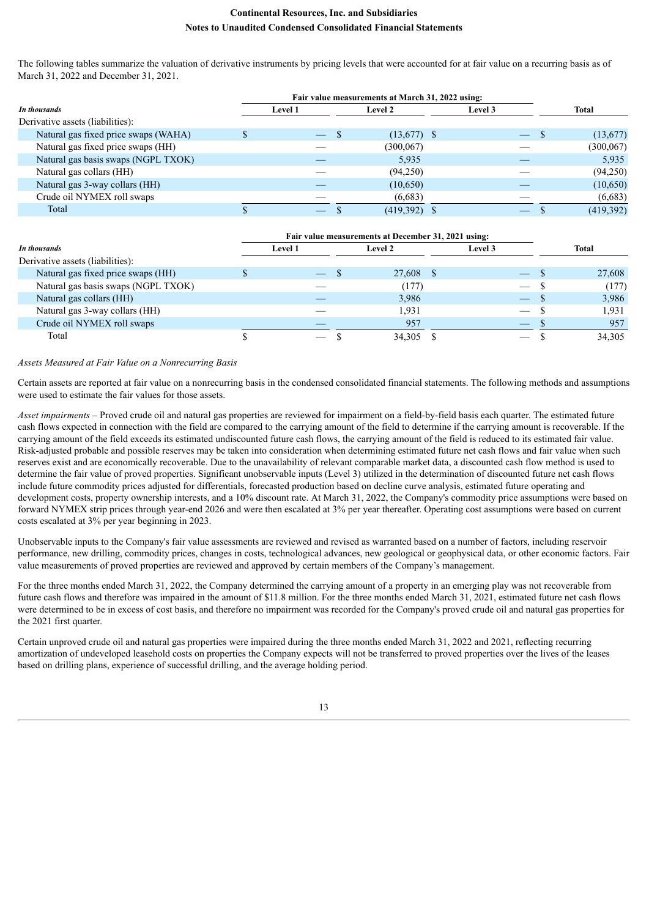The following tables summarize the valuation of derivative instruments by pricing levels that were accounted for at fair value on a recurring basis as of March 31, 2022 and December 31, 2021.

| In thousands                         |  | <b>Level 1</b> | <b>Level 2</b> | Level 3 | Total      |
|--------------------------------------|--|----------------|----------------|---------|------------|
| Derivative assets (liabilities):     |  |                |                |         |            |
| Natural gas fixed price swaps (WAHA) |  |                | $(13,677)$ \$  |         | (13,677)   |
| Natural gas fixed price swaps (HH)   |  |                | (300, 067)     |         | (300, 067) |
| Natural gas basis swaps (NGPL TXOK)  |  |                | 5,935          |         | 5,935      |
| Natural gas collars (HH)             |  |                | (94,250)       |         | (94,250)   |
| Natural gas 3-way collars (HH)       |  |                | (10,650)       |         | (10,650)   |
| Crude oil NYMEX roll swaps           |  |                | (6,683)        |         | (6,683)    |
| Total                                |  |                | (419,392)      |         | (419,392)  |

| In thousands                        |  | <b>Level 1</b>           | <b>Level 2</b> | Level 3           | Total  |
|-------------------------------------|--|--------------------------|----------------|-------------------|--------|
| Derivative assets (liabilities):    |  |                          |                |                   |        |
| Natural gas fixed price swaps (HH)  |  | $\overline{\phantom{a}}$ | 27,608 \$      |                   | 27,608 |
| Natural gas basis swaps (NGPL TXOK) |  |                          | (177)          | $\hspace{0.05cm}$ | (177)  |
| Natural gas collars (HH)            |  |                          | 3,986          |                   | 3,986  |
| Natural gas 3-way collars (HH)      |  |                          | 1.931          |                   | 1,931  |
| Crude oil NYMEX roll swaps          |  |                          | 957            |                   | 957    |
| Total                               |  |                          | 34,305         |                   | 34,305 |

#### *Assets Measured at Fair Value on a Nonrecurring Basis*

Certain assets are reported at fair value on a nonrecurring basis in the condensed consolidated financial statements. The following methods and assumptions were used to estimate the fair values for those assets.

*Asset impairments –* Proved crude oil and natural gas properties are reviewed for impairment on a field-by-field basis each quarter. The estimated future cash flows expected in connection with the field are compared to the carrying amount of the field to determine if the carrying amount is recoverable. If the carrying amount of the field exceeds its estimated undiscounted future cash flows, the carrying amount of the field is reduced to its estimated fair value. Risk-adjusted probable and possible reserves may be taken into consideration when determining estimated future net cash flows and fair value when such reserves exist and are economically recoverable. Due to the unavailability of relevant comparable market data, a discounted cash flow method is used to determine the fair value of proved properties. Significant unobservable inputs (Level 3) utilized in the determination of discounted future net cash flows include future commodity prices adjusted for differentials, forecasted production based on decline curve analysis, estimated future operating and development costs, property ownership interests, and a 10% discount rate. At March 31, 2022, the Company's commodity price assumptions were based on forward NYMEX strip prices through year-end 2026 and were then escalated at 3% per year thereafter. Operating cost assumptions were based on current costs escalated at 3% per year beginning in 2023.

Unobservable inputs to the Company's fair value assessments are reviewed and revised as warranted based on a number of factors, including reservoir performance, new drilling, commodity prices, changes in costs, technological advances, new geological or geophysical data, or other economic factors. Fair value measurements of proved properties are reviewed and approved by certain members of the Company's management.

For the three months ended March 31, 2022, the Company determined the carrying amount of a property in an emerging play was not recoverable from future cash flows and therefore was impaired in the amount of \$11.8 million. For the three months ended March 31, 2021, estimated future net cash flows were determined to be in excess of cost basis, and therefore no impairment was recorded for the Company's proved crude oil and natural gas properties for the 2021 first quarter.

Certain unproved crude oil and natural gas properties were impaired during the three months ended March 31, 2022 and 2021, reflecting recurring amortization of undeveloped leasehold costs on properties the Company expects will not be transferred to proved properties over the lives of the leases based on drilling plans, experience of successful drilling, and the average holding period.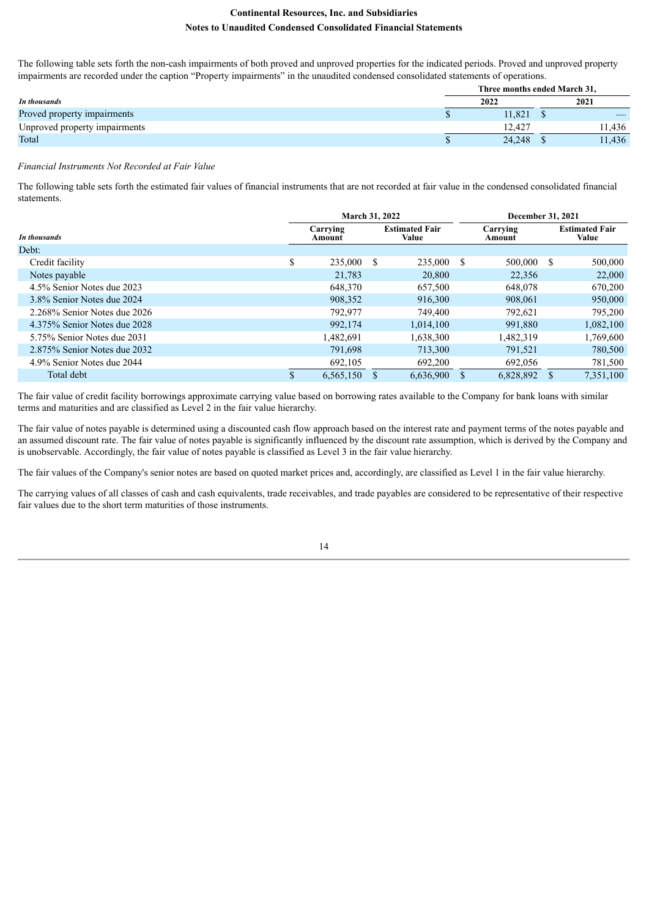The following table sets forth the non-cash impairments of both proved and unproved properties for the indicated periods. Proved and unproved property impairments are recorded under the caption "Property impairments" in the unaudited condensed consolidated statements of operations.

|                               |        | Three months ended March 31, |        |  |
|-------------------------------|--------|------------------------------|--------|--|
| In thousands                  | 2022   |                              | 2021   |  |
| Proved property impairments   | 1.821  |                              |        |  |
| Unproved property impairments | 12.427 |                              | 11.436 |  |
| Total                         | 24.248 |                              | 11,436 |  |

#### *Financial Instruments Not Recorded at Fair Value*

The following table sets forth the estimated fair values of financial instruments that are not recorded at fair value in the condensed consolidated financial statements.

|                              |     | March 31, 2022     |              |                                |      | <b>December 31, 2021</b> |    |                                |  |
|------------------------------|-----|--------------------|--------------|--------------------------------|------|--------------------------|----|--------------------------------|--|
| In thousands                 |     | Carrying<br>Amount |              | <b>Estimated Fair</b><br>Value |      | Carrying<br>Amount       |    | <b>Estimated Fair</b><br>Value |  |
| Debt:                        |     |                    |              |                                |      |                          |    |                                |  |
| Credit facility              | \$  | 235,000            | <sup>S</sup> | 235,000                        | - \$ | 500,000                  | -S | 500,000                        |  |
| Notes payable                |     | 21.783             |              | 20,800                         |      | 22,356                   |    | 22,000                         |  |
| 4.5% Senior Notes due 2023   |     | 648,370            |              | 657,500                        |      | 648,078                  |    | 670,200                        |  |
| 3.8% Senior Notes due 2024   |     | 908,352            |              | 916.300                        |      | 908,061                  |    | 950,000                        |  |
| 2.268% Senior Notes due 2026 |     | 792,977            |              | 749,400                        |      | 792.621                  |    | 795,200                        |  |
| 4.375% Senior Notes due 2028 |     | 992,174            |              | 1.014.100                      |      | 991.880                  |    | 1,082,100                      |  |
| 5.75% Senior Notes due 2031  |     | 1,482,691          |              | .638.300                       |      | 1,482,319                |    | 1,769,600                      |  |
| 2.875% Senior Notes due 2032 |     | 791,698            |              | 713,300                        |      | 791,521                  |    | 780,500                        |  |
| 4.9% Senior Notes due 2044   |     | 692,105            |              | 692,200                        |      | 692,056                  |    | 781,500                        |  |
| Total debt                   | \$. | 6,565,150          |              | 6.636.900                      |      | 6.828.892                |    | 7.351.100                      |  |

The fair value of credit facility borrowings approximate carrying value based on borrowing rates available to the Company for bank loans with similar terms and maturities and are classified as Level 2 in the fair value hierarchy.

The fair value of notes payable is determined using a discounted cash flow approach based on the interest rate and payment terms of the notes payable and an assumed discount rate. The fair value of notes payable is significantly influenced by the discount rate assumption, which is derived by the Company and is unobservable. Accordingly, the fair value of notes payable is classified as Level 3 in the fair value hierarchy.

The fair values of the Company's senior notes are based on quoted market prices and, accordingly, are classified as Level 1 in the fair value hierarchy.

The carrying values of all classes of cash and cash equivalents, trade receivables, and trade payables are considered to be representative of their respective fair values due to the short term maturities of those instruments.

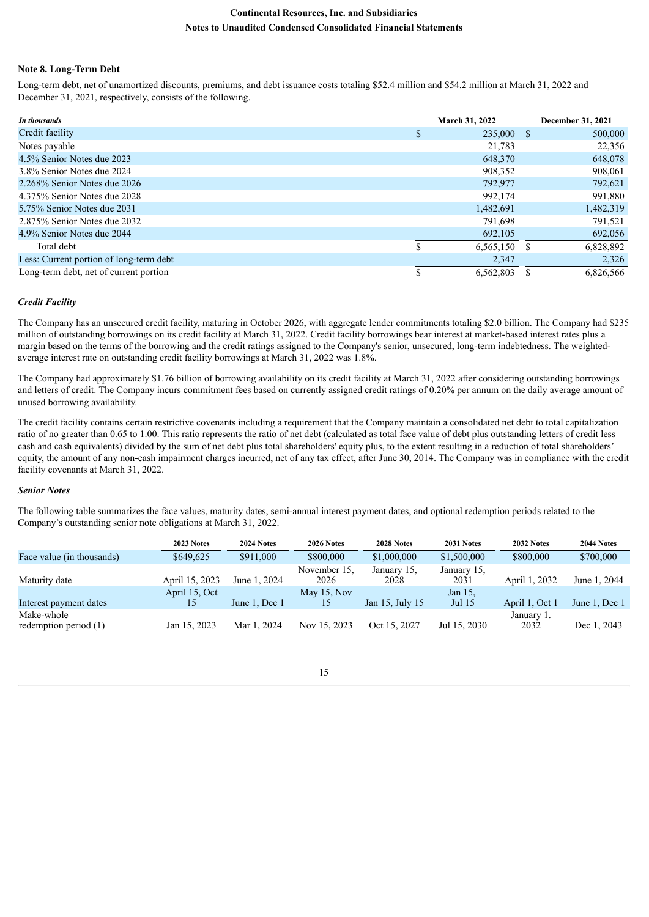#### **Note 8. Long-Term Debt**

Long-term debt, net of unamortized discounts, premiums, and debt issuance costs totaling \$52.4 million and \$54.2 million at March 31, 2022 and December 31, 2021, respectively, consists of the following.

| In thousands                            | <b>March 31, 2022</b> | <b>December 31, 2021</b> |  |  |
|-----------------------------------------|-----------------------|--------------------------|--|--|
| Credit facility                         | 235,000 \$            | 500,000                  |  |  |
| Notes payable                           | 21.783                | 22,356                   |  |  |
| 4.5% Senior Notes due 2023              | 648.370               | 648,078                  |  |  |
| 3.8% Senior Notes due 2024              | 908,352               | 908,061                  |  |  |
| 2.268% Senior Notes due 2026            | 792,977               | 792,621                  |  |  |
| 4.375% Senior Notes due 2028            | 992.174               | 991,880                  |  |  |
| 5.75% Senior Notes due 2031             | 1,482,691             | 1,482,319                |  |  |
| 2.875% Senior Notes due 2032            | 791.698               | 791.521                  |  |  |
| 4.9% Senior Notes due 2044              | 692.105               | 692,056                  |  |  |
| Total debt                              | 6,565,150             | 6,828,892                |  |  |
| Less: Current portion of long-term debt | 2,347                 | 2,326                    |  |  |
| Long-term debt, net of current portion  | 6,562,803             | 6,826,566                |  |  |

## *Credit Facility*

The Company has an unsecured credit facility, maturing in October 2026, with aggregate lender commitments totaling \$2.0 billion. The Company had \$235 million of outstanding borrowings on its credit facility at March 31, 2022. Credit facility borrowings bear interest at market-based interest rates plus a margin based on the terms of the borrowing and the credit ratings assigned to the Company's senior, unsecured, long-term indebtedness. The weightedaverage interest rate on outstanding credit facility borrowings at March 31, 2022 was 1.8%.

The Company had approximately \$1.76 billion of borrowing availability on its credit facility at March 31, 2022 after considering outstanding borrowings and letters of credit. The Company incurs commitment fees based on currently assigned credit ratings of 0.20% per annum on the daily average amount of unused borrowing availability.

The credit facility contains certain restrictive covenants including a requirement that the Company maintain a consolidated net debt to total capitalization ratio of no greater than 0.65 to 1.00. This ratio represents the ratio of net debt (calculated as total face value of debt plus outstanding letters of credit less cash and cash equivalents) divided by the sum of net debt plus total shareholders' equity plus, to the extent resulting in a reduction of total shareholders' equity, the amount of any non-cash impairment charges incurred, net of any tax effect, after June 30, 2014. The Company was in compliance with the credit facility covenants at March 31, 2022.

#### *Senior Notes*

The following table summarizes the face values, maturity dates, semi-annual interest payment dates, and optional redemption periods related to the Company's outstanding senior note obligations at March 31, 2022.

|                                       | 2023 Notes     | 2024 Notes    | 2026 Notes           | 2028 Notes          | 2031 Notes          | 2032 Notes         | 2044 Notes    |
|---------------------------------------|----------------|---------------|----------------------|---------------------|---------------------|--------------------|---------------|
| Face value (in thousands)             | \$649,625      | \$911,000     | \$800,000            | \$1,000,000         | \$1,500,000         | \$800,000          | \$700,000     |
| Maturity date                         | April 15, 2023 | June 1, 2024  | November 15.<br>2026 | January 15,<br>2028 | January 15,<br>2031 | April 1, 2032      | June 1, 2044  |
| Interest payment dates                | April 15, Oct  | June 1, Dec 1 | May 15, Nov<br>15    | Jan 15, July 15     | Jan 15,<br>Jul 15   | April 1, Oct 1     | June 1, Dec 1 |
| Make-whole<br>redemption period $(1)$ | Jan 15, 2023   | Mar 1, 2024   | Nov 15, 2023         | Oct 15, 2027        | Jul 15, 2030        | January 1.<br>2032 | Dec 1, 2043   |

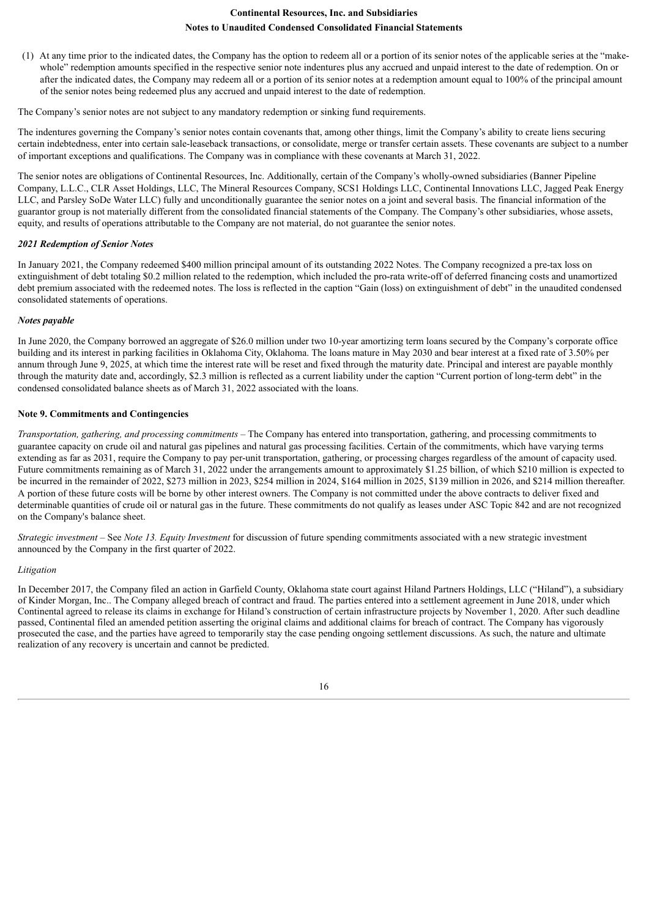(1) At any time prior to the indicated dates, the Company has the option to redeem all or a portion of its senior notes of the applicable series at the "makewhole" redemption amounts specified in the respective senior note indentures plus any accrued and unpaid interest to the date of redemption. On or after the indicated dates, the Company may redeem all or a portion of its senior notes at a redemption amount equal to 100% of the principal amount of the senior notes being redeemed plus any accrued and unpaid interest to the date of redemption.

The Company's senior notes are not subject to any mandatory redemption or sinking fund requirements.

The indentures governing the Company's senior notes contain covenants that, among other things, limit the Company's ability to create liens securing certain indebtedness, enter into certain sale-leaseback transactions, or consolidate, merge or transfer certain assets. These covenants are subject to a number of important exceptions and qualifications. The Company was in compliance with these covenants at March 31, 2022.

The senior notes are obligations of Continental Resources, Inc. Additionally, certain of the Company's wholly-owned subsidiaries (Banner Pipeline Company, L.L.C., CLR Asset Holdings, LLC, The Mineral Resources Company, SCS1 Holdings LLC, Continental Innovations LLC, Jagged Peak Energy LLC, and Parsley SoDe Water LLC) fully and unconditionally guarantee the senior notes on a joint and several basis. The financial information of the guarantor group is not materially different from the consolidated financial statements of the Company. The Company's other subsidiaries, whose assets, equity, and results of operations attributable to the Company are not material, do not guarantee the senior notes.

#### *2021 Redemption of Senior Notes*

In January 2021, the Company redeemed \$400 million principal amount of its outstanding 2022 Notes. The Company recognized a pre-tax loss on extinguishment of debt totaling \$0.2 million related to the redemption, which included the pro-rata write-off of deferred financing costs and unamortized debt premium associated with the redeemed notes. The loss is reflected in the caption "Gain (loss) on extinguishment of debt" in the unaudited condensed consolidated statements of operations.

#### *Notes payable*

In June 2020, the Company borrowed an aggregate of \$26.0 million under two 10-year amortizing term loans secured by the Company's corporate office building and its interest in parking facilities in Oklahoma City, Oklahoma. The loans mature in May 2030 and bear interest at a fixed rate of 3.50% per annum through June 9, 2025, at which time the interest rate will be reset and fixed through the maturity date. Principal and interest are payable monthly through the maturity date and, accordingly, \$2.3 million is reflected as a current liability under the caption "Current portion of long-term debt" in the condensed consolidated balance sheets as of March 31, 2022 associated with the loans.

#### **Note 9. Commitments and Contingencies**

*Transportation, gathering, and processing commitments –* The Company has entered into transportation, gathering, and processing commitments to guarantee capacity on crude oil and natural gas pipelines and natural gas processing facilities. Certain of the commitments, which have varying terms extending as far as 2031, require the Company to pay per-unit transportation, gathering, or processing charges regardless of the amount of capacity used. Future commitments remaining as of March 31, 2022 under the arrangements amount to approximately \$1.25 billion, of which \$210 million is expected to be incurred in the remainder of 2022, \$273 million in 2023, \$254 million in 2024, \$164 million in 2025, \$139 million in 2026, and \$214 million thereafter. A portion of these future costs will be borne by other interest owners. The Company is not committed under the above contracts to deliver fixed and determinable quantities of crude oil or natural gas in the future. These commitments do not qualify as leases under ASC Topic 842 and are not recognized on the Company's balance sheet.

*Strategic investment* – See *Note 13. Equity Investment* for discussion of future spending commitments associated with a new strategic investment announced by the Company in the first quarter of 2022.

#### *Litigation*

In December 2017, the Company filed an action in Garfield County, Oklahoma state court against Hiland Partners Holdings, LLC ("Hiland"), a subsidiary of Kinder Morgan, Inc.. The Company alleged breach of contract and fraud. The parties entered into a settlement agreement in June 2018, under which Continental agreed to release its claims in exchange for Hiland's construction of certain infrastructure projects by November 1, 2020. After such deadline passed, Continental filed an amended petition asserting the original claims and additional claims for breach of contract. The Company has vigorously prosecuted the case, and the parties have agreed to temporarily stay the case pending ongoing settlement discussions. As such, the nature and ultimate realization of any recovery is uncertain and cannot be predicted.

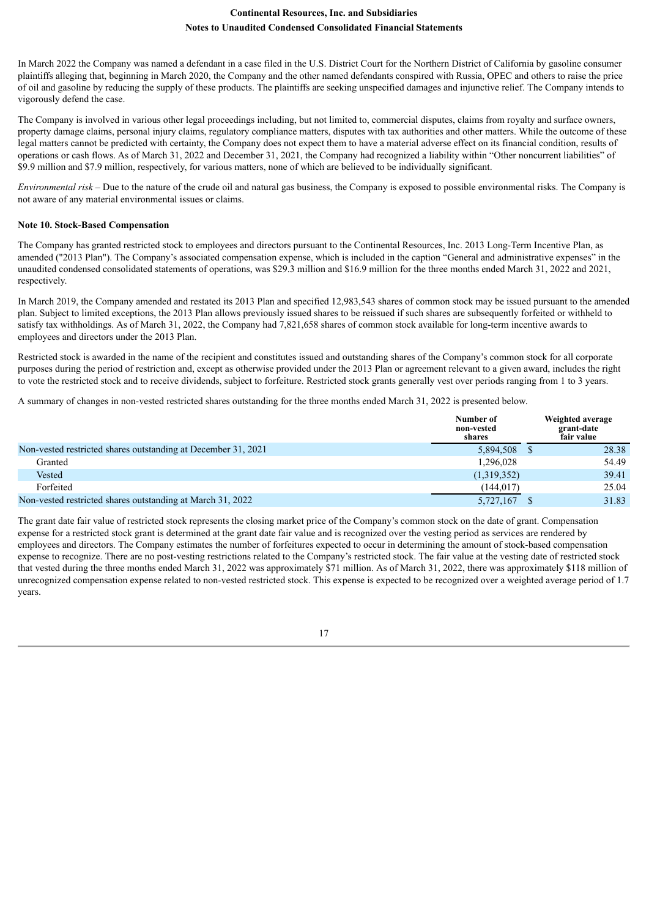In March 2022 the Company was named a defendant in a case filed in the U.S. District Court for the Northern District of California by gasoline consumer plaintiffs alleging that, beginning in March 2020, the Company and the other named defendants conspired with Russia, OPEC and others to raise the price of oil and gasoline by reducing the supply of these products. The plaintiffs are seeking unspecified damages and injunctive relief. The Company intends to vigorously defend the case.

The Company is involved in various other legal proceedings including, but not limited to, commercial disputes, claims from royalty and surface owners, property damage claims, personal injury claims, regulatory compliance matters, disputes with tax authorities and other matters. While the outcome of these legal matters cannot be predicted with certainty, the Company does not expect them to have a material adverse effect on its financial condition, results of operations or cash flows. As of March 31, 2022 and December 31, 2021, the Company had recognized a liability within "Other noncurrent liabilities" of \$9.9 million and \$7.9 million, respectively, for various matters, none of which are believed to be individually significant.

*Environmental risk –* Due to the nature of the crude oil and natural gas business, the Company is exposed to possible environmental risks. The Company is not aware of any material environmental issues or claims.

#### **Note 10. Stock-Based Compensation**

The Company has granted restricted stock to employees and directors pursuant to the Continental Resources, Inc. 2013 Long-Term Incentive Plan, as amended ("2013 Plan"). The Company's associated compensation expense, which is included in the caption "General and administrative expenses" in the unaudited condensed consolidated statements of operations, was \$29.3 million and \$16.9 million for the three months ended March 31, 2022 and 2021, respectively.

In March 2019, the Company amended and restated its 2013 Plan and specified 12,983,543 shares of common stock may be issued pursuant to the amended plan. Subject to limited exceptions, the 2013 Plan allows previously issued shares to be reissued if such shares are subsequently forfeited or withheld to satisfy tax withholdings. As of March 31, 2022, the Company had 7,821,658 shares of common stock available for long-term incentive awards to employees and directors under the 2013 Plan.

Restricted stock is awarded in the name of the recipient and constitutes issued and outstanding shares of the Company's common stock for all corporate purposes during the period of restriction and, except as otherwise provided under the 2013 Plan or agreement relevant to a given award, includes the right to vote the restricted stock and to receive dividends, subject to forfeiture. Restricted stock grants generally vest over periods ranging from 1 to 3 years.

A summary of changes in non-vested restricted shares outstanding for the three months ended March 31, 2022 is presented below.

|                                                               | Number of<br>non-vested<br>shares | Weighted average<br>grant-date<br>fair value |
|---------------------------------------------------------------|-----------------------------------|----------------------------------------------|
| Non-vested restricted shares outstanding at December 31, 2021 | 5,894,508 \$                      | 28.38                                        |
| Granted                                                       | 1,296,028                         | 54.49                                        |
| Vested                                                        | (1,319,352)                       | 39.41                                        |
| Forfeited                                                     | (144.017)                         | 25.04                                        |
| Non-vested restricted shares outstanding at March 31, 2022    | 5,727,167                         | 31.83                                        |

The grant date fair value of restricted stock represents the closing market price of the Company's common stock on the date of grant. Compensation expense for a restricted stock grant is determined at the grant date fair value and is recognized over the vesting period as services are rendered by employees and directors. The Company estimates the number of forfeitures expected to occur in determining the amount of stock-based compensation expense to recognize. There are no post-vesting restrictions related to the Company's restricted stock. The fair value at the vesting date of restricted stock that vested during the three months ended March 31, 2022 was approximately \$71 million. As of March 31, 2022, there was approximately \$118 million of unrecognized compensation expense related to non-vested restricted stock. This expense is expected to be recognized over a weighted average period of 1.7 years.

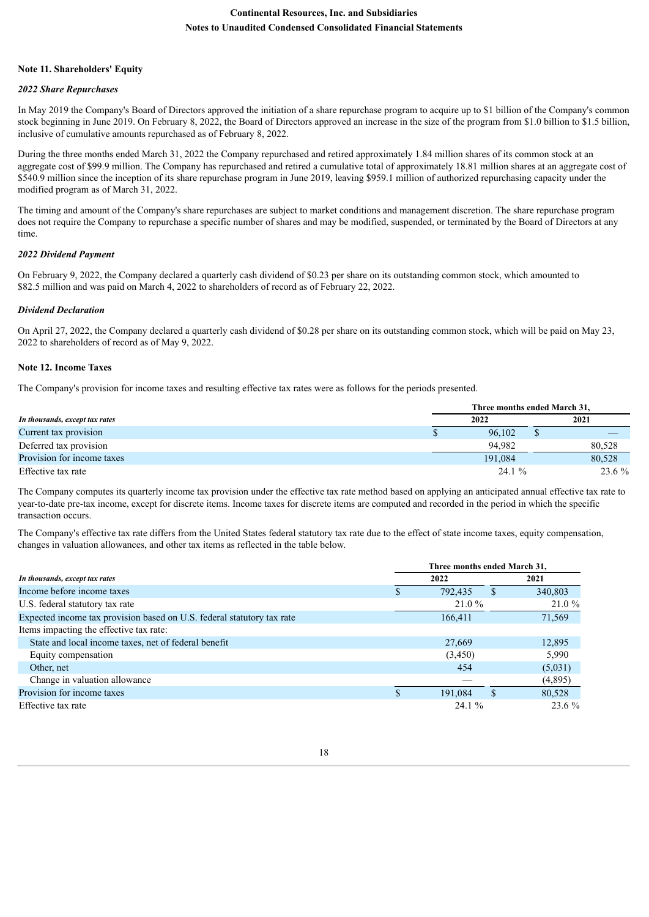#### **Note 11. Shareholders' Equity**

## *2022 Share Repurchases*

In May 2019 the Company's Board of Directors approved the initiation of a share repurchase program to acquire up to \$1 billion of the Company's common stock beginning in June 2019. On February 8, 2022, the Board of Directors approved an increase in the size of the program from \$1.0 billion to \$1.5 billion, inclusive of cumulative amounts repurchased as of February 8, 2022.

During the three months ended March 31, 2022 the Company repurchased and retired approximately 1.84 million shares of its common stock at an aggregate cost of \$99.9 million. The Company has repurchased and retired a cumulative total of approximately 18.81 million shares at an aggregate cost of \$540.9 million since the inception of its share repurchase program in June 2019, leaving \$959.1 million of authorized repurchasing capacity under the modified program as of March 31, 2022.

The timing and amount of the Company's share repurchases are subject to market conditions and management discretion. The share repurchase program does not require the Company to repurchase a specific number of shares and may be modified, suspended, or terminated by the Board of Directors at any time.

## *2022 Dividend Payment*

On February 9, 2022, the Company declared a quarterly cash dividend of \$0.23 per share on its outstanding common stock, which amounted to \$82.5 million and was paid on March 4, 2022 to shareholders of record as of February 22, 2022.

## *Dividend Declaration*

On April 27, 2022, the Company declared a quarterly cash dividend of \$0.28 per share on its outstanding common stock, which will be paid on May 23, 2022 to shareholders of record as of May 9, 2022.

## **Note 12. Income Taxes**

The Company's provision for income taxes and resulting effective tax rates were as follows for the periods presented.

|                                |  | Three months ended March 31. |      |        |  |  |  |  |  |
|--------------------------------|--|------------------------------|------|--------|--|--|--|--|--|
| In thousands, except tax rates |  | 2022                         | 2021 |        |  |  |  |  |  |
| Current tax provision          |  | 96.102                       |      |        |  |  |  |  |  |
| Deferred tax provision         |  | 94.982                       |      | 80,528 |  |  |  |  |  |
| Provision for income taxes     |  | 191.084                      |      | 80,528 |  |  |  |  |  |
| Effective tax rate             |  | 24.1%                        |      | 23.6 % |  |  |  |  |  |

The Company computes its quarterly income tax provision under the effective tax rate method based on applying an anticipated annual effective tax rate to year-to-date pre-tax income, except for discrete items. Income taxes for discrete items are computed and recorded in the period in which the specific transaction occurs.

The Company's effective tax rate differs from the United States federal statutory tax rate due to the effect of state income taxes, equity compensation, changes in valuation allowances, and other tax items as reflected in the table below.

|                                                                        | Three months ended March 31, |         |    |          |  |
|------------------------------------------------------------------------|------------------------------|---------|----|----------|--|
| In thousands, except tax rates                                         |                              | 2022    |    | 2021     |  |
| Income before income taxes                                             |                              | 792,435 |    | 340,803  |  |
| U.S. federal statutory tax rate                                        |                              | 21.0 %  |    | 21.0%    |  |
| Expected income tax provision based on U.S. federal statutory tax rate |                              | 166,411 |    | 71,569   |  |
| Items impacting the effective tax rate:                                |                              |         |    |          |  |
| State and local income taxes, net of federal benefit                   |                              | 27,669  |    | 12,895   |  |
| Equity compensation                                                    |                              | (3,450) |    | 5,990    |  |
| Other, net                                                             |                              | 454     |    | (5,031)  |  |
| Change in valuation allowance                                          |                              |         |    | (4,895)  |  |
| Provision for income taxes                                             | \$.                          | 191,084 | S. | 80,528   |  |
| Effective tax rate                                                     |                              | 24.1%   |    | $23.6\%$ |  |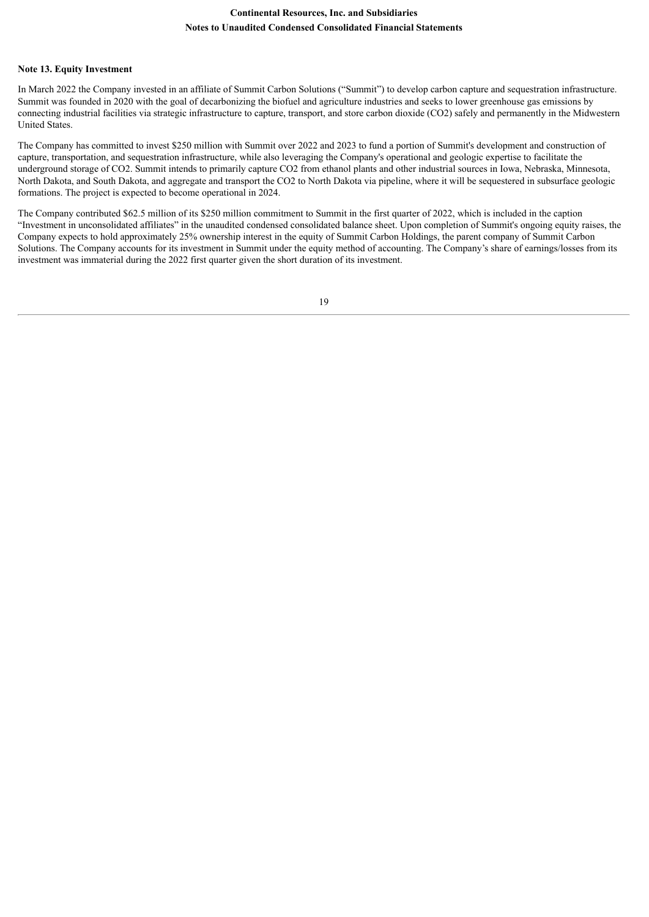#### **Note 13. Equity Investment**

In March 2022 the Company invested in an affiliate of Summit Carbon Solutions ("Summit") to develop carbon capture and sequestration infrastructure. Summit was founded in 2020 with the goal of decarbonizing the biofuel and agriculture industries and seeks to lower greenhouse gas emissions by connecting industrial facilities via strategic infrastructure to capture, transport, and store carbon dioxide (CO2) safely and permanently in the Midwestern United States.

The Company has committed to invest \$250 million with Summit over 2022 and 2023 to fund a portion of Summit's development and construction of capture, transportation, and sequestration infrastructure, while also leveraging the Company's operational and geologic expertise to facilitate the underground storage of CO2. Summit intends to primarily capture CO2 from ethanol plants and other industrial sources in Iowa, Nebraska, Minnesota, North Dakota, and South Dakota, and aggregate and transport the CO2 to North Dakota via pipeline, where it will be sequestered in subsurface geologic formations. The project is expected to become operational in 2024.

The Company contributed \$62.5 million of its \$250 million commitment to Summit in the first quarter of 2022, which is included in the caption "Investment in unconsolidated affiliates" in the unaudited condensed consolidated balance sheet. Upon completion of Summit's ongoing equity raises, the Company expects to hold approximately 25% ownership interest in the equity of Summit Carbon Holdings, the parent company of Summit Carbon Solutions. The Company accounts for its investment in Summit under the equity method of accounting. The Company's share of earnings/losses from its investment was immaterial during the 2022 first quarter given the short duration of its investment.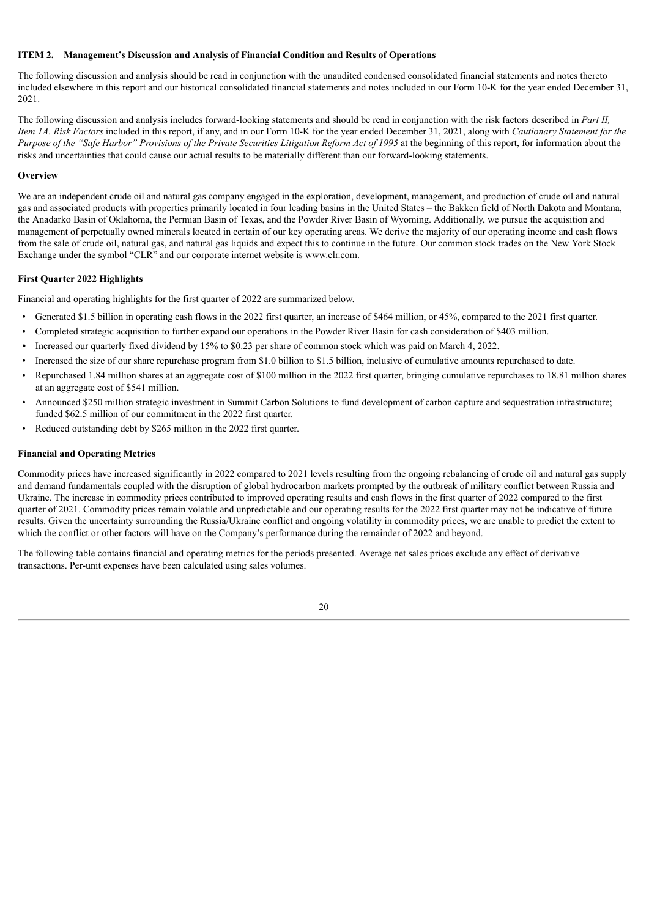#### **ITEM 2. Management's Discussion and Analysis of Financial Condition and Results of Operations**

The following discussion and analysis should be read in conjunction with the unaudited condensed consolidated financial statements and notes thereto included elsewhere in this report and our historical consolidated financial statements and notes included in our Form 10-K for the year ended December 31, 2021.

The following discussion and analysis includes forward-looking statements and should be read in conjunction with the risk factors described in *Part II, Item 1A. Risk Factors* included in this report, if any, and in our Form 10-K for the year ended December 31, 2021, along with *Cautionary Statement for the* Purpose of the "Safe Harbor" Provisions of the Private Securities Litigation Reform Act of 1995 at the beginning of this report, for information about the risks and uncertainties that could cause our actual results to be materially different than our forward-looking statements.

#### **Overview**

We are an independent crude oil and natural gas company engaged in the exploration, development, management, and production of crude oil and natural gas and associated products with properties primarily located in four leading basins in the United States – the Bakken field of North Dakota and Montana, the Anadarko Basin of Oklahoma, the Permian Basin of Texas, and the Powder River Basin of Wyoming. Additionally, we pursue the acquisition and management of perpetually owned minerals located in certain of our key operating areas. We derive the majority of our operating income and cash flows from the sale of crude oil, natural gas, and natural gas liquids and expect this to continue in the future. Our common stock trades on the New York Stock Exchange under the symbol "CLR" and our corporate internet website is www.clr.com.

#### **First Quarter 2022 Highlights**

Financial and operating highlights for the first quarter of 2022 are summarized below.

- Generated \$1.5 billion in operating cash flows in the 2022 first quarter, an increase of \$464 million, or 45%, compared to the 2021 first quarter.
- Completed strategic acquisition to further expand our operations in the Powder River Basin for cash consideration of \$403 million.
- *•* Increased our quarterly fixed dividend by 15% to \$0.23 per share of common stock which was paid on March 4, 2022.
- Increased the size of our share repurchase program from \$1.0 billion to \$1.5 billion, inclusive of cumulative amounts repurchased to date.
- Repurchased 1.84 million shares at an aggregate cost of \$100 million in the 2022 first quarter, bringing cumulative repurchases to 18.81 million shares at an aggregate cost of \$541 million.
- Announced \$250 million strategic investment in Summit Carbon Solutions to fund development of carbon capture and sequestration infrastructure; funded \$62.5 million of our commitment in the 2022 first quarter.
- Reduced outstanding debt by \$265 million in the 2022 first quarter.

# **Financial and Operating Metrics**

Commodity prices have increased significantly in 2022 compared to 2021 levels resulting from the ongoing rebalancing of crude oil and natural gas supply and demand fundamentals coupled with the disruption of global hydrocarbon markets prompted by the outbreak of military conflict between Russia and Ukraine. The increase in commodity prices contributed to improved operating results and cash flows in the first quarter of 2022 compared to the first quarter of 2021. Commodity prices remain volatile and unpredictable and our operating results for the 2022 first quarter may not be indicative of future results. Given the uncertainty surrounding the Russia/Ukraine conflict and ongoing volatility in commodity prices, we are unable to predict the extent to which the conflict or other factors will have on the Company's performance during the remainder of 2022 and beyond.

The following table contains financial and operating metrics for the periods presented. Average net sales prices exclude any effect of derivative transactions. Per-unit expenses have been calculated using sales volumes.

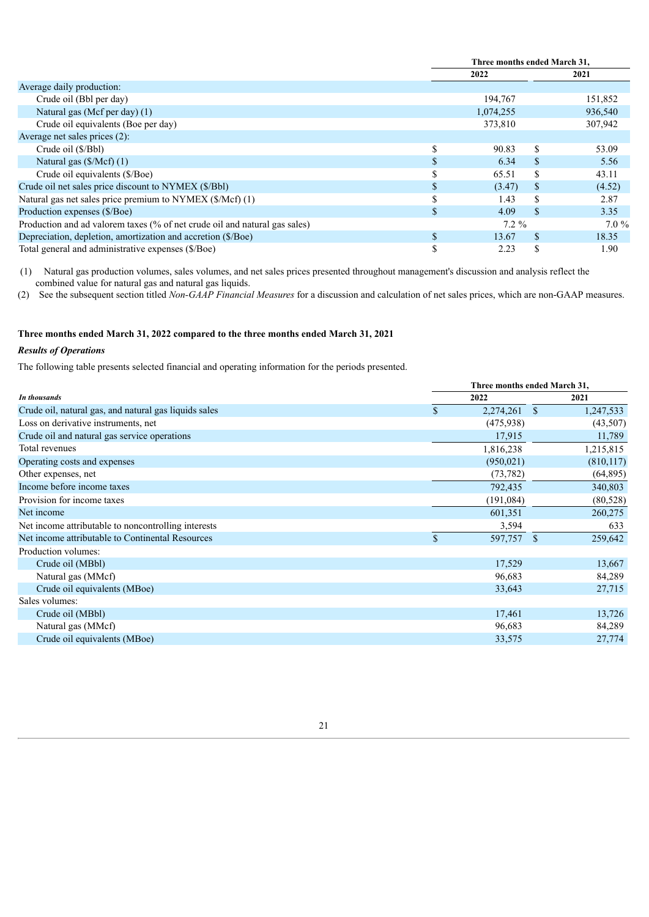|                                                                            |               | Three months ended March 31, |               |         |  |
|----------------------------------------------------------------------------|---------------|------------------------------|---------------|---------|--|
|                                                                            |               | 2022                         |               | 2021    |  |
| Average daily production:                                                  |               |                              |               |         |  |
| Crude oil (Bbl per day)                                                    |               | 194,767                      |               | 151,852 |  |
| Natural gas (Mcf per day) (1)                                              |               | 1,074,255                    |               | 936,540 |  |
| Crude oil equivalents (Boe per day)                                        |               | 373,810                      |               | 307,942 |  |
| Average net sales prices (2):                                              |               |                              |               |         |  |
| Crude oil (\$/Bbl)                                                         | S             | 90.83                        | S.            | 53.09   |  |
| Natural gas $(\frac{5}{Mcf})(1)$                                           | \$.           | 6.34                         | S.            | 5.56    |  |
| Crude oil equivalents (\$/Boe)                                             |               | 65.51                        | S             | 43.11   |  |
| Crude oil net sales price discount to NYMEX (\$/Bbl)                       |               | (3.47)                       | S             | (4.52)  |  |
| Natural gas net sales price premium to NYMEX (\$/Mcf) (1)                  | -D            | 1.43                         | S             | 2.87    |  |
| Production expenses (\$/Boe)                                               | \$.           | 4.09                         | S.            | 3.35    |  |
| Production and ad valorem taxes (% of net crude oil and natural gas sales) |               | $7.2\%$                      |               | $7.0\%$ |  |
| Depreciation, depletion, amortization and accretion (\$/Boe)               | $\mathbf{\$}$ | 13.67                        | <sup>\$</sup> | 18.35   |  |
| Total general and administrative expenses (\$/Boe)                         | \$            | 2.23                         | \$            | 1.90    |  |

(1) Natural gas production volumes, sales volumes, and net sales prices presented throughout management's discussion and analysis reflect the combined value for natural gas and natural gas liquids.

(2) See the subsequent section titled *Non-GAAP Financial Measures* for a discussion and calculation of net sales prices, which are non-GAAP measures.

# **Three months ended March 31, 2022 compared to the three months ended March 31, 2021**

# *Results of Operations*

The following table presents selected financial and operating information for the periods presented.

| Three months ended March 31, |            |          |            |  |  |  |
|------------------------------|------------|----------|------------|--|--|--|
|                              | 2022       |          | 2021       |  |  |  |
| $\mathbb{S}$                 | 2,274,261  | <b>S</b> | 1,247,533  |  |  |  |
|                              | (475,938)  |          | (43,507)   |  |  |  |
|                              | 17,915     |          | 11,789     |  |  |  |
|                              | 1,816,238  |          | 1,215,815  |  |  |  |
|                              | (950, 021) |          | (810, 117) |  |  |  |
|                              | (73, 782)  |          | (64, 895)  |  |  |  |
|                              | 792,435    |          | 340,803    |  |  |  |
|                              | (191,084)  |          | (80, 528)  |  |  |  |
|                              | 601,351    |          | 260,275    |  |  |  |
|                              | 3,594      |          | 633        |  |  |  |
| $\mathcal{S}$                | 597,757    | -S       | 259,642    |  |  |  |
|                              |            |          |            |  |  |  |
|                              | 17,529     |          | 13,667     |  |  |  |
|                              | 96,683     |          | 84,289     |  |  |  |
|                              | 33,643     |          | 27,715     |  |  |  |
|                              |            |          |            |  |  |  |
|                              | 17,461     |          | 13,726     |  |  |  |
|                              | 96,683     |          | 84,289     |  |  |  |
|                              | 33,575     |          | 27,774     |  |  |  |
|                              |            |          |            |  |  |  |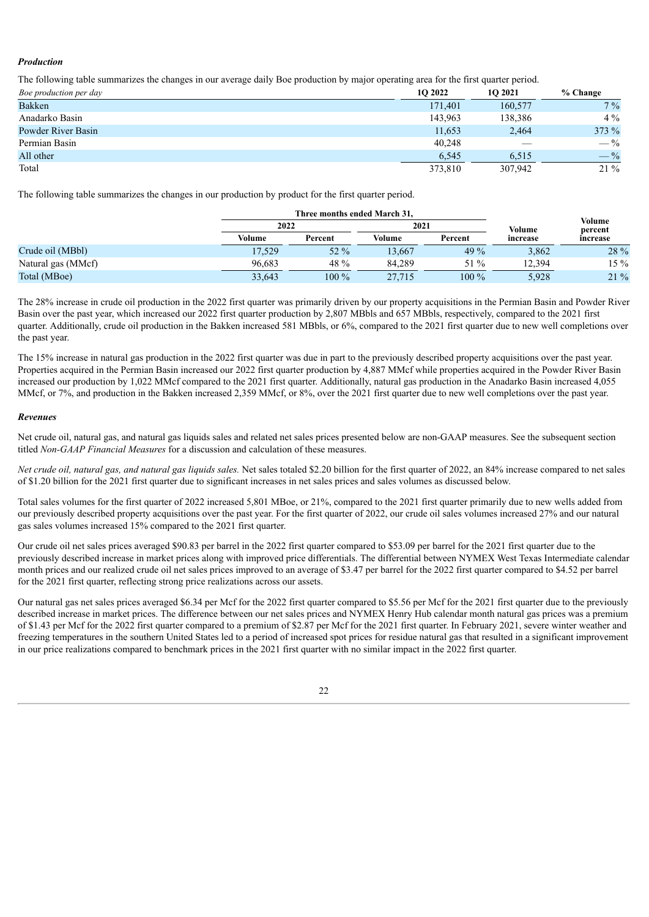## *Production*

The following table summarizes the changes in our average daily Boe production by major operating area for the first quarter period.

| Boe production per day | <b>1O 2022</b> | 10 2021 | % Change       |
|------------------------|----------------|---------|----------------|
| <b>Bakken</b>          | 171,401        | 160,577 | $7\%$          |
| Anadarko Basin         | 143,963        | 138,386 | $4\%$          |
| Powder River Basin     | 11,653         | 2,464   | 373%           |
| Permian Basin          | 40,248         |         | $-\frac{9}{6}$ |
| All other              | 6.545          | 6,515   | $-$ %          |
| Total                  | 373,810        | 307,942 | $21\%$         |

The following table summarizes the changes in our production by product for the first quarter period.

|                    |        | Three months ended March 31. |        |         |          |                   |
|--------------------|--------|------------------------------|--------|---------|----------|-------------------|
|                    |        | 2022                         |        | 2021    | Volume   | Volume<br>percent |
|                    | Volume | Percent                      | Volume | Percent | increase | increase          |
| Crude oil (MBbl)   | 17,529 | $52\%$                       | 13.667 | 49 %    | 3,862    | 28 %              |
| Natural gas (MMcf) | 96.683 | 48 %                         | 84.289 | 51 %    | 12.394   | $15 \%$           |
| Total (MBoe)       | 33.643 | $100\%$                      | 27.715 | $100\%$ | 5.928    | $21\%$            |

The 28% increase in crude oil production in the 2022 first quarter was primarily driven by our property acquisitions in the Permian Basin and Powder River Basin over the past year, which increased our 2022 first quarter production by 2,807 MBbls and 657 MBbls, respectively, compared to the 2021 first quarter. Additionally, crude oil production in the Bakken increased 581 MBbls, or 6%, compared to the 2021 first quarter due to new well completions over the past year.

The 15% increase in natural gas production in the 2022 first quarter was due in part to the previously described property acquisitions over the past year. Properties acquired in the Permian Basin increased our 2022 first quarter production by 4,887 MMcf while properties acquired in the Powder River Basin increased our production by 1,022 MMcf compared to the 2021 first quarter. Additionally, natural gas production in the Anadarko Basin increased 4,055 MMcf, or 7%, and production in the Bakken increased 2,359 MMcf, or 8%, over the 2021 first quarter due to new well completions over the past year.

## *Revenues*

Net crude oil, natural gas, and natural gas liquids sales and related net sales prices presented below are non-GAAP measures. See the subsequent section titled *Non-GAAP Financial Measures* for a discussion and calculation of these measures.

Net crude oil, natural gas, and natural gas liquids sales. Net sales totaled \$2.20 billion for the first quarter of 2022, an 84% increase compared to net sales of \$1.20 billion for the 2021 first quarter due to significant increases in net sales prices and sales volumes as discussed below.

Total sales volumes for the first quarter of 2022 increased 5,801 MBoe, or 21%, compared to the 2021 first quarter primarily due to new wells added from our previously described property acquisitions over the past year. For the first quarter of 2022, our crude oil sales volumes increased 27% and our natural gas sales volumes increased 15% compared to the 2021 first quarter.

Our crude oil net sales prices averaged \$90.83 per barrel in the 2022 first quarter compared to \$53.09 per barrel for the 2021 first quarter due to the previously described increase in market prices along with improved price differentials. The differential between NYMEX West Texas Intermediate calendar month prices and our realized crude oil net sales prices improved to an average of \$3.47 per barrel for the 2022 first quarter compared to \$4.52 per barrel for the 2021 first quarter, reflecting strong price realizations across our assets.

Our natural gas net sales prices averaged \$6.34 per Mcf for the 2022 first quarter compared to \$5.56 per Mcf for the 2021 first quarter due to the previously described increase in market prices. The difference between our net sales prices and NYMEX Henry Hub calendar month natural gas prices was a premium of \$1.43 per Mcf for the 2022 first quarter compared to a premium of \$2.87 per Mcf for the 2021 first quarter. In February 2021, severe winter weather and freezing temperatures in the southern United States led to a period of increased spot prices for residue natural gas that resulted in a significant improvement in our price realizations compared to benchmark prices in the 2021 first quarter with no similar impact in the 2022 first quarter.

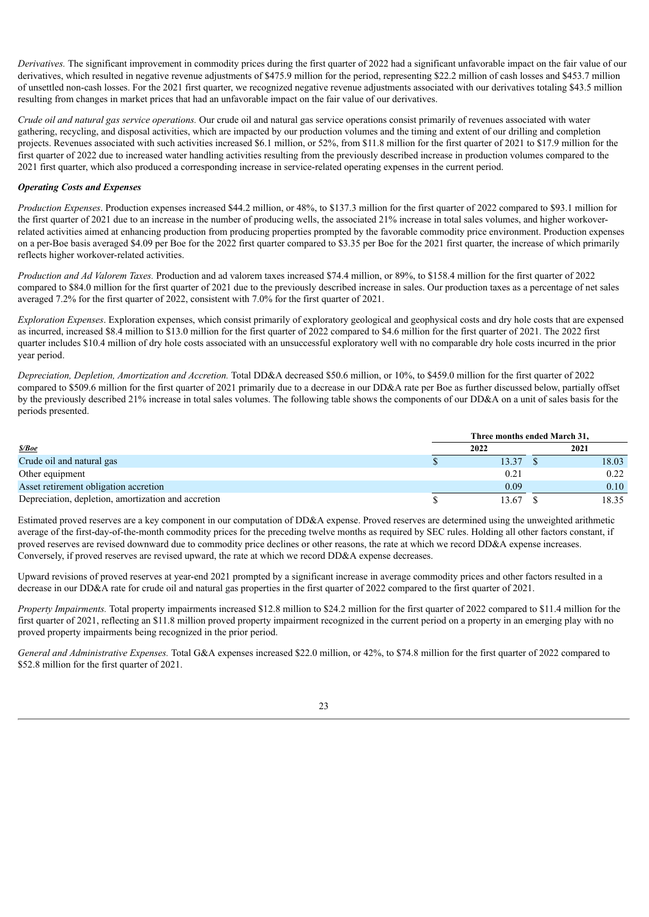*Derivatives.* The significant improvement in commodity prices during the first quarter of 2022 had a significant unfavorable impact on the fair value of our derivatives, which resulted in negative revenue adjustments of \$475.9 million for the period, representing \$22.2 million of cash losses and \$453.7 million of unsettled non-cash losses. For the 2021 first quarter, we recognized negative revenue adjustments associated with our derivatives totaling \$43.5 million resulting from changes in market prices that had an unfavorable impact on the fair value of our derivatives.

*Crude oil and natural gas service operations.* Our crude oil and natural gas service operations consist primarily of revenues associated with water gathering, recycling, and disposal activities, which are impacted by our production volumes and the timing and extent of our drilling and completion projects. Revenues associated with such activities increased \$6.1 million, or 52%, from \$11.8 million for the first quarter of 2021 to \$17.9 million for the first quarter of 2022 due to increased water handling activities resulting from the previously described increase in production volumes compared to the 2021 first quarter, which also produced a corresponding increase in service-related operating expenses in the current period.

## *Operating Costs and Expenses*

*Production Expenses*. Production expenses increased \$44.2 million, or 48%, to \$137.3 million for the first quarter of 2022 compared to \$93.1 million for the first quarter of 2021 due to an increase in the number of producing wells, the associated 21% increase in total sales volumes, and higher workoverrelated activities aimed at enhancing production from producing properties prompted by the favorable commodity price environment. Production expenses on a per-Boe basis averaged \$4.09 per Boe for the 2022 first quarter compared to \$3.35 per Boe for the 2021 first quarter, the increase of which primarily reflects higher workover-related activities.

*Production and Ad Valorem Taxes.* Production and ad valorem taxes increased \$74.4 million, or 89%, to \$158.4 million for the first quarter of 2022 compared to \$84.0 million for the first quarter of 2021 due to the previously described increase in sales. Our production taxes as a percentage of net sales averaged 7.2% for the first quarter of 2022, consistent with 7.0% for the first quarter of 2021.

*Exploration Expenses*. Exploration expenses, which consist primarily of exploratory geological and geophysical costs and dry hole costs that are expensed as incurred, increased \$8.4 million to \$13.0 million for the first quarter of 2022 compared to \$4.6 million for the first quarter of 2021. The 2022 first quarter includes \$10.4 million of dry hole costs associated with an unsuccessful exploratory well with no comparable dry hole costs incurred in the prior year period.

*Depreciation, Depletion, Amortization and Accretion.* Total DD&A decreased \$50.6 million, or 10%, to \$459.0 million for the first quarter of 2022 compared to \$509.6 million for the first quarter of 2021 primarily due to a decrease in our DD&A rate per Boe as further discussed below, partially offset by the previously described 21% increase in total sales volumes. The following table shows the components of our DD&A on a unit of sales basis for the periods presented.

|                                                     | Three months ended March 31, |  |       |  |  |  |  |
|-----------------------------------------------------|------------------------------|--|-------|--|--|--|--|
| <i><b>\$/Boe</b></i>                                | 2022                         |  | 2021  |  |  |  |  |
| Crude oil and natural gas                           | 13.37                        |  | 18.03 |  |  |  |  |
| Other equipment                                     | 0.21                         |  | 0.22  |  |  |  |  |
| Asset retirement obligation accretion               | 0.09                         |  | 0.10  |  |  |  |  |
| Depreciation, depletion, amortization and accretion | 13.67                        |  | 18.35 |  |  |  |  |

Estimated proved reserves are a key component in our computation of DD&A expense. Proved reserves are determined using the unweighted arithmetic average of the first-day-of-the-month commodity prices for the preceding twelve months as required by SEC rules. Holding all other factors constant, if proved reserves are revised downward due to commodity price declines or other reasons, the rate at which we record DD&A expense increases. Conversely, if proved reserves are revised upward, the rate at which we record DD&A expense decreases.

Upward revisions of proved reserves at year-end 2021 prompted by a significant increase in average commodity prices and other factors resulted in a decrease in our DD&A rate for crude oil and natural gas properties in the first quarter of 2022 compared to the first quarter of 2021.

*Property Impairments.* Total property impairments increased \$12.8 million to \$24.2 million for the first quarter of 2022 compared to \$11.4 million for the first quarter of 2021, reflecting an \$11.8 million proved property impairment recognized in the current period on a property in an emerging play with no proved property impairments being recognized in the prior period.

*General and Administrative Expenses.* Total G&A expenses increased \$22.0 million, or 42%, to \$74.8 million for the first quarter of 2022 compared to \$52.8 million for the first quarter of 2021.

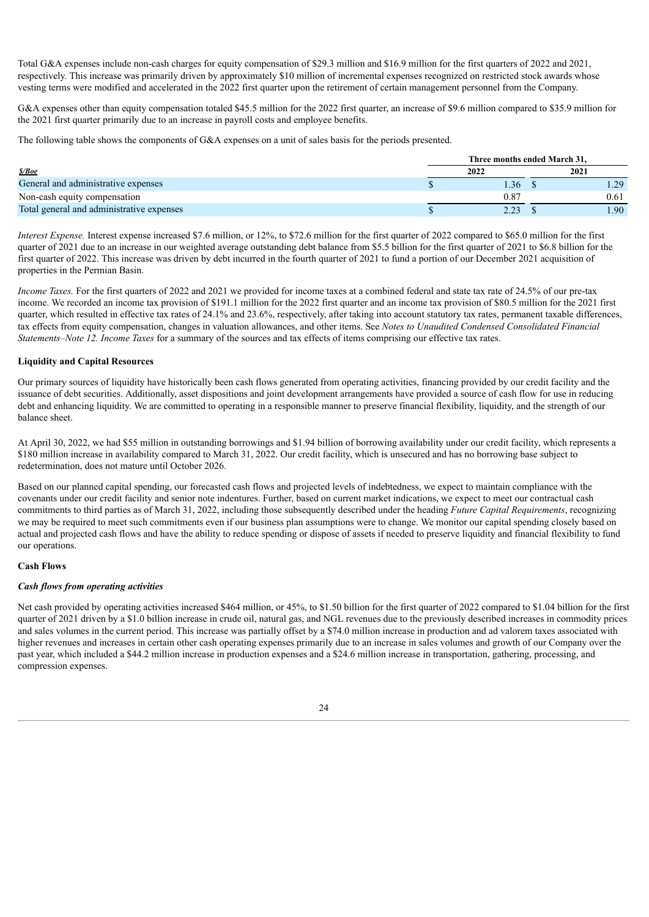Total G&A expenses include non-cash charges for equity compensation of \$29.3 million and \$16.9 million for the first quarters of 2022 and 2021, respectively. This increase was primarily driven by approximately \$10 million of incremental expenses recognized on restricted stock awards whose vesting terms were modified and accelerated in the 2022 first quarter upon the retirement of certain management personnel from the Company.

G&A expenses other than equity compensation totaled \$45.5 million for the 2022 first quarter, an increase of \$9.6 million compared to \$35.9 million for the 2021 first quarter primarily due to an increase in payroll costs and employee benefits.

The following table shows the components of G&A expenses on a unit of sales basis for the periods presented.

|                                           | Three months ended March 31. |  |      |  |  |
|-------------------------------------------|------------------------------|--|------|--|--|
| <i><b>\$/Boe</b></i>                      | 2022                         |  | 2021 |  |  |
| General and administrative expenses       | 1.36                         |  |      |  |  |
| Non-cash equity compensation              | 0.87                         |  | 0.61 |  |  |
| Total general and administrative expenses | 2.23                         |  | .90  |  |  |

*Interest Expense.* Interest expense increased \$7.6 million, or 12%, to \$72.6 million for the first quarter of 2022 compared to \$65.0 million for the first quarter of 2021 due to an increase in our weighted average outstanding debt balance from \$5.5 billion for the first quarter of 2021 to \$6.8 billion for the first quarter of 2022. This increase was driven by debt incurred in the fourth quarter of 2021 to fund a portion of our December 2021 acquisition of properties in the Permian Basin.

*Income Taxes*. For the first quarters of 2022 and 2021 we provided for income taxes at a combined federal and state tax rate of 24.5% of our pre-tax income. We recorded an income tax provision of \$191.1 million for the 2022 first quarter and an income tax provision of \$80.5 million for the 2021 first quarter, which resulted in effective tax rates of 24.1% and 23.6%, respectively, after taking into account statutory tax rates, permanent taxable differences, tax effects from equity compensation, changes in valuation allowances, and other items. See *Notes to Unaudited Condensed Consolidated Financial Statements–Note 12. Income Taxes* for a summary of the sources and tax effects of items comprising our effective tax rates.

## **Liquidity and Capital Resources**

Our primary sources of liquidity have historically been cash flows generated from operating activities, financing provided by our credit facility and the issuance of debt securities. Additionally, asset dispositions and joint development arrangements have provided a source of cash flow for use in reducing debt and enhancing liquidity. We are committed to operating in a responsible manner to preserve financial flexibility, liquidity, and the strength of our balance sheet.

At April 30, 2022, we had \$55 million in outstanding borrowings and \$1.94 billion of borrowing availability under our credit facility, which represents a \$180 million increase in availability compared to March 31, 2022. Our credit facility, which is unsecured and has no borrowing base subject to redetermination, does not mature until October 2026.

Based on our planned capital spending, our forecasted cash flows and projected levels of indebtedness, we expect to maintain compliance with the covenants under our credit facility and senior note indentures. Further, based on current market indications, we expect to meet our contractual cash commitments to third parties as of March 31, 2022, including those subsequently described under the heading *Future Capital Requirements*, recognizing we may be required to meet such commitments even if our business plan assumptions were to change. We monitor our capital spending closely based on actual and projected cash flows and have the ability to reduce spending or dispose of assets if needed to preserve liquidity and financial flexibility to fund our operations.

#### **Cash Flows**

#### *Cash flows from operating activities*

Net cash provided by operating activities increased \$464 million, or 45%, to \$1.50 billion for the first quarter of 2022 compared to \$1.04 billion for the first quarter of 2021 driven by a \$1.0 billion increase in crude oil, natural gas, and NGL revenues due to the previously described increases in commodity prices and sales volumes in the current period. This increase was partially offset by a \$74.0 million increase in production and ad valorem taxes associated with higher revenues and increases in certain other cash operating expenses primarily due to an increase in sales volumes and growth of our Company over the past year, which included a \$44.2 million increase in production expenses and a \$24.6 million increase in transportation, gathering, processing, and compression expenses.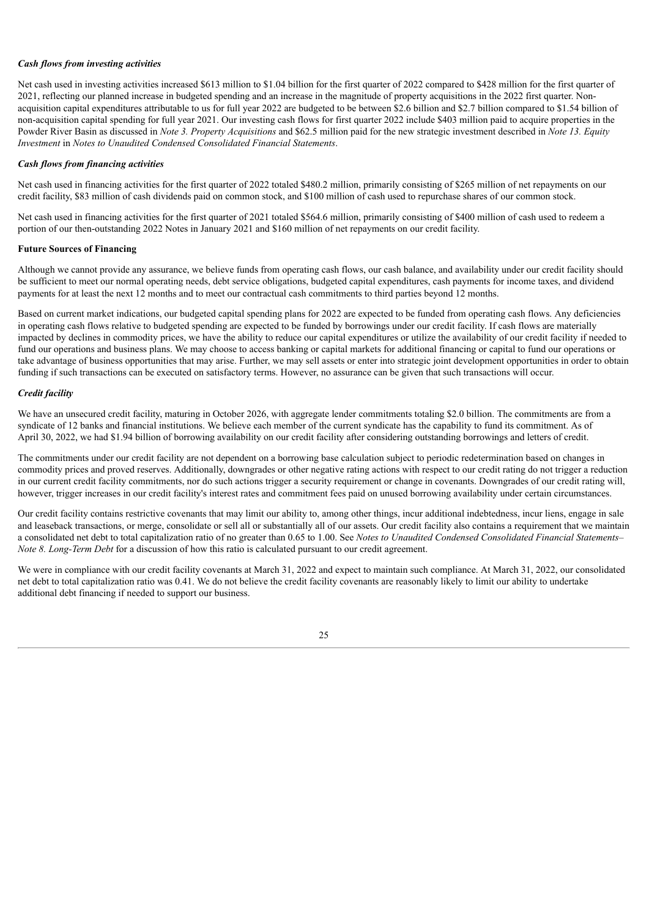#### *Cash flows from investing activities*

Net cash used in investing activities increased \$613 million to \$1.04 billion for the first quarter of 2022 compared to \$428 million for the first quarter of 2021, reflecting our planned increase in budgeted spending and an increase in the magnitude of property acquisitions in the 2022 first quarter. Nonacquisition capital expenditures attributable to us for full year 2022 are budgeted to be between \$2.6 billion and \$2.7 billion compared to \$1.54 billion of non-acquisition capital spending for full year 2021. Our investing cash flows for first quarter 2022 include \$403 million paid to acquire properties in the Powder River Basin as discussed in *Note 3. Property Acquisitions* and \$62.5 million paid for the new strategic investment described in *Note 13. Equity Investment* in *Notes to Unaudited Condensed Consolidated Financial Statements*.

#### *Cash flows from financing activities*

Net cash used in financing activities for the first quarter of 2022 totaled \$480.2 million, primarily consisting of \$265 million of net repayments on our credit facility, \$83 million of cash dividends paid on common stock, and \$100 million of cash used to repurchase shares of our common stock.

Net cash used in financing activities for the first quarter of 2021 totaled \$564.6 million, primarily consisting of \$400 million of cash used to redeem a portion of our then-outstanding 2022 Notes in January 2021 and \$160 million of net repayments on our credit facility.

#### **Future Sources of Financing**

Although we cannot provide any assurance, we believe funds from operating cash flows, our cash balance, and availability under our credit facility should be sufficient to meet our normal operating needs, debt service obligations, budgeted capital expenditures, cash payments for income taxes, and dividend payments for at least the next 12 months and to meet our contractual cash commitments to third parties beyond 12 months.

Based on current market indications, our budgeted capital spending plans for 2022 are expected to be funded from operating cash flows. Any deficiencies in operating cash flows relative to budgeted spending are expected to be funded by borrowings under our credit facility. If cash flows are materially impacted by declines in commodity prices, we have the ability to reduce our capital expenditures or utilize the availability of our credit facility if needed to fund our operations and business plans. We may choose to access banking or capital markets for additional financing or capital to fund our operations or take advantage of business opportunities that may arise. Further, we may sell assets or enter into strategic joint development opportunities in order to obtain funding if such transactions can be executed on satisfactory terms. However, no assurance can be given that such transactions will occur.

#### *Credit facility*

We have an unsecured credit facility, maturing in October 2026, with aggregate lender commitments totaling \$2.0 billion. The commitments are from a syndicate of 12 banks and financial institutions. We believe each member of the current syndicate has the capability to fund its commitment. As of April 30, 2022, we had \$1.94 billion of borrowing availability on our credit facility after considering outstanding borrowings and letters of credit.

The commitments under our credit facility are not dependent on a borrowing base calculation subject to periodic redetermination based on changes in commodity prices and proved reserves. Additionally, downgrades or other negative rating actions with respect to our credit rating do not trigger a reduction in our current credit facility commitments, nor do such actions trigger a security requirement or change in covenants. Downgrades of our credit rating will, however, trigger increases in our credit facility's interest rates and commitment fees paid on unused borrowing availability under certain circumstances.

Our credit facility contains restrictive covenants that may limit our ability to, among other things, incur additional indebtedness, incur liens, engage in sale and leaseback transactions, or merge, consolidate or sell all or substantially all of our assets. Our credit facility also contains a requirement that we maintain a consolidated net debt to total capitalization ratio of no greater than 0.65 to 1.00. See *Notes to Unaudited Condensed Consolidated Financial Statements– Note 8. Long-Term Debt* for a discussion of how this ratio is calculated pursuant to our credit agreement.

We were in compliance with our credit facility covenants at March 31, 2022 and expect to maintain such compliance. At March 31, 2022, our consolidated net debt to total capitalization ratio was 0.41. We do not believe the credit facility covenants are reasonably likely to limit our ability to undertake additional debt financing if needed to support our business.

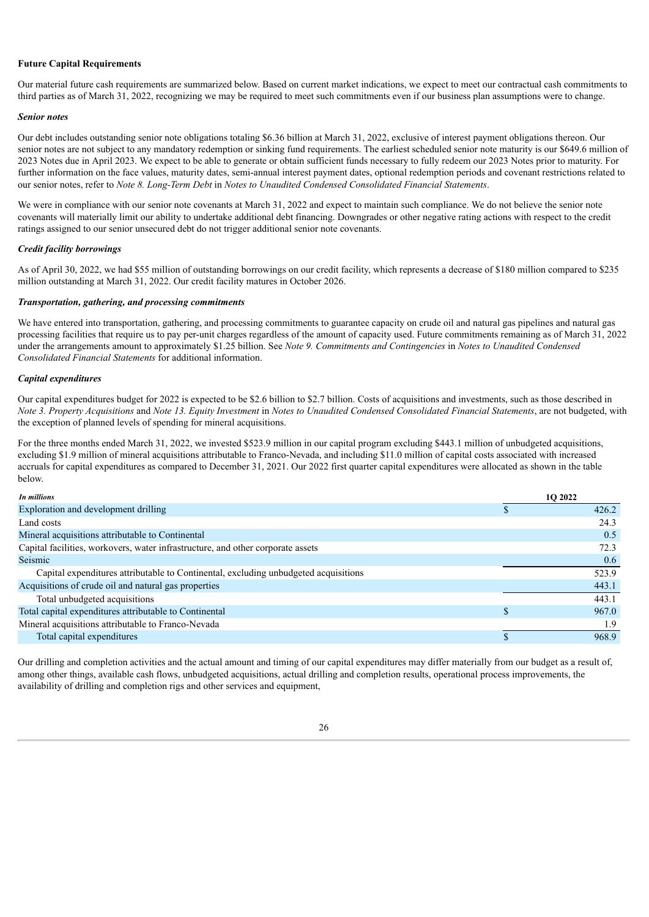#### **Future Capital Requirements**

Our material future cash requirements are summarized below. Based on current market indications, we expect to meet our contractual cash commitments to third parties as of March 31, 2022, recognizing we may be required to meet such commitments even if our business plan assumptions were to change.

#### *Senior notes*

Our debt includes outstanding senior note obligations totaling \$6.36 billion at March 31, 2022, exclusive of interest payment obligations thereon. Our senior notes are not subject to any mandatory redemption or sinking fund requirements. The earliest scheduled senior note maturity is our \$649.6 million of 2023 Notes due in April 2023. We expect to be able to generate or obtain sufficient funds necessary to fully redeem our 2023 Notes prior to maturity. For further information on the face values, maturity dates, semi-annual interest payment dates, optional redemption periods and covenant restrictions related to our senior notes, refer to *Note 8. Long-Term Debt* in *Notes to Unaudited Condensed Consolidated Financial Statements*.

We were in compliance with our senior note covenants at March 31, 2022 and expect to maintain such compliance. We do not believe the senior note covenants will materially limit our ability to undertake additional debt financing. Downgrades or other negative rating actions with respect to the credit ratings assigned to our senior unsecured debt do not trigger additional senior note covenants.

#### *Credit facility borrowings*

As of April 30, 2022, we had \$55 million of outstanding borrowings on our credit facility, which represents a decrease of \$180 million compared to \$235 million outstanding at March 31, 2022. Our credit facility matures in October 2026.

#### *Transportation, gathering, and processing commitments*

We have entered into transportation, gathering, and processing commitments to guarantee capacity on crude oil and natural gas pipelines and natural gas processing facilities that require us to pay per-unit charges regardless of the amount of capacity used. Future commitments remaining as of March 31, 2022 under the arrangements amount to approximately \$1.25 billion. See *Note 9. Commitments and Contingencies* in *Notes to Unaudited Condensed Consolidated Financial Statements* for additional information.

#### *Capital expenditures*

Our capital expenditures budget for 2022 is expected to be \$2.6 billion to \$2.7 billion. Costs of acquisitions and investments, such as those described in Note 3. Property Acquisitions and Note 13. Equity Investment in Notes to Unaudited Condensed Consolidated Financial Statements, are not budgeted, with the exception of planned levels of spending for mineral acquisitions.

For the three months ended March 31, 2022, we invested \$523.9 million in our capital program excluding \$443.1 million of unbudgeted acquisitions, excluding \$1.9 million of mineral acquisitions attributable to Franco-Nevada, and including \$11.0 million of capital costs associated with increased accruals for capital expenditures as compared to December 31, 2021. Our 2022 first quarter capital expenditures were allocated as shown in the table below.

| In millions                                                                         | 1O 2022 |
|-------------------------------------------------------------------------------------|---------|
| Exploration and development drilling                                                | 426.2   |
| Land costs                                                                          | 24.3    |
| Mineral acquisitions attributable to Continental                                    | 0.5     |
| Capital facilities, workovers, water infrastructure, and other corporate assets     | 72.3    |
| Seismic                                                                             | 0.6     |
| Capital expenditures attributable to Continental, excluding unbudgeted acquisitions | 523.9   |
| Acquisitions of crude oil and natural gas properties                                | 443.1   |
| Total unbudgeted acquisitions                                                       | 443.1   |
| Total capital expenditures attributable to Continental                              | 967.0   |
| Mineral acquisitions attributable to Franco-Nevada                                  | 1.9     |
| Total capital expenditures                                                          | 968.9   |
|                                                                                     |         |

Our drilling and completion activities and the actual amount and timing of our capital expenditures may differ materially from our budget as a result of, among other things, available cash flows, unbudgeted acquisitions, actual drilling and completion results, operational process improvements, the availability of drilling and completion rigs and other services and equipment,

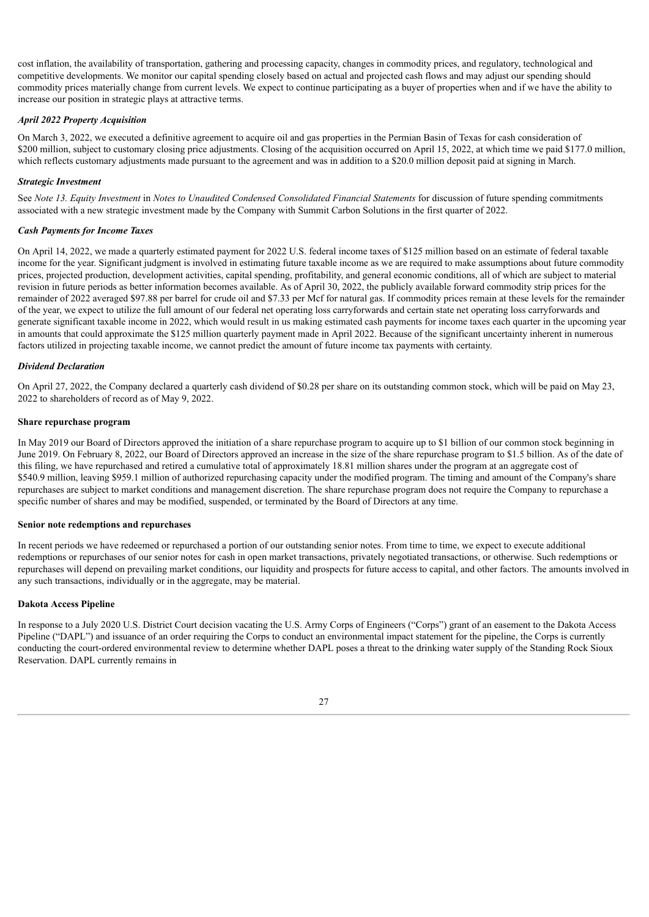cost inflation, the availability of transportation, gathering and processing capacity, changes in commodity prices, and regulatory, technological and competitive developments. We monitor our capital spending closely based on actual and projected cash flows and may adjust our spending should commodity prices materially change from current levels. We expect to continue participating as a buyer of properties when and if we have the ability to increase our position in strategic plays at attractive terms.

### *April 2022 Property Acquisition*

On March 3, 2022, we executed a definitive agreement to acquire oil and gas properties in the Permian Basin of Texas for cash consideration of \$200 million, subject to customary closing price adjustments. Closing of the acquisition occurred on April 15, 2022, at which time we paid \$177.0 million, which reflects customary adjustments made pursuant to the agreement and was in addition to a \$20.0 million deposit paid at signing in March.

## *Strategic Investment*

See *Note 13. Equity Investment* in *Notes to Unaudited Condensed Consolidated Financial Statements* for discussion of future spending commitments associated with a new strategic investment made by the Company with Summit Carbon Solutions in the first quarter of 2022.

## *Cash Payments for Income Taxes*

On April 14, 2022, we made a quarterly estimated payment for 2022 U.S. federal income taxes of \$125 million based on an estimate of federal taxable income for the year. Significant judgment is involved in estimating future taxable income as we are required to make assumptions about future commodity prices, projected production, development activities, capital spending, profitability, and general economic conditions, all of which are subject to material revision in future periods as better information becomes available. As of April 30, 2022, the publicly available forward commodity strip prices for the remainder of 2022 averaged \$97.88 per barrel for crude oil and \$7.33 per Mcf for natural gas. If commodity prices remain at these levels for the remainder of the year, we expect to utilize the full amount of our federal net operating loss carryforwards and certain state net operating loss carryforwards and generate significant taxable income in 2022, which would result in us making estimated cash payments for income taxes each quarter in the upcoming year in amounts that could approximate the \$125 million quarterly payment made in April 2022. Because of the significant uncertainty inherent in numerous factors utilized in projecting taxable income, we cannot predict the amount of future income tax payments with certainty.

#### *Dividend Declaration*

On April 27, 2022, the Company declared a quarterly cash dividend of \$0.28 per share on its outstanding common stock, which will be paid on May 23, 2022 to shareholders of record as of May 9, 2022.

## **Share repurchase program**

In May 2019 our Board of Directors approved the initiation of a share repurchase program to acquire up to \$1 billion of our common stock beginning in June 2019. On February 8, 2022, our Board of Directors approved an increase in the size of the share repurchase program to \$1.5 billion. As of the date of this filing, we have repurchased and retired a cumulative total of approximately 18.81 million shares under the program at an aggregate cost of \$540.9 million, leaving \$959.1 million of authorized repurchasing capacity under the modified program. The timing and amount of the Company's share repurchases are subject to market conditions and management discretion. The share repurchase program does not require the Company to repurchase a specific number of shares and may be modified, suspended, or terminated by the Board of Directors at any time.

#### **Senior note redemptions and repurchases**

In recent periods we have redeemed or repurchased a portion of our outstanding senior notes. From time to time, we expect to execute additional redemptions or repurchases of our senior notes for cash in open market transactions, privately negotiated transactions, or otherwise. Such redemptions or repurchases will depend on prevailing market conditions, our liquidity and prospects for future access to capital, and other factors. The amounts involved in any such transactions, individually or in the aggregate, may be material.

#### **Dakota Access Pipeline**

In response to a July 2020 U.S. District Court decision vacating the U.S. Army Corps of Engineers ("Corps") grant of an easement to the Dakota Access Pipeline ("DAPL") and issuance of an order requiring the Corps to conduct an environmental impact statement for the pipeline, the Corps is currently conducting the court-ordered environmental review to determine whether DAPL poses a threat to the drinking water supply of the Standing Rock Sioux Reservation. DAPL currently remains in

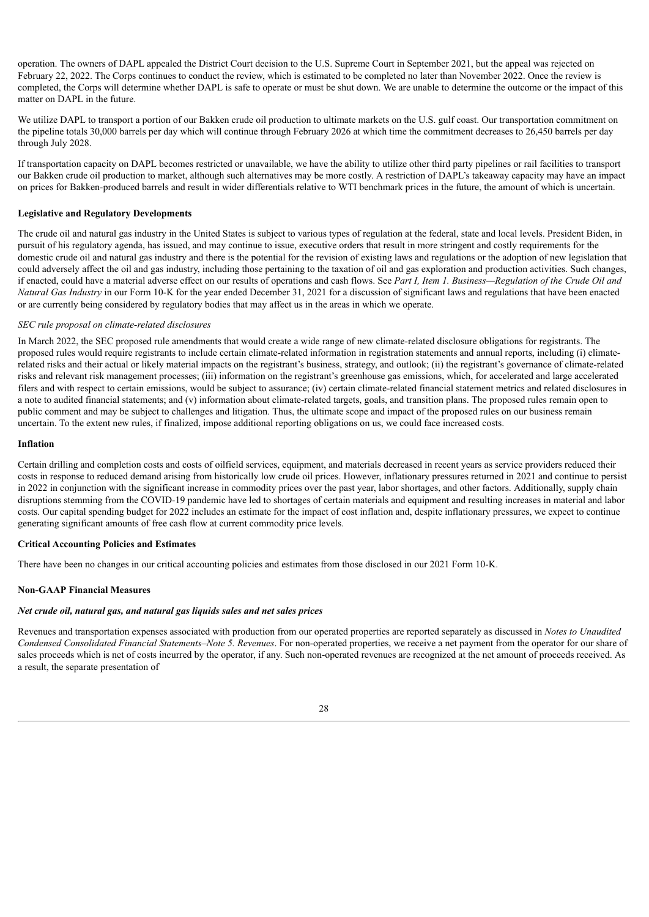operation. The owners of DAPL appealed the District Court decision to the U.S. Supreme Court in September 2021, but the appeal was rejected on February 22, 2022. The Corps continues to conduct the review, which is estimated to be completed no later than November 2022. Once the review is completed, the Corps will determine whether DAPL is safe to operate or must be shut down. We are unable to determine the outcome or the impact of this matter on DAPL in the future.

We utilize DAPL to transport a portion of our Bakken crude oil production to ultimate markets on the U.S. gulf coast. Our transportation commitment on the pipeline totals 30,000 barrels per day which will continue through February 2026 at which time the commitment decreases to 26,450 barrels per day through July 2028.

If transportation capacity on DAPL becomes restricted or unavailable, we have the ability to utilize other third party pipelines or rail facilities to transport our Bakken crude oil production to market, although such alternatives may be more costly. A restriction of DAPL's takeaway capacity may have an impact on prices for Bakken-produced barrels and result in wider differentials relative to WTI benchmark prices in the future, the amount of which is uncertain.

#### **Legislative and Regulatory Developments**

The crude oil and natural gas industry in the United States is subject to various types of regulation at the federal, state and local levels. President Biden, in pursuit of his regulatory agenda, has issued, and may continue to issue, executive orders that result in more stringent and costly requirements for the domestic crude oil and natural gas industry and there is the potential for the revision of existing laws and regulations or the adoption of new legislation that could adversely affect the oil and gas industry, including those pertaining to the taxation of oil and gas exploration and production activities. Such changes, if enacted, could have a material adverse effect on our results of operations and cash flows. See *Part I, Item 1. Business—Regulation of the Crude Oil and Natural Gas Industry* in our Form 10-K for the year ended December 31, 2021 for a discussion of significant laws and regulations that have been enacted or are currently being considered by regulatory bodies that may affect us in the areas in which we operate.

## *SEC rule proposal on climate-related disclosures*

In March 2022, the SEC proposed rule amendments that would create a wide range of new climate-related disclosure obligations for registrants. The proposed rules would require registrants to include certain climate-related information in registration statements and annual reports, including (i) climaterelated risks and their actual or likely material impacts on the registrant's business, strategy, and outlook; (ii) the registrant's governance of climate-related risks and relevant risk management processes; (iii) information on the registrant's greenhouse gas emissions, which, for accelerated and large accelerated filers and with respect to certain emissions, would be subject to assurance; (iv) certain climate-related financial statement metrics and related disclosures in a note to audited financial statements; and (v) information about climate-related targets, goals, and transition plans. The proposed rules remain open to public comment and may be subject to challenges and litigation. Thus, the ultimate scope and impact of the proposed rules on our business remain uncertain. To the extent new rules, if finalized, impose additional reporting obligations on us, we could face increased costs.

#### **Inflation**

Certain drilling and completion costs and costs of oilfield services, equipment, and materials decreased in recent years as service providers reduced their costs in response to reduced demand arising from historically low crude oil prices. However, inflationary pressures returned in 2021 and continue to persist in 2022 in conjunction with the significant increase in commodity prices over the past year, labor shortages, and other factors. Additionally, supply chain disruptions stemming from the COVID-19 pandemic have led to shortages of certain materials and equipment and resulting increases in material and labor costs. Our capital spending budget for 2022 includes an estimate for the impact of cost inflation and, despite inflationary pressures, we expect to continue generating significant amounts of free cash flow at current commodity price levels.

#### **Critical Accounting Policies and Estimates**

There have been no changes in our critical accounting policies and estimates from those disclosed in our 2021 Form 10-K.

#### **Non-GAAP Financial Measures**

# *Net crude oil, natural gas, and natural gas liquids sales and net sales prices*

Revenues and transportation expenses associated with production from our operated properties are reported separately as discussed in *Notes to Unaudited Condensed Consolidated Financial Statements–Note 5. Revenues*. For non-operated properties, we receive a net payment from the operator for our share of sales proceeds which is net of costs incurred by the operator, if any. Such non-operated revenues are recognized at the net amount of proceeds received. As a result, the separate presentation of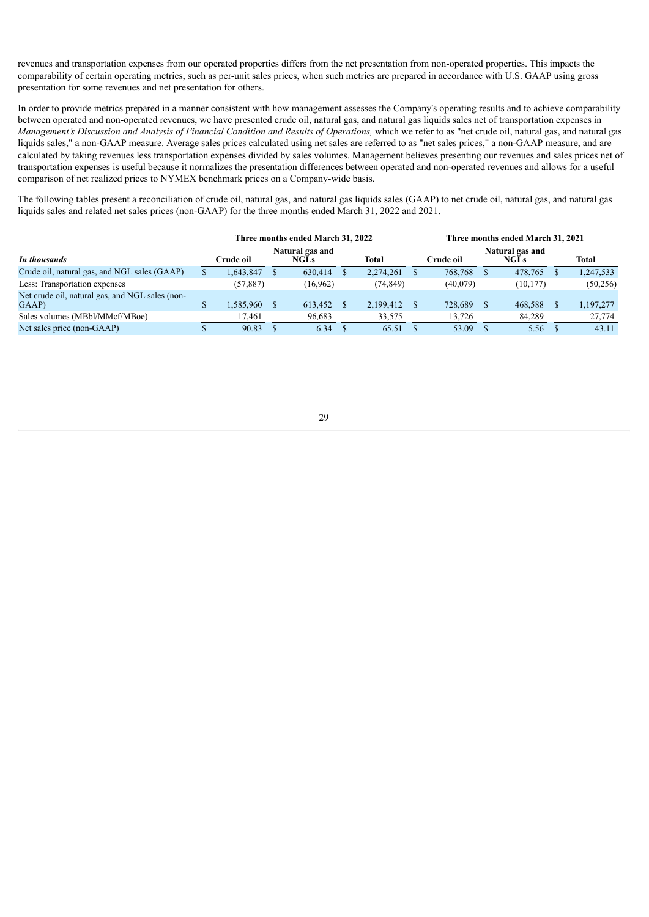revenues and transportation expenses from our operated properties differs from the net presentation from non-operated properties. This impacts the comparability of certain operating metrics, such as per-unit sales prices, when such metrics are prepared in accordance with U.S. GAAP using gross presentation for some revenues and net presentation for others.

In order to provide metrics prepared in a manner consistent with how management assesses the Company's operating results and to achieve comparability between operated and non-operated revenues, we have presented crude oil, natural gas, and natural gas liquids sales net of transportation expenses in Management's Discussion and Analysis of Financial Condition and Results of Operations, which we refer to as "net crude oil, natural gas, and natural gas liquids sales," a non-GAAP measure. Average sales prices calculated using net sales are referred to as "net sales prices," a non-GAAP measure, and are calculated by taking revenues less transportation expenses divided by sales volumes. Management believes presenting our revenues and sales prices net of transportation expenses is useful because it normalizes the presentation differences between operated and non-operated revenues and allows for a useful comparison of net realized prices to NYMEX benchmark prices on a Company-wide basis.

The following tables present a reconciliation of crude oil, natural gas, and natural gas liquids sales (GAAP) to net crude oil, natural gas, and natural gas liquids sales and related net sales prices (non-GAAP) for the three months ended March 31, 2022 and 2021.

|                                                          | Three months ended March 31, 2022 |  |                                | Three months ended March 31, 2021 |  |           |  |                                |  |              |
|----------------------------------------------------------|-----------------------------------|--|--------------------------------|-----------------------------------|--|-----------|--|--------------------------------|--|--------------|
| In thousands                                             | Crude oil-                        |  | Natural gas and<br><b>NGLs</b> | <b>Total</b>                      |  | Crude oil |  | Natural gas and<br><b>NGLs</b> |  | <b>Total</b> |
| Crude oil, natural gas, and NGL sales (GAAP)             | .643,847                          |  | 630,414                        | 2,274,261                         |  | 768.768   |  | 478.765                        |  | 1,247,533    |
| Less: Transportation expenses                            | (57, 887)                         |  | (16, 962)                      | (74, 849)                         |  | (40,079)  |  | (10, 177)                      |  | (50, 256)    |
| Net crude oil, natural gas, and NGL sales (non-<br>GAAP) | 1,585,960                         |  | 613,452                        | 2,199,412                         |  | 728,689   |  | 468,588                        |  | 1,197,277    |
| Sales volumes (MBbl/MMcf/MBoe)                           | 17.461                            |  | 96,683                         | 33,575                            |  | 13.726    |  | 84,289                         |  | 27,774       |
| Net sales price (non-GAAP)                               | 90.83                             |  | 6.34                           | 65.51                             |  | 53.09     |  | 5.56                           |  | 43.11        |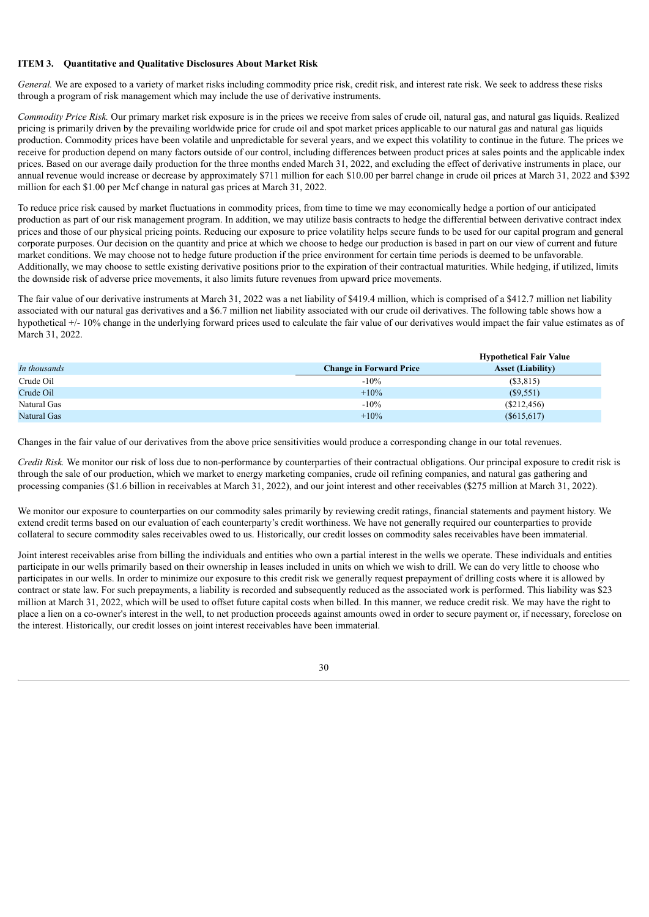#### **ITEM 3. Quantitative and Qualitative Disclosures About Market Risk**

*General.* We are exposed to a variety of market risks including commodity price risk, credit risk, and interest rate risk. We seek to address these risks through a program of risk management which may include the use of derivative instruments.

*Commodity Price Risk.* Our primary market risk exposure is in the prices we receive from sales of crude oil, natural gas, and natural gas liquids. Realized pricing is primarily driven by the prevailing worldwide price for crude oil and spot market prices applicable to our natural gas and natural gas liquids production. Commodity prices have been volatile and unpredictable for several years, and we expect this volatility to continue in the future. The prices we receive for production depend on many factors outside of our control, including differences between product prices at sales points and the applicable index prices. Based on our average daily production for the three months ended March 31, 2022, and excluding the effect of derivative instruments in place, our annual revenue would increase or decrease by approximately \$711 million for each \$10.00 per barrel change in crude oil prices at March 31, 2022 and \$392 million for each \$1.00 per Mcf change in natural gas prices at March 31, 2022.

To reduce price risk caused by market fluctuations in commodity prices, from time to time we may economically hedge a portion of our anticipated production as part of our risk management program. In addition, we may utilize basis contracts to hedge the differential between derivative contract index prices and those of our physical pricing points. Reducing our exposure to price volatility helps secure funds to be used for our capital program and general corporate purposes. Our decision on the quantity and price at which we choose to hedge our production is based in part on our view of current and future market conditions. We may choose not to hedge future production if the price environment for certain time periods is deemed to be unfavorable. Additionally, we may choose to settle existing derivative positions prior to the expiration of their contractual maturities. While hedging, if utilized, limits the downside risk of adverse price movements, it also limits future revenues from upward price movements.

The fair value of our derivative instruments at March 31, 2022 was a net liability of \$419.4 million, which is comprised of a \$412.7 million net liability associated with our natural gas derivatives and a \$6.7 million net liability associated with our crude oil derivatives. The following table shows how a hypothetical +/- 10% change in the underlying forward prices used to calculate the fair value of our derivatives would impact the fair value estimates as of March 31, 2022.

|              |                                | <b>Hypothetical Fair Value</b> |
|--------------|--------------------------------|--------------------------------|
| In thousands | <b>Change in Forward Price</b> | <b>Asset (Liability)</b>       |
| Crude Oil    | $-10\%$                        | (S3, 815)                      |
| Crude Oil    | $+10%$                         | $(\$9,551)$                    |
| Natural Gas  | $-10%$                         | (S212, 456)                    |
| Natural Gas  | $+10%$                         | (S615, 617)                    |

Changes in the fair value of our derivatives from the above price sensitivities would produce a corresponding change in our total revenues.

*Credit Risk.* We monitor our risk of loss due to non-performance by counterparties of their contractual obligations. Our principal exposure to credit risk is through the sale of our production, which we market to energy marketing companies, crude oil refining companies, and natural gas gathering and processing companies (\$1.6 billion in receivables at March 31, 2022), and our joint interest and other receivables (\$275 million at March 31, 2022).

We monitor our exposure to counterparties on our commodity sales primarily by reviewing credit ratings, financial statements and payment history. We extend credit terms based on our evaluation of each counterparty's credit worthiness. We have not generally required our counterparties to provide collateral to secure commodity sales receivables owed to us. Historically, our credit losses on commodity sales receivables have been immaterial.

Joint interest receivables arise from billing the individuals and entities who own a partial interest in the wells we operate. These individuals and entities participate in our wells primarily based on their ownership in leases included in units on which we wish to drill. We can do very little to choose who participates in our wells. In order to minimize our exposure to this credit risk we generally request prepayment of drilling costs where it is allowed by contract or state law. For such prepayments, a liability is recorded and subsequently reduced as the associated work is performed. This liability was \$23 million at March 31, 2022, which will be used to offset future capital costs when billed. In this manner, we reduce credit risk. We may have the right to place a lien on a co-owner's interest in the well, to net production proceeds against amounts owed in order to secure payment or, if necessary, foreclose on the interest. Historically, our credit losses on joint interest receivables have been immaterial.

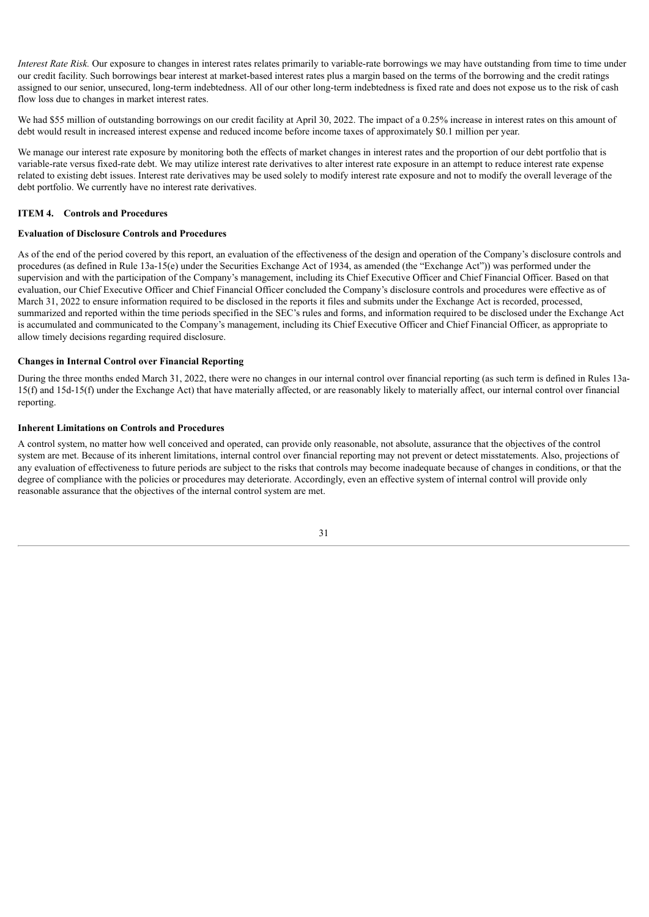*Interest Rate Risk.* Our exposure to changes in interest rates relates primarily to variable-rate borrowings we may have outstanding from time to time under our credit facility. Such borrowings bear interest at market-based interest rates plus a margin based on the terms of the borrowing and the credit ratings assigned to our senior, unsecured, long-term indebtedness. All of our other long-term indebtedness is fixed rate and does not expose us to the risk of cash flow loss due to changes in market interest rates.

We had \$55 million of outstanding borrowings on our credit facility at April 30, 2022. The impact of a 0.25% increase in interest rates on this amount of debt would result in increased interest expense and reduced income before income taxes of approximately \$0.1 million per year.

We manage our interest rate exposure by monitoring both the effects of market changes in interest rates and the proportion of our debt portfolio that is variable-rate versus fixed-rate debt. We may utilize interest rate derivatives to alter interest rate exposure in an attempt to reduce interest rate expense related to existing debt issues. Interest rate derivatives may be used solely to modify interest rate exposure and not to modify the overall leverage of the debt portfolio. We currently have no interest rate derivatives.

#### **ITEM 4. Controls and Procedures**

# **Evaluation of Disclosure Controls and Procedures**

As of the end of the period covered by this report, an evaluation of the effectiveness of the design and operation of the Company's disclosure controls and procedures (as defined in Rule 13a-15(e) under the Securities Exchange Act of 1934, as amended (the "Exchange Act")) was performed under the supervision and with the participation of the Company's management, including its Chief Executive Officer and Chief Financial Officer. Based on that evaluation, our Chief Executive Officer and Chief Financial Officer concluded the Company's disclosure controls and procedures were effective as of March 31, 2022 to ensure information required to be disclosed in the reports it files and submits under the Exchange Act is recorded, processed, summarized and reported within the time periods specified in the SEC's rules and forms, and information required to be disclosed under the Exchange Act is accumulated and communicated to the Company's management, including its Chief Executive Officer and Chief Financial Officer, as appropriate to allow timely decisions regarding required disclosure.

#### **Changes in Internal Control over Financial Reporting**

During the three months ended March 31, 2022, there were no changes in our internal control over financial reporting (as such term is defined in Rules 13a-15(f) and 15d-15(f) under the Exchange Act) that have materially affected, or are reasonably likely to materially affect, our internal control over financial reporting.

#### **Inherent Limitations on Controls and Procedures**

A control system, no matter how well conceived and operated, can provide only reasonable, not absolute, assurance that the objectives of the control system are met. Because of its inherent limitations, internal control over financial reporting may not prevent or detect misstatements. Also, projections of any evaluation of effectiveness to future periods are subject to the risks that controls may become inadequate because of changes in conditions, or that the degree of compliance with the policies or procedures may deteriorate. Accordingly, even an effective system of internal control will provide only reasonable assurance that the objectives of the internal control system are met.

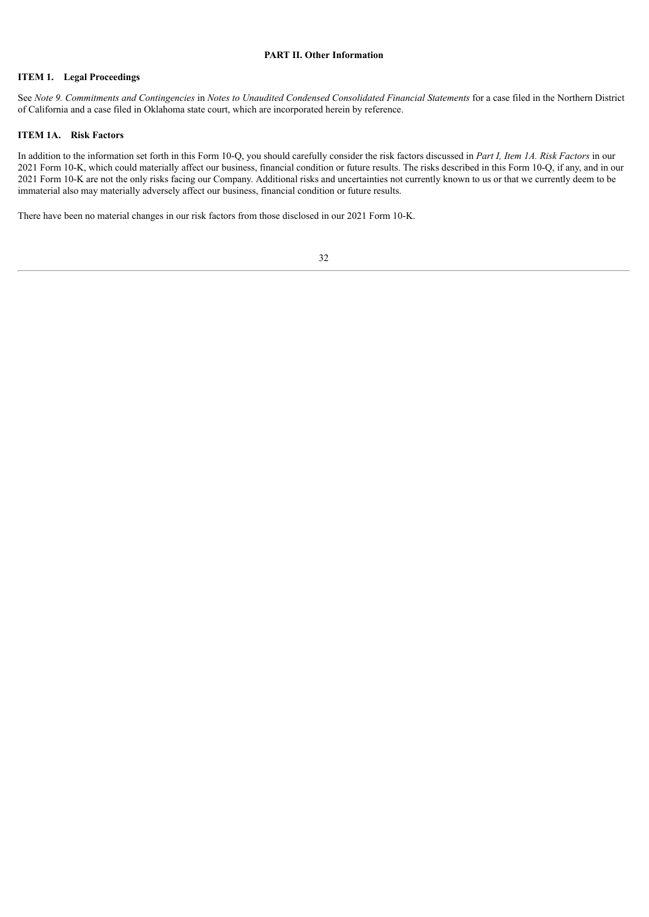## **PART II. Other Information**

# **ITEM 1. Legal Proceedings**

See Note 9. Commitments and Contingencies in Notes to Unaudited Condensed Consolidated Financial Statements for a case filed in the Northern District of California and a case filed in Oklahoma state court, which are incorporated herein by reference.

#### **ITEM 1A. Risk Factors**

In addition to the information set forth in this Form 10-Q, you should carefully consider the risk factors discussed in *Part I, Item 1A. Risk Factors* in our 2021 Form 10-K, which could materially affect our business, financial condition or future results. The risks described in this Form 10-Q, if any, and in our 2021 Form 10-K are not the only risks facing our Company. Additional risks and uncertainties not currently known to us or that we currently deem to be immaterial also may materially adversely affect our business, financial condition or future results.

There have been no material changes in our risk factors from those disclosed in our 2021 Form 10-K.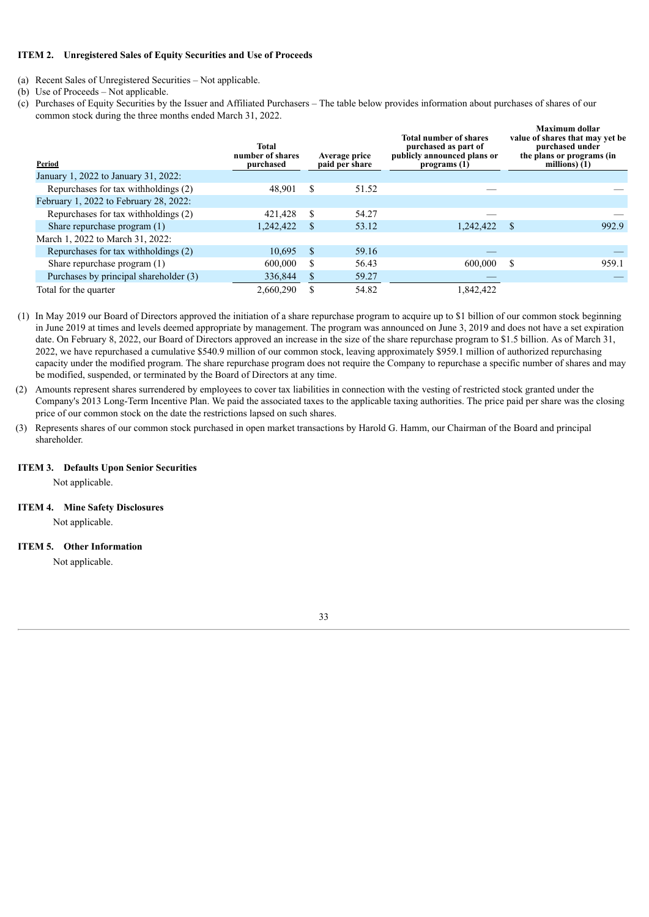## **ITEM 2. Unregistered Sales of Equity Securities and Use of Proceeds**

- (a) Recent Sales of Unregistered Securities Not applicable.
- (b) Use of Proceeds Not applicable.
- (c) Purchases of Equity Securities by the Issuer and Affiliated Purchasers The table below provides information about purchases of shares of our common stock during the three months ended March 31, 2022.

| Total<br>number of shares<br>purchased |     |       | Total number of shares<br>purchased as part of<br>publicly announced plans or<br>programs(1) |     | <b>Maximum</b> dollar<br>value of shares that may yet be<br>purchased under<br>the plans or programs (in<br>millions) $(1)$ |
|----------------------------------------|-----|-------|----------------------------------------------------------------------------------------------|-----|-----------------------------------------------------------------------------------------------------------------------------|
|                                        |     |       |                                                                                              |     |                                                                                                                             |
| 48,901                                 | \$  | 51.52 |                                                                                              |     |                                                                                                                             |
|                                        |     |       |                                                                                              |     |                                                                                                                             |
| 421.428                                | \$  | 54.27 |                                                                                              |     |                                                                                                                             |
| 1.242.422                              | \$. | 53.12 | 1.242.422                                                                                    | \$. | 992.9                                                                                                                       |
|                                        |     |       |                                                                                              |     |                                                                                                                             |
| 10,695                                 | \$  | 59.16 |                                                                                              |     |                                                                                                                             |
| 600,000                                | \$  | 56.43 | 600,000                                                                                      | \$  | 959.1                                                                                                                       |
| 336,844                                | \$. | 59.27 |                                                                                              |     |                                                                                                                             |
| 2,660,290                              |     | 54.82 | 1,842,422                                                                                    |     |                                                                                                                             |
|                                        |     |       | Average price<br>paid per share                                                              |     |                                                                                                                             |

(1) In May 2019 our Board of Directors approved the initiation of a share repurchase program to acquire up to \$1 billion of our common stock beginning in June 2019 at times and levels deemed appropriate by management. The program was announced on June 3, 2019 and does not have a set expiration date. On February 8, 2022, our Board of Directors approved an increase in the size of the share repurchase program to \$1.5 billion. As of March 31, 2022, we have repurchased a cumulative \$540.9 million of our common stock, leaving approximately \$959.1 million of authorized repurchasing capacity under the modified program. The share repurchase program does not require the Company to repurchase a specific number of shares and may be modified, suspended, or terminated by the Board of Directors at any time.

- (2) Amounts represent shares surrendered by employees to cover tax liabilities in connection with the vesting of restricted stock granted under the Company's 2013 Long-Term Incentive Plan. We paid the associated taxes to the applicable taxing authorities. The price paid per share was the closing price of our common stock on the date the restrictions lapsed on such shares.
- (3) Represents shares of our common stock purchased in open market transactions by Harold G. Hamm, our Chairman of the Board and principal shareholder.

#### **ITEM 3. Defaults Upon Senior Securities**

Not applicable.

**ITEM 4. Mine Safety Disclosures**

Not applicable.

#### **ITEM 5. Other Information**

Not applicable.

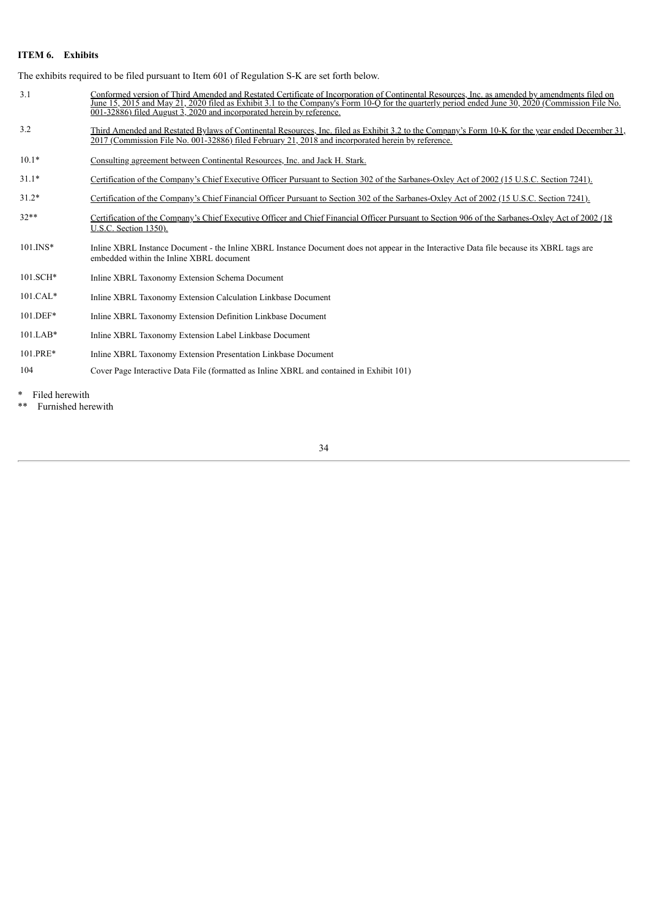#### **ITEM 6. Exhibits**

The exhibits required to be filed pursuant to Item 601 of Regulation S-K are set forth below.

- 3.1 Conformed version of Third Amended and Restated Certificate of Incorporation of Continental Resources, Inc. as amended by amendments filed on June 15, 2015 and May 21, 2020 filed as Exhibit 3.1 to the Company's Form 10-Q for the quarterly period ended June 30, 2020 (Commission File No. 001-32886) filed August 3, 2020 and incorporated herein by reference.
- 3.2 Third Amended and Restated Bylaws of Continental Resources, Inc. filed as Exhibit 3.2 to the Company's Form 10-K for the year ended December 31, 2017 (Commission File No. 001-32886) filed February 21, 2018 and incorporated herein by reference.
- 10.1\* Consulting agreement between Continental Resources, Inc. and Jack H. Stark.
- 31.1\* Certification of the Company's Chief Executive Officer Pursuant to Section 302 of the Sarbanes-Oxley Act of 2002 (15 U.S.C. Section 7241).
- 31.2\* Certification of the Company's Chief Financial Officer Pursuant to Section 302 of the Sarbanes-Oxley Act of 2002 (15 U.S.C. Section 7241).
- 32\*\* Certification of the Company's Chief Executive Officer and Chief Financial Officer Pursuant to Section 906 of the Sarbanes-Oxley Act of 2002 (18 U.S.C. Section 1350).
- 101.INS\* Inline XBRL Instance Document the Inline XBRL Instance Document does not appear in the Interactive Data file because its XBRL tags are embedded within the Inline XBRL document
- 101.SCH\* Inline XBRL Taxonomy Extension Schema Document
- 101.CAL\* Inline XBRL Taxonomy Extension Calculation Linkbase Document
- 101.DEF\* Inline XBRL Taxonomy Extension Definition Linkbase Document
- 101.LAB\* Inline XBRL Taxonomy Extension Label Linkbase Document
- 101.PRE\* Inline XBRL Taxonomy Extension Presentation Linkbase Document
- 104 Cover Page Interactive Data File (formatted as Inline XBRL and contained in Exhibit 101)

Filed herewith

\*\* Furnished herewith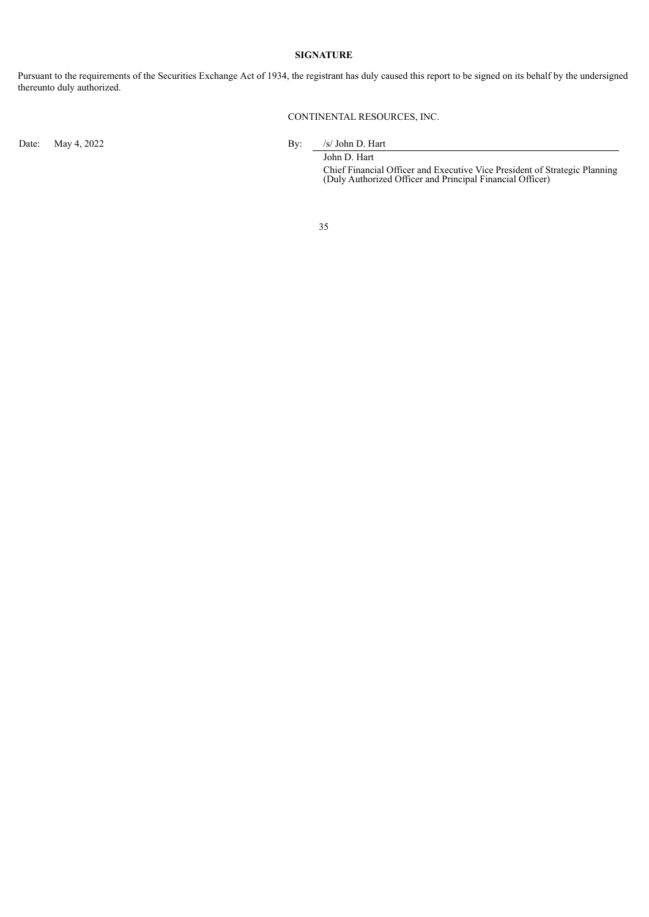#### **SIGNATURE**

Pursuant to the requirements of the Securities Exchange Act of 1934, the registrant has duly caused this report to be signed on its behalf by the undersigned thereunto duly authorized.

CONTINENTAL RESOURCES, INC.

Date: May 4, 2022 By: /s/ John D. Hart

John D. Hart

Chief Financial Officer and Executive Vice President of Strategic Planning (Duly Authorized Officer and Principal Financial Officer)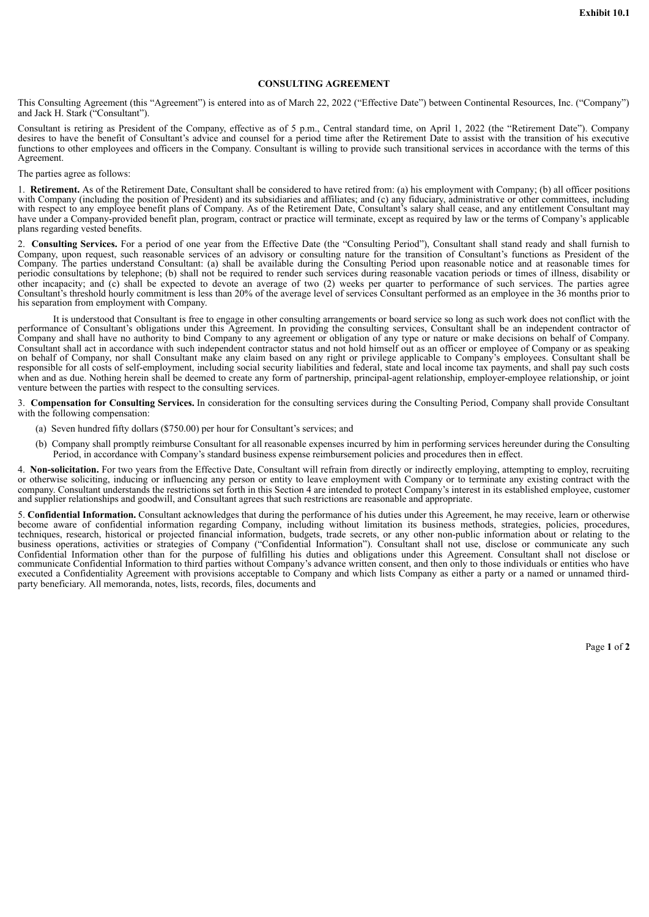#### **CONSULTING AGREEMENT**

This Consulting Agreement (this "Agreement") is entered into as of March 22, 2022 ("Effective Date") between Continental Resources, Inc. ("Company") and Jack H. Stark ("Consultant").

Consultant is retiring as President of the Company, effective as of 5 p.m., Central standard time, on April 1, 2022 (the "Retirement Date"). Company desires to have the benefit of Consultant's advice and counsel for a period time after the Retirement Date to assist with the transition of his executive functions to other employees and officers in the Company. Consultant is willing to provide such transitional services in accordance with the terms of this Agreement.

#### The parties agree as follows:

1. **Retirement.** As of the Retirement Date, Consultant shall be considered to have retired from: (a) his employment with Company; (b) all officer positions with Company (including the position of President) and its subsidiaries and affiliates; and (c) any fiduciary, administrative or other committees, including with respect to any employee benefit plans of Company. As of the Retirement Date, Consultant's salary shall cease, and any entitlement Consultant may have under a Company-provided benefit plan, program, contract or practice will terminate, except as required by law or the terms of Company's applicable plans regarding vested benefits.

2. **Consulting Services.** For a period of one year from the Effective Date (the "Consulting Period"), Consultant shall stand ready and shall furnish to Company, upon request, such reasonable services of an advisory or consulting nature for the transition of Consultant's functions as President of the Company. The parties understand Consultant: (a) shall be available during the Consulting Period upon reasonable notice and at reasonable times for periodic consultations by telephone; (b) shall not be required to render such services during reasonable vacation periods or times of illness, disability or other incapacity; and (c) shall be expected to devote an average of two (2) weeks per quarter to performance of such services. The parties agree Consultant's threshold hourly commitment is less than 20% of the average level of services Consultant performed as an employee in the 36 months prior to his separation from employment with Company.

It is understood that Consultant is free to engage in other consulting arrangements or board service so long as such work does not conflict with the performance of Consultant's obligations under this Agreement. In providing the consulting services, Consultant shall be an independent contractor of Company and shall have no authority to bind Company to any agreement or obligation of any type or nature or make decisions on behalf of Company. Consultant shall act in accordance with such independent contractor status and not hold himself out as an officer or employee of Company or as speaking on behalf of Company, nor shall Consultant make any claim based on any right or privilege applicable to Company's employees. Consultant shall be responsible for all costs of self-employment, including social security liabilities and federal, state and local income tax payments, and shall pay such costs when and as due. Nothing herein shall be deemed to create any form of partnership, principal-agent relationship, employer-employee relationship, or joint venture between the parties with respect to the consulting services.

3. **Compensation for Consulting Services.** In consideration for the consulting services during the Consulting Period, Company shall provide Consultant with the following compensation:

- (a) Seven hundred fifty dollars (\$750.00) per hour for Consultant's services; and
- (b) Company shall promptly reimburse Consultant for all reasonable expenses incurred by him in performing services hereunder during the Consulting Period, in accordance with Company's standard business expense reimbursement policies and procedures then in effect.

4. **Non-solicitation.** For two years from the Effective Date, Consultant will refrain from directly or indirectly employing, attempting to employ, recruiting or otherwise soliciting, inducing or influencing any person or entity to leave employment with Company or to terminate any existing contract with the company. Consultant understands the restrictions set forth in this Section 4 are intended to protect Company's interest in its established employee, customer and supplier relationships and goodwill, and Consultant agrees that such restrictions are reasonable and appropriate.

5. **Confidential Information.** Consultant acknowledges that during the performance of his duties under this Agreement, he may receive, learn or otherwise become aware of confidential information regarding Company, including without limitation its business methods, strategies, policies, procedures, techniques, research, historical or projected financial information, budgets, trade secrets, or any other non-public information about or relating to the business operations, activities or strategies of Company ("Confidential Information"). Consultant shall not use, disclose or communicate any such Confidential Information other than for the purpose of fulfilling his duties and obligations under this Agreement. Consultant shall not disclose or communicate Confidential Information to third parties without Company's advance written consent, and then only to those individuals or entities who have executed a Confidentiality Agreement with provisions acceptable to Company and which lists Company as either a party or a named or unnamed thirdparty beneficiary. All memoranda, notes, lists, records, files, documents and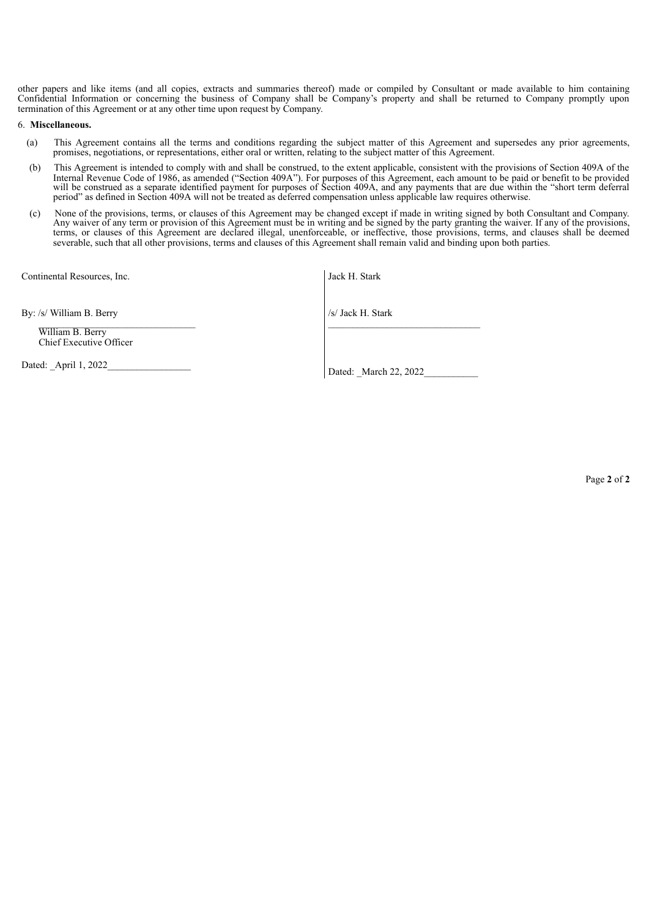other papers and like items (and all copies, extracts and summaries thereof) made or compiled by Consultant or made available to him containing Confidential Information or concerning the business of Company shall be Company's property and shall be returned to Company promptly upon termination of this Agreement or at any other time upon request by Company.

#### 6. **Miscellaneous.**

- (a) This Agreement contains all the terms and conditions regarding the subject matter of this Agreement and supersedes any prior agreements, promises, negotiations, or representations, either oral or written, relating to the subject matter of this Agreement.
- (b) This Agreement is intended to comply with and shall be construed, to the extent applicable, consistent with the provisions of Section 409A of the Internal Revenue Code of 1986, as amended ("Section 409A"). For purposes of this Agreement, each amount to be paid or benefit to be provided will be construed as a separate identified payment for purposes of Section 409A, and any payments that are due within the "short term deferral period" as defined in Section 409A will not be treated as deferred compensation unless applicable law requires otherwise.
- (c) None of the provisions, terms, or clauses of this Agreement may be changed except if made in writing signed by both Consultant and Company. Any waiver of any term or provision of this Agreement must be in writing and be signed by the party granting the waiver. If any of the provisions, terms, or clauses of this Agreement are declared illegal, unenforceable, or ineffective, those provisions, terms, and clauses shall be deemed severable, such that all other provisions, terms and clauses of this Agreement shall remain valid and binding upon both parties.

Continental Resources, Inc.

By: /s/ William B. Berry

\_\_\_\_\_\_\_\_\_\_\_\_\_\_\_\_\_\_\_\_\_\_\_\_\_\_\_\_\_\_\_\_ William B. Berry Chief Executive Officer

Dated: April 1, 2022

| Jack H. Stark |  |
|---------------|--|
|               |  |

/s/ Jack H. Stark  $\_$ 

Dated: March 22, 2022

Page **2** of **2**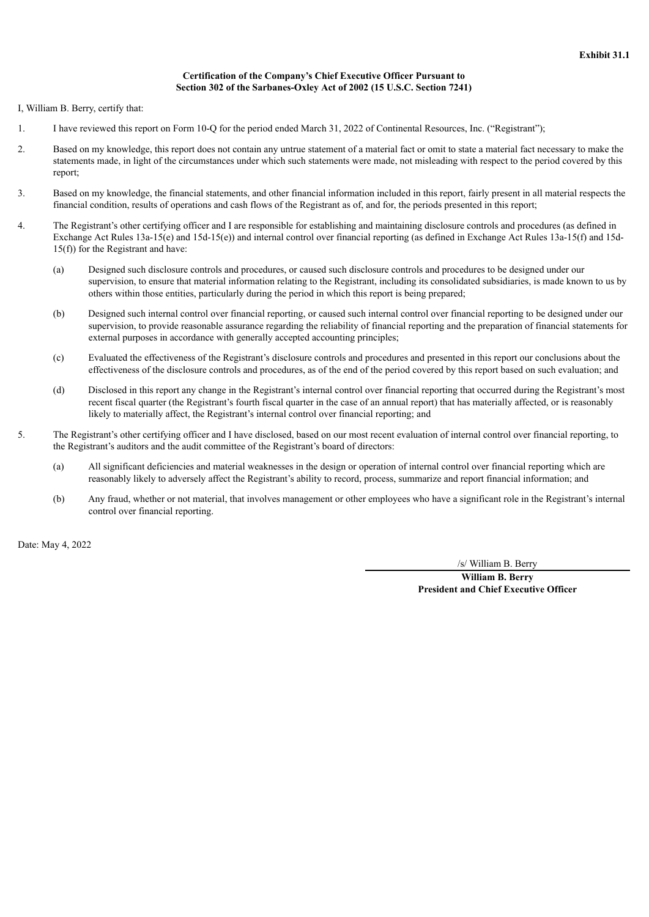## **Certification of the Company's Chief Executive Officer Pursuant to Section 302 of the Sarbanes-Oxley Act of 2002 (15 U.S.C. Section 7241)**

I, William B. Berry, certify that:

- 1. I have reviewed this report on Form 10-Q for the period ended March 31, 2022 of Continental Resources, Inc. ("Registrant");
- 2. Based on my knowledge, this report does not contain any untrue statement of a material fact or omit to state a material fact necessary to make the statements made, in light of the circumstances under which such statements were made, not misleading with respect to the period covered by this report;
- 3. Based on my knowledge, the financial statements, and other financial information included in this report, fairly present in all material respects the financial condition, results of operations and cash flows of the Registrant as of, and for, the periods presented in this report;
- 4. The Registrant's other certifying officer and I are responsible for establishing and maintaining disclosure controls and procedures (as defined in Exchange Act Rules 13a-15(e) and 15d-15(e)) and internal control over financial reporting (as defined in Exchange Act Rules 13a-15(f) and 15d-15(f)) for the Registrant and have:
	- (a) Designed such disclosure controls and procedures, or caused such disclosure controls and procedures to be designed under our supervision, to ensure that material information relating to the Registrant, including its consolidated subsidiaries, is made known to us by others within those entities, particularly during the period in which this report is being prepared;
	- (b) Designed such internal control over financial reporting, or caused such internal control over financial reporting to be designed under our supervision, to provide reasonable assurance regarding the reliability of financial reporting and the preparation of financial statements for external purposes in accordance with generally accepted accounting principles;
	- (c) Evaluated the effectiveness of the Registrant's disclosure controls and procedures and presented in this report our conclusions about the effectiveness of the disclosure controls and procedures, as of the end of the period covered by this report based on such evaluation; and
	- (d) Disclosed in this report any change in the Registrant's internal control over financial reporting that occurred during the Registrant's most recent fiscal quarter (the Registrant's fourth fiscal quarter in the case of an annual report) that has materially affected, or is reasonably likely to materially affect, the Registrant's internal control over financial reporting; and
- 5. The Registrant's other certifying officer and I have disclosed, based on our most recent evaluation of internal control over financial reporting, to the Registrant's auditors and the audit committee of the Registrant's board of directors:
	- (a) All significant deficiencies and material weaknesses in the design or operation of internal control over financial reporting which are reasonably likely to adversely affect the Registrant's ability to record, process, summarize and report financial information; and
	- (b) Any fraud, whether or not material, that involves management or other employees who have a significant role in the Registrant's internal control over financial reporting.

Date: May 4, 2022

/s/ William B. Berry

**William B. Berry President and Chief Executive Officer**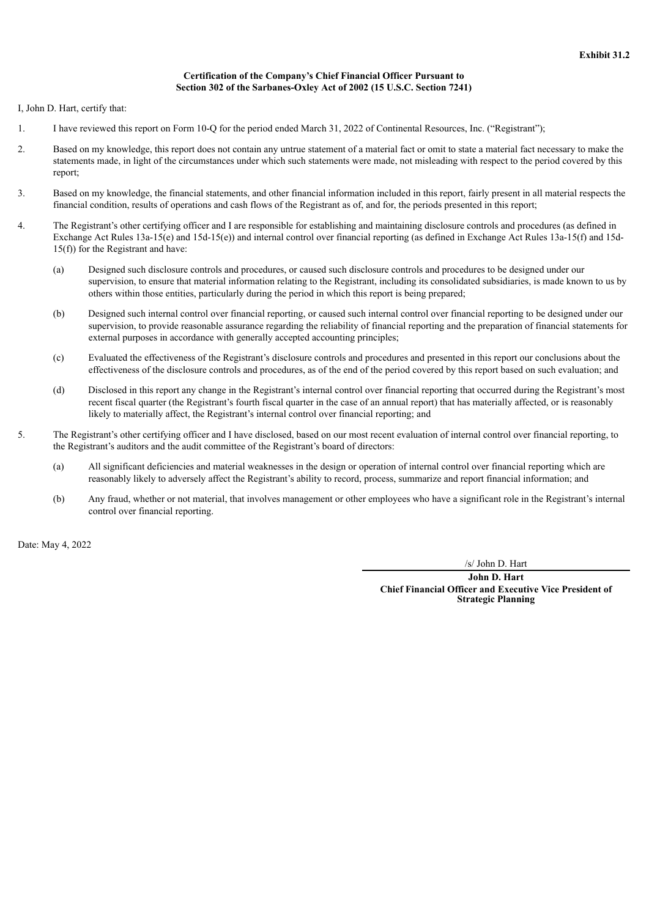## **Certification of the Company's Chief Financial Officer Pursuant to Section 302 of the Sarbanes-Oxley Act of 2002 (15 U.S.C. Section 7241)**

I, John D. Hart, certify that:

- 1. I have reviewed this report on Form 10-Q for the period ended March 31, 2022 of Continental Resources, Inc. ("Registrant");
- 2. Based on my knowledge, this report does not contain any untrue statement of a material fact or omit to state a material fact necessary to make the statements made, in light of the circumstances under which such statements were made, not misleading with respect to the period covered by this report;
- 3. Based on my knowledge, the financial statements, and other financial information included in this report, fairly present in all material respects the financial condition, results of operations and cash flows of the Registrant as of, and for, the periods presented in this report;
- 4. The Registrant's other certifying officer and I are responsible for establishing and maintaining disclosure controls and procedures (as defined in Exchange Act Rules 13a-15(e) and 15d-15(e)) and internal control over financial reporting (as defined in Exchange Act Rules 13a-15(f) and 15d-15(f)) for the Registrant and have:
	- (a) Designed such disclosure controls and procedures, or caused such disclosure controls and procedures to be designed under our supervision, to ensure that material information relating to the Registrant, including its consolidated subsidiaries, is made known to us by others within those entities, particularly during the period in which this report is being prepared;
	- (b) Designed such internal control over financial reporting, or caused such internal control over financial reporting to be designed under our supervision, to provide reasonable assurance regarding the reliability of financial reporting and the preparation of financial statements for external purposes in accordance with generally accepted accounting principles;
	- (c) Evaluated the effectiveness of the Registrant's disclosure controls and procedures and presented in this report our conclusions about the effectiveness of the disclosure controls and procedures, as of the end of the period covered by this report based on such evaluation; and
	- (d) Disclosed in this report any change in the Registrant's internal control over financial reporting that occurred during the Registrant's most recent fiscal quarter (the Registrant's fourth fiscal quarter in the case of an annual report) that has materially affected, or is reasonably likely to materially affect, the Registrant's internal control over financial reporting; and
- 5. The Registrant's other certifying officer and I have disclosed, based on our most recent evaluation of internal control over financial reporting, to the Registrant's auditors and the audit committee of the Registrant's board of directors:
	- (a) All significant deficiencies and material weaknesses in the design or operation of internal control over financial reporting which are reasonably likely to adversely affect the Registrant's ability to record, process, summarize and report financial information; and
	- (b) Any fraud, whether or not material, that involves management or other employees who have a significant role in the Registrant's internal control over financial reporting.

Date: May 4, 2022

/s/ John D. Hart

**John D. Hart Chief Financial Officer and Executive Vice President of Strategic Planning**